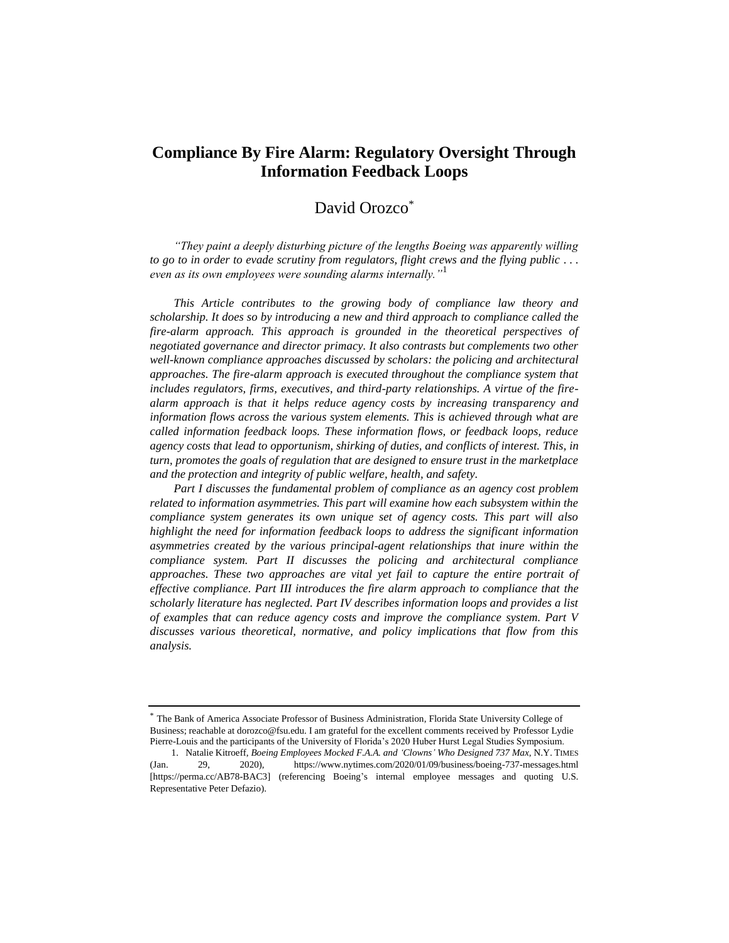# **Compliance By Fire Alarm: Regulatory Oversight Through Information Feedback Loops**

# David Orozco<sup>\*</sup>

*"They paint a deeply disturbing picture of the lengths Boeing was apparently willing to go to in order to evade scrutiny from regulators, flight crews and the flying public . . . even as its own employees were sounding alarms internally."*<sup>1</sup>

*This Article contributes to the growing body of compliance law theory and scholarship. It does so by introducing a new and third approach to compliance called the fire-alarm approach. This approach is grounded in the theoretical perspectives of negotiated governance and director primacy. It also contrasts but complements two other well-known compliance approaches discussed by scholars: the policing and architectural approaches. The fire-alarm approach is executed throughout the compliance system that includes regulators, firms, executives, and third-party relationships. A virtue of the firealarm approach is that it helps reduce agency costs by increasing transparency and information flows across the various system elements. This is achieved through what are called information feedback loops. These information flows, or feedback loops, reduce agency costs that lead to opportunism, shirking of duties, and conflicts of interest. This, in turn, promotes the goals of regulation that are designed to ensure trust in the marketplace and the protection and integrity of public welfare, health, and safety.*

*Part I discusses the fundamental problem of compliance as an agency cost problem related to information asymmetries. This part will examine how each subsystem within the compliance system generates its own unique set of agency costs. This part will also highlight the need for information feedback loops to address the significant information asymmetries created by the various principal-agent relationships that inure within the compliance system. Part II discusses the policing and architectural compliance approaches. These two approaches are vital yet fail to capture the entire portrait of effective compliance. Part III introduces the fire alarm approach to compliance that the scholarly literature has neglected. Part IV describes information loops and provides a list of examples that can reduce agency costs and improve the compliance system. Part V discusses various theoretical, normative, and policy implications that flow from this analysis.*

<sup>\*</sup> The Bank of America Associate Professor of Business Administration, Florida State University College of Business; reachable at dorozco@fsu.edu. I am grateful for the excellent comments received by Professor Lydie Pierre-Louis and the participants of the University of Florida's 2020 Huber Hurst Legal Studies Symposium.

<sup>1.</sup> Natalie Kitroeff, *Boeing Employees Mocked F.A.A. and 'Clowns' Who Designed 737 Max*, N.Y. TIMES (Jan. 29, 2020), https://www.nytimes.com/2020/01/09/business/boeing-737-messages.html [https://perma.cc/AB78-BAC3] (referencing Boeing's internal employee messages and quoting U.S. Representative Peter Defazio).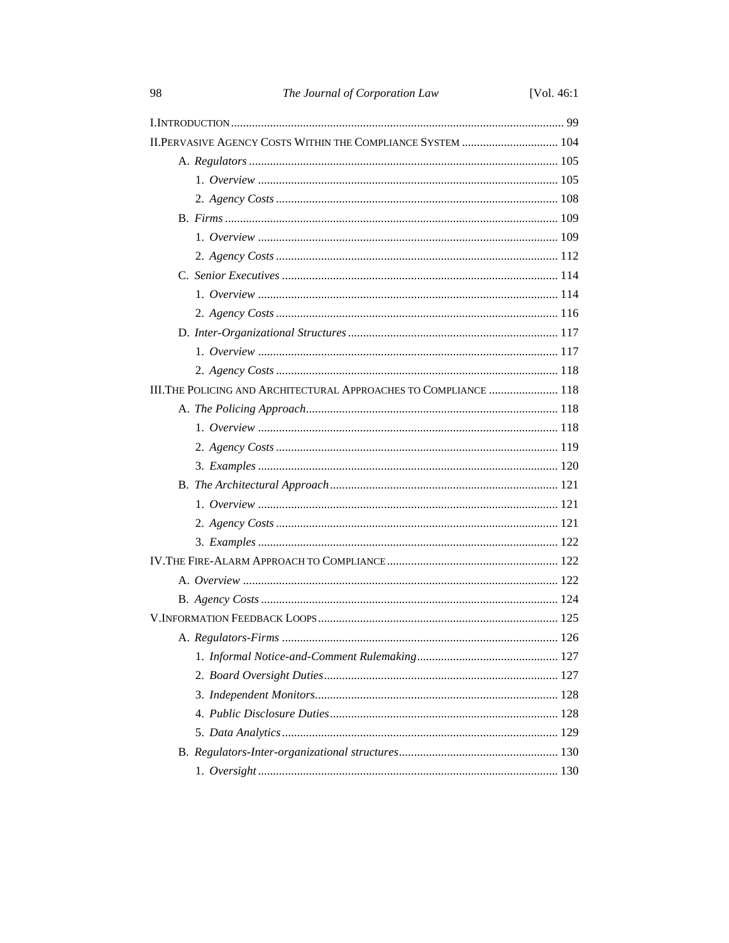| 98                                                                | The Journal of Corporation Law | [Vol. $46:1$ |  |  |
|-------------------------------------------------------------------|--------------------------------|--------------|--|--|
|                                                                   |                                |              |  |  |
| II. PERVASIVE AGENCY COSTS WITHIN THE COMPLIANCE SYSTEM  104      |                                |              |  |  |
|                                                                   |                                |              |  |  |
|                                                                   |                                |              |  |  |
|                                                                   |                                |              |  |  |
|                                                                   |                                |              |  |  |
|                                                                   |                                |              |  |  |
|                                                                   |                                |              |  |  |
|                                                                   |                                |              |  |  |
|                                                                   |                                |              |  |  |
|                                                                   |                                |              |  |  |
|                                                                   |                                |              |  |  |
|                                                                   |                                |              |  |  |
|                                                                   |                                |              |  |  |
| III. THE POLICING AND ARCHITECTURAL APPROACHES TO COMPLIANCE  118 |                                |              |  |  |
|                                                                   |                                |              |  |  |
|                                                                   |                                |              |  |  |
|                                                                   |                                |              |  |  |
|                                                                   |                                |              |  |  |
|                                                                   |                                |              |  |  |
|                                                                   |                                |              |  |  |
|                                                                   |                                |              |  |  |
|                                                                   |                                |              |  |  |
|                                                                   |                                |              |  |  |
|                                                                   |                                |              |  |  |
|                                                                   |                                |              |  |  |
|                                                                   |                                |              |  |  |
|                                                                   |                                |              |  |  |
|                                                                   |                                |              |  |  |
|                                                                   |                                |              |  |  |
|                                                                   |                                |              |  |  |
|                                                                   |                                |              |  |  |
|                                                                   |                                |              |  |  |
|                                                                   |                                |              |  |  |
|                                                                   |                                |              |  |  |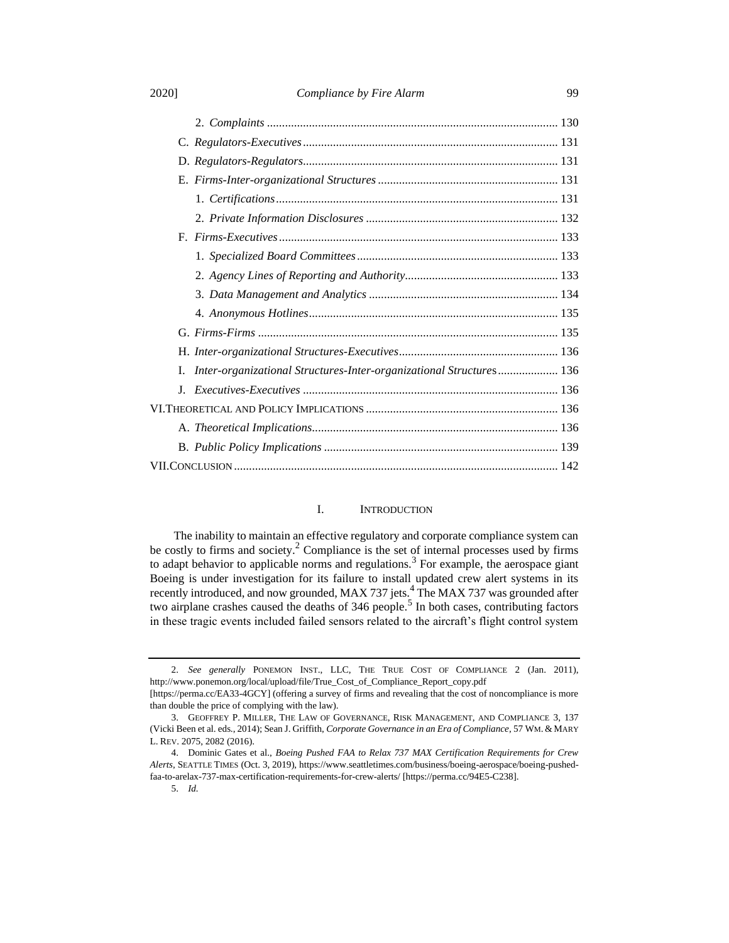## 2020] *Compliance by Fire Alarm* 99

| L          | Inter-organizational Structures-Inter-organizational Structures 136 |  |
|------------|---------------------------------------------------------------------|--|
| $\bf{J}$ . |                                                                     |  |
|            |                                                                     |  |
|            |                                                                     |  |
|            |                                                                     |  |
|            |                                                                     |  |

# <span id="page-2-1"></span><span id="page-2-0"></span>I. INTRODUCTION

The inability to maintain an effective regulatory and corporate compliance system can be costly to firms and society.<sup>2</sup> Compliance is the set of internal processes used by firms to adapt behavior to applicable norms and regulations.<sup>3</sup> For example, the aerospace giant Boeing is under investigation for its failure to install updated crew alert systems in its recently introduced, and now grounded, MAX 737 jets. $4\text{ The MAX } 737$  was grounded after two airplane crashes caused the deaths of  $346$  people.<sup>5</sup> In both cases, contributing factors in these tragic events included failed sensors related to the aircraft's flight control system

<sup>2.</sup> *See generally* PONEMON INST., LLC, THE TRUE COST OF COMPLIANCE 2 (Jan. 2011), http://www.ponemon.org/local/upload/file/True\_Cost\_of\_Compliance\_Report\_copy.pdf

<sup>[</sup>https://perma.cc/EA33-4GCY] (offering a survey of firms and revealing that the cost of noncompliance is more than double the price of complying with the law).

<sup>3.</sup> GEOFFREY P. MILLER, THE LAW OF GOVERNANCE, RISK MANAGEMENT, AND COMPLIANCE 3, 137 (Vicki Been et al. eds., 2014); Sean J. Griffith, *Corporate Governance in an Era of Compliance*, 57 WM. & MARY L. REV. 2075, 2082 (2016).

<sup>4.</sup> Dominic Gates et al., *Boeing Pushed FAA to Relax 737 MAX Certification Requirements for Crew Alerts*, SEATTLE TIMES (Oct. 3, 2019), https://www.seattletimes.com/business/boeing-aerospace/boeing-pushedfaa-to-arelax-737-max-certification-requirements-for-crew-alerts/ [https://perma.cc/94E5-C238].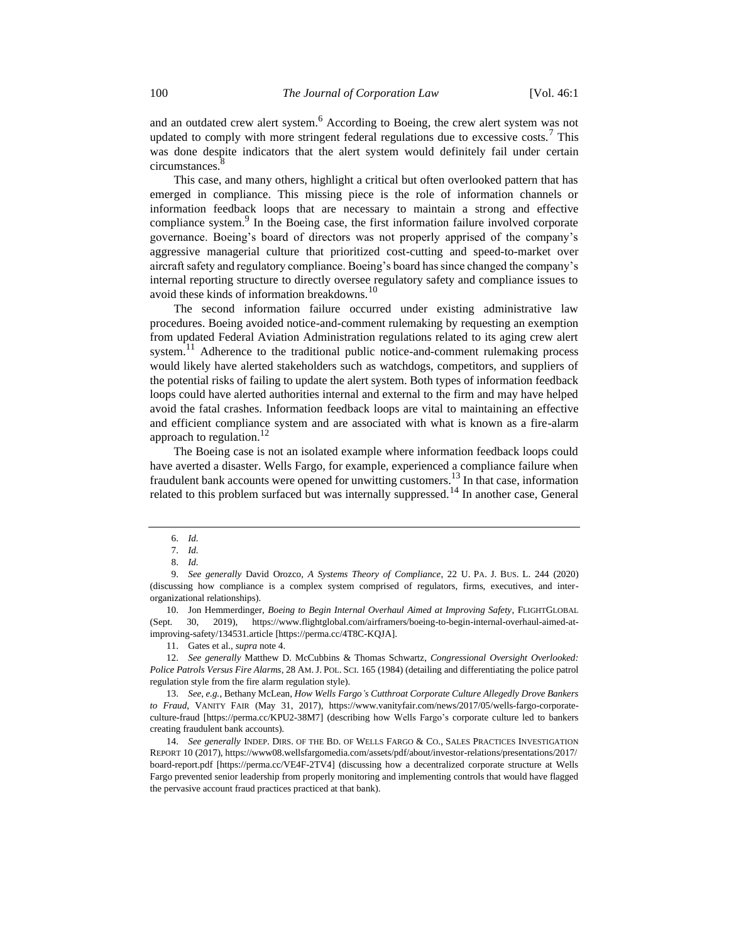and an outdated crew alert system.<sup>6</sup> According to Boeing, the crew alert system was not updated to comply with more stringent federal regulations due to excessive costs.<sup>7</sup> This was done despite indicators that the alert system would definitely fail under certain circumstances.<sup>6</sup>

<span id="page-3-2"></span>This case, and many others, highlight a critical but often overlooked pattern that has emerged in compliance. This missing piece is the role of information channels or information feedback loops that are necessary to maintain a strong and effective compliance system.<sup>9</sup> In the Boeing case, the first information failure involved corporate governance. Boeing's board of directors was not properly apprised of the company's aggressive managerial culture that prioritized cost-cutting and speed-to-market over aircraft safety and regulatory compliance. Boeing's board has since changed the company's internal reporting structure to directly oversee regulatory safety and compliance issues to avoid these kinds of information breakdowns.<sup>10</sup>

The second information failure occurred under existing administrative law procedures. Boeing avoided notice-and-comment rulemaking by requesting an exemption from updated Federal Aviation Administration regulations related to its aging crew alert system.<sup>11</sup> Adherence to the traditional public notice-and-comment rulemaking process would likely have alerted stakeholders such as watchdogs, competitors, and suppliers of the potential risks of failing to update the alert system. Both types of information feedback loops could have alerted authorities internal and external to the firm and may have helped avoid the fatal crashes. Information feedback loops are vital to maintaining an effective and efficient compliance system and are associated with what is known as a fire-alarm approach to regulation.<sup>12</sup>

<span id="page-3-1"></span>The Boeing case is not an isolated example where information feedback loops could have averted a disaster. Wells Fargo, for example, experienced a compliance failure when fraudulent bank accounts were opened for unwitting customers.<sup>13</sup> In that case, information related to this problem surfaced but was internally suppressed.<sup>14</sup> In another case, General

<span id="page-3-3"></span><span id="page-3-0"></span><sup>6.</sup> *Id.*

<sup>7.</sup> *Id.*

<sup>8.</sup> *Id.*

<sup>9.</sup> *See generally* David Orozco, *A Systems Theory of Compliance*, 22 U. PA. J. BUS. L. 244 (2020) (discussing how compliance is a complex system comprised of regulators, firms, executives, and interorganizational relationships).

<sup>10.</sup> Jon Hemmerdinger, *Boeing to Begin Internal Overhaul Aimed at Improving Safety*, FLIGHTGLOBAL (Sept. 30, 2019), https://www.flightglobal.com/airframers/boeing-to-begin-internal-overhaul-aimed-atimproving-safety/134531.article [https://perma.cc/4T8C-KQJA].

<sup>11.</sup> Gates et al., *supra* note [4.](#page-2-0)

<sup>12.</sup> *See generally* Matthew D. McCubbins & Thomas Schwartz, *Congressional Oversight Overlooked: Police Patrols Versus Fire Alarms*, 28 AM. J. POL. SCI. 165 (1984) (detailing and differentiating the police patrol regulation style from the fire alarm regulation style).

<sup>13.</sup> *See, e.g.*, Bethany McLean, *How Wells Fargo's Cutthroat Corporate Culture Allegedly Drove Bankers to Fraud*, VANITY FAIR (May 31, 2017), https://www.vanityfair.com/news/2017/05/wells-fargo-corporateculture-fraud [https://perma.cc/KPU2-38M7] (describing how Wells Fargo's corporate culture led to bankers creating fraudulent bank accounts).

<sup>14.</sup> *See generally* INDEP. DIRS. OF THE BD. OF WELLS FARGO & CO., SALES PRACTICES INVESTIGATION REPORT 10 (2017), https://www08.wellsfargomedia.com/assets/pdf/about/investor-relations/presentations/2017/ board-report.pdf [https://perma.cc/VE4F-2TV4] (discussing how a decentralized corporate structure at Wells Fargo prevented senior leadership from properly monitoring and implementing controls that would have flagged the pervasive account fraud practices practiced at that bank).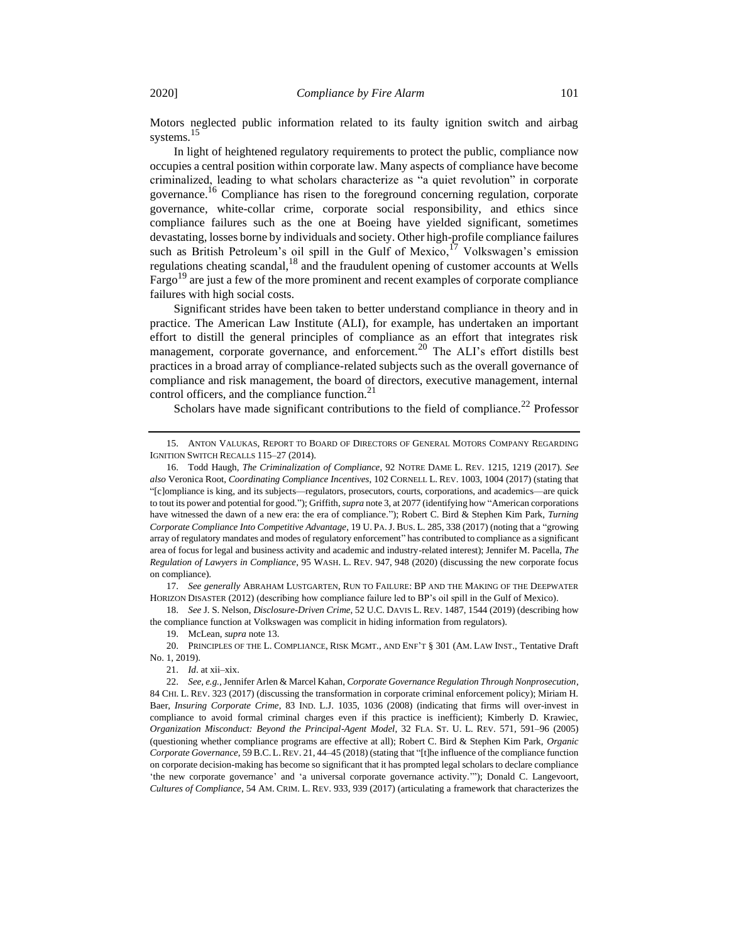Motors neglected public information related to its faulty ignition switch and airbag systems.<sup>15</sup>

<span id="page-4-1"></span>In light of heightened regulatory requirements to protect the public, compliance now occupies a central position within corporate law. Many aspects of compliance have become criminalized, leading to what scholars characterize as "a quiet revolution" in corporate governance.<sup>16</sup> Compliance has risen to the foreground concerning regulation, corporate governance, white-collar crime, corporate social responsibility, and ethics since compliance failures such as the one at Boeing have yielded significant, sometimes devastating, losses borne by individuals and society. Other high-profile compliance failures such as British Petroleum's oil spill in the Gulf of Mexico,<sup>17</sup> Volkswagen's emission regulations cheating scandal, $18$  and the fraudulent opening of customer accounts at Wells Fargo<sup>19</sup> are just a few of the more prominent and recent examples of corporate compliance failures with high social costs.

<span id="page-4-2"></span>Significant strides have been taken to better understand compliance in theory and in practice. The American Law Institute (ALI), for example, has undertaken an important effort to distill the general principles of compliance as an effort that integrates risk management, corporate governance, and enforcement.<sup>20</sup> The ALI's effort distills best practices in a broad array of compliance-related subjects such as the overall governance of compliance and risk management, the board of directors, executive management, internal control officers, and the compliance function.<sup>21</sup>

<span id="page-4-0"></span>Scholars have made significant contributions to the field of compliance.<sup>22</sup> Professor

17. *See generally* ABRAHAM LUSTGARTEN, RUN TO FAILURE: BP AND THE MAKING OF THE DEEPWATER HORIZON DISASTER (2012) (describing how compliance failure led to BP's oil spill in the Gulf of Mexico).

18. *See* J. S. Nelson, *Disclosure-Driven Crime*, 52 U.C. DAVIS L. REV. 1487, 1544 (2019) (describing how the compliance function at Volkswagen was complicit in hiding information from regulators).

19. McLean, *supra* not[e 13.](#page-3-0)

20. PRINCIPLES OF THE L. COMPLIANCE, RISK MGMT., AND ENF'T § 301 (AM. LAW INST., Tentative Draft No. 1, 2019).

21. *Id*. at xii–xix.

<sup>15.</sup> ANTON VALUKAS, REPORT TO BOARD OF DIRECTORS OF GENERAL MOTORS COMPANY REGARDING IGNITION SWITCH RECALLS 115–27 (2014).

<sup>16.</sup> Todd Haugh, *The Criminalization of Compliance*, 92 NOTRE DAME L. REV. 1215, 1219 (2017). *See also* Veronica Root, *Coordinating Compliance Incentives*, 102 CORNELL L. REV. 1003, 1004 (2017) (stating that "[c]ompliance is king, and its subjects—regulators, prosecutors, courts, corporations, and academics—are quick to tout its power and potential for good."); Griffith, *supra* not[e 3,](#page-2-1) at 2077 (identifying how "American corporations have witnessed the dawn of a new era: the era of compliance."); Robert C. Bird & Stephen Kim Park, *Turning Corporate Compliance Into Competitive Advantage*, 19 U. PA.J. BUS. L. 285, 338 (2017) (noting that a "growing array of regulatory mandates and modes of regulatory enforcement" has contributed to compliance as a significant area of focus for legal and business activity and academic and industry-related interest); Jennifer M. Pacella, *The Regulation of Lawyers in Compliance*, 95 WASH. L. REV. 947, 948 (2020) (discussing the new corporate focus on compliance).

<sup>22.</sup> *See, e.g.*, Jennifer Arlen & Marcel Kahan, *Corporate Governance Regulation Through Nonprosecution*, 84 CHI. L. REV. 323 (2017) (discussing the transformation in corporate criminal enforcement policy); Miriam H. Baer, *Insuring Corporate Crime*, 83 IND. L.J. 1035, 1036 (2008) (indicating that firms will over-invest in compliance to avoid formal criminal charges even if this practice is inefficient); Kimberly D. Krawiec, *Organization Misconduct: Beyond the Principal-Agent Model*, 32 FLA. ST. U. L. REV. 571, 591–96 (2005) (questioning whether compliance programs are effective at all); Robert C. Bird & Stephen Kim Park, *Organic Corporate Governance*, 59 B.C. L.REV. 21, 44–45 (2018) (stating that "[t]he influence of the compliance function on corporate decision-making has become so significant that it has prompted legal scholars to declare compliance 'the new corporate governance' and 'a universal corporate governance activity.'"); Donald C. Langevoort, *Cultures of Compliance*, 54 AM. CRIM. L. REV. 933, 939 (2017) (articulating a framework that characterizes the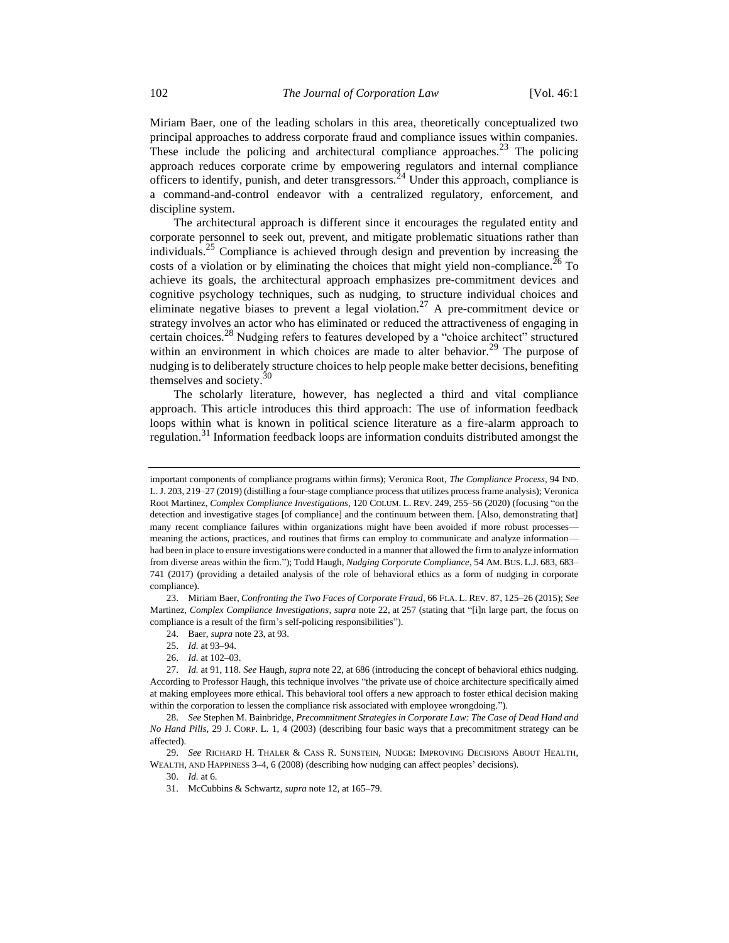<span id="page-5-0"></span>Miriam Baer, one of the leading scholars in this area, theoretically conceptualized two principal approaches to address corporate fraud and compliance issues within companies. These include the policing and architectural compliance approaches.<sup>23</sup> The policing approach reduces corporate crime by empowering regulators and internal compliance officers to identify, punish, and deter transgressors.<sup>24</sup> Under this approach, compliance is a command-and-control endeavor with a centralized regulatory, enforcement, and discipline system.

The architectural approach is different since it encourages the regulated entity and corporate personnel to seek out, prevent, and mitigate problematic situations rather than individuals.<sup>25</sup> Compliance is achieved through design and prevention by increasing the costs of a violation or by eliminating the choices that might yield non-compliance.<sup>26</sup> To achieve its goals, the architectural approach emphasizes pre-commitment devices and cognitive psychology techniques, such as nudging, to structure individual choices and eliminate negative biases to prevent a legal violation.<sup>27</sup> A pre-commitment device or strategy involves an actor who has eliminated or reduced the attractiveness of engaging in certain choices.<sup>28</sup> Nudging refers to features developed by a "choice architect" structured within an environment in which choices are made to alter behavior.<sup>29</sup> The purpose of nudging is to deliberately structure choices to help people make better decisions, benefiting themselves and society.<sup>30</sup>

<span id="page-5-1"></span>The scholarly literature, however, has neglected a third and vital compliance approach. This article introduces this third approach: The use of information feedback loops within what is known in political science literature as a fire-alarm approach to regulation.<sup>31</sup> Information feedback loops are information conduits distributed amongst the

important components of compliance programs within firms); Veronica Root, *The Compliance Process*, 94 IND. L.J. 203, 219–27 (2019) (distilling a four-stage compliance process that utilizes process frame analysis); Veronica Root Martinez, *Complex Compliance Investigations*, 120 COLUM. L. REV. 249, 255–56 (2020) (focusing "on the detection and investigative stages [of compliance] and the continuum between them. [Also, demonstrating that] many recent compliance failures within organizations might have been avoided if more robust processes meaning the actions, practices, and routines that firms can employ to communicate and analyze information had been in place to ensure investigations were conducted in a manner that allowed the firm to analyze information from diverse areas within the firm."); Todd Haugh, *Nudging Corporate Compliance*, 54 AM. BUS. L.J. 683, 683– 741 (2017) (providing a detailed analysis of the role of behavioral ethics as a form of nudging in corporate compliance).

<sup>23.</sup> Miriam Baer, *Confronting the Two Faces of Corporate Fraud*, 66 FLA. L. REV. 87, 125–26 (2015); *See* Martinez, *Complex Compliance Investigations*, *supra* not[e 22,](#page-4-0) at 257 (stating that "[i]n large part, the focus on compliance is a result of the firm's self-policing responsibilities").

<sup>24.</sup> Baer, *supra* not[e 23,](#page-5-0) at 93.

<sup>25.</sup> *Id.* at 93–94.

<sup>26.</sup> *Id.* at 102–03.

<sup>27.</sup> *Id.* at 91, 118. *See* Haugh, *supra* note [22,](#page-4-0) at 686 (introducing the concept of behavioral ethics nudging. According to Professor Haugh, this technique involves "the private use of choice architecture specifically aimed at making employees more ethical. This behavioral tool offers a new approach to foster ethical decision making within the corporation to lessen the compliance risk associated with employee wrongdoing.").

<sup>28.</sup> *See* Stephen M. Bainbridge, *Precommitment Strategies in Corporate Law: The Case of Dead Hand and No Hand Pills*, 29 J. CORP. L. 1, 4 (2003) (describing four basic ways that a precommitment strategy can be affected).

<sup>29.</sup> *See* RICHARD H. THALER & CASS R. SUNSTEIN, NUDGE: IMPROVING DECISIONS ABOUT HEALTH, WEALTH, AND HAPPINESS 3–4, 6 (2008) (describing how nudging can affect peoples' decisions).

<sup>30.</sup> *Id.* at 6.

<sup>31.</sup> McCubbins & Schwartz, *supra* not[e 12,](#page-3-1) at 165–79.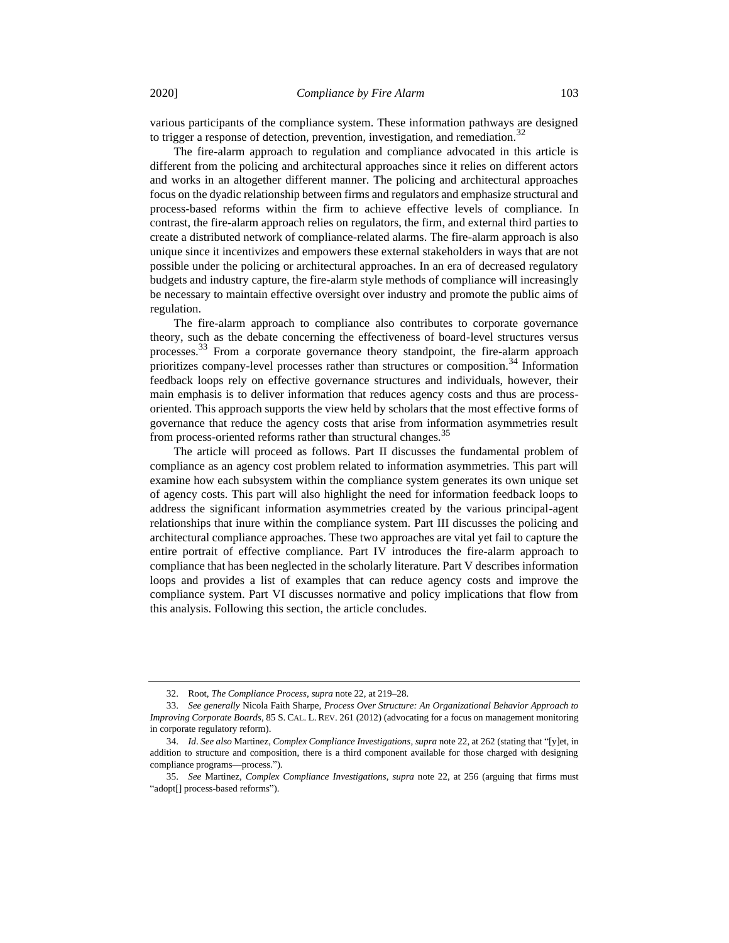various participants of the compliance system. These information pathways are designed to trigger a response of detection, prevention, investigation, and remediation.<sup>32</sup>

The fire-alarm approach to regulation and compliance advocated in this article is different from the policing and architectural approaches since it relies on different actors and works in an altogether different manner. The policing and architectural approaches focus on the dyadic relationship between firms and regulators and emphasize structural and process-based reforms within the firm to achieve effective levels of compliance. In contrast, the fire-alarm approach relies on regulators, the firm, and external third parties to create a distributed network of compliance-related alarms. The fire-alarm approach is also unique since it incentivizes and empowers these external stakeholders in ways that are not possible under the policing or architectural approaches. In an era of decreased regulatory budgets and industry capture, the fire-alarm style methods of compliance will increasingly be necessary to maintain effective oversight over industry and promote the public aims of regulation.

<span id="page-6-0"></span>The fire-alarm approach to compliance also contributes to corporate governance theory, such as the debate concerning the effectiveness of board-level structures versus processes.<sup>33</sup> From a corporate governance theory standpoint, the fire-alarm approach prioritizes company-level processes rather than structures or composition.<sup>34</sup> Information feedback loops rely on effective governance structures and individuals, however, their main emphasis is to deliver information that reduces agency costs and thus are processoriented. This approach supports the view held by scholars that the most effective forms of governance that reduce the agency costs that arise from information asymmetries result from process-oriented reforms rather than structural changes.<sup>35</sup>

The article will proceed as follows. Part II discusses the fundamental problem of compliance as an agency cost problem related to information asymmetries. This part will examine how each subsystem within the compliance system generates its own unique set of agency costs. This part will also highlight the need for information feedback loops to address the significant information asymmetries created by the various principal-agent relationships that inure within the compliance system. Part III discusses the policing and architectural compliance approaches. These two approaches are vital yet fail to capture the entire portrait of effective compliance. Part IV introduces the fire-alarm approach to compliance that has been neglected in the scholarly literature. Part V describes information loops and provides a list of examples that can reduce agency costs and improve the compliance system. Part VI discusses normative and policy implications that flow from this analysis. Following this section, the article concludes.

<sup>32.</sup> Root, *The Compliance Process*, *supra* not[e 22,](#page-4-0) at 219–28.

<sup>33.</sup> *See generally* Nicola Faith Sharpe, *Process Over Structure: An Organizational Behavior Approach to Improving Corporate Boards*, 85 S. CAL. L. REV. 261 (2012) (advocating for a focus on management monitoring in corporate regulatory reform).

<sup>34.</sup> *Id*. *See also* Martinez, *Complex Compliance Investigations*, *supra* not[e 22,](#page-4-0) at 262 (stating that "[y]et, in addition to structure and composition, there is a third component available for those charged with designing compliance programs—process.").

<sup>35.</sup> *See* Martinez, *Complex Compliance Investigations*, *supra* note [22,](#page-4-0) at 256 (arguing that firms must "adopt[] process-based reforms").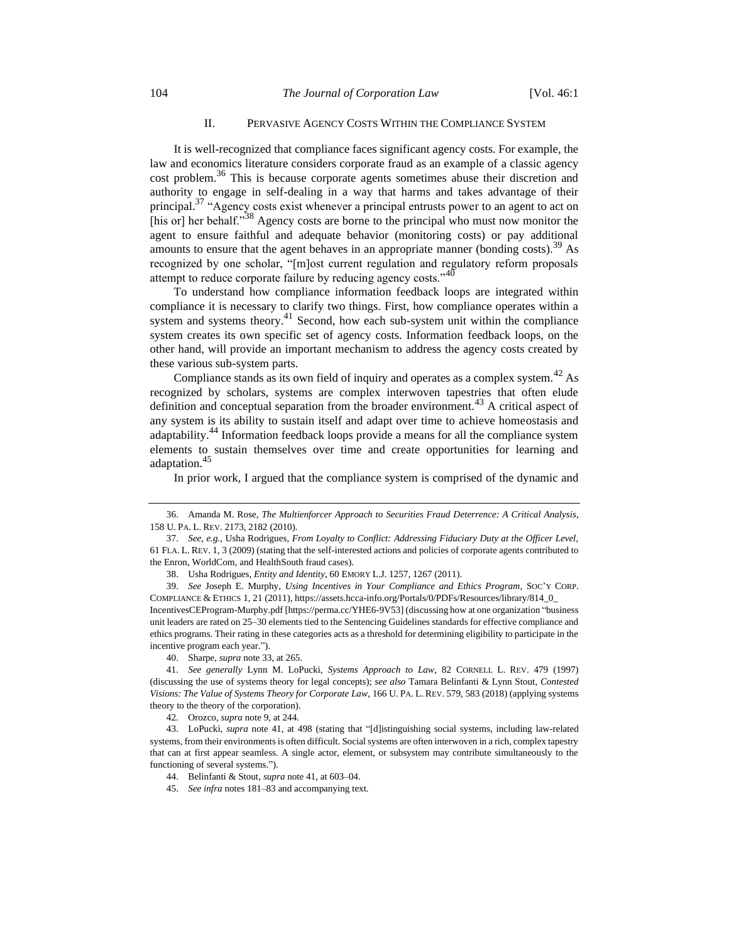#### II. PERVASIVE AGENCY COSTS WITHIN THE COMPLIANCE SYSTEM

It is well-recognized that compliance faces significant agency costs. For example, the law and economics literature considers corporate fraud as an example of a classic agency cost problem.<sup>36</sup> This is because corporate agents sometimes abuse their discretion and authority to engage in self-dealing in a way that harms and takes advantage of their principal.<sup>37</sup> "Agency costs exist whenever a principal entrusts power to an agent to act on [his or] her behalf."<sup>38</sup> Agency costs are borne to the principal who must now monitor the agent to ensure faithful and adequate behavior (monitoring costs) or pay additional amounts to ensure that the agent behaves in an appropriate manner (bonding costs).<sup>39</sup> As recognized by one scholar, "[m]ost current regulation and regulatory reform proposals attempt to reduce corporate failure by reducing agency costs."<sup>40</sup>

<span id="page-7-0"></span>To understand how compliance information feedback loops are integrated within compliance it is necessary to clarify two things. First, how compliance operates within a system and systems theory. $41$  Second, how each sub-system unit within the compliance system creates its own specific set of agency costs. Information feedback loops, on the other hand, will provide an important mechanism to address the agency costs created by these various sub-system parts.

Compliance stands as its own field of inquiry and operates as a complex system.<sup>42</sup> As recognized by scholars, systems are complex interwoven tapestries that often elude definition and conceptual separation from the broader environment.<sup>43</sup> A critical aspect of any system is its ability to sustain itself and adapt over time to achieve homeostasis and adaptability.<sup>44</sup> Information feedback loops provide a means for all the compliance system elements to sustain themselves over time and create opportunities for learning and adaptation.<sup>45</sup>

In prior work, I argued that the compliance system is comprised of the dynamic and

42. Orozco, *supra* not[e 9,](#page-3-2) at 244.

<sup>36.</sup> Amanda M. Rose, *The Multienforcer Approach to Securities Fraud Deterrence: A Critical Analysis*, 158 U. PA. L. REV. 2173, 2182 (2010).

<sup>37.</sup> *See, e.g.*, Usha Rodrigues, *From Loyalty to Conflict: Addressing Fiduciary Duty at the Officer Level,* 61 FLA. L. REV. 1, 3 (2009) (stating that the self-interested actions and policies of corporate agents contributed to the Enron, WorldCom, and HealthSouth fraud cases).

<sup>38.</sup> Usha Rodrigues, *Entity and Identity*, 60 EMORY L.J. 1257, 1267 (2011).

<sup>39.</sup> *See* Joseph E. Murphy, *Using Incentives in Your Compliance and Ethics Program*, SOC'Y CORP. COMPLIANCE & ETHICS 1, 21 (2011), https://assets.hcca-info.org/Portals/0/PDFs/Resources/library/814\_0\_

IncentivesCEProgram-Murphy.pdf [https://perma.cc/YHE6-9V53] (discussing how at one organization "business unit leaders are rated on 25–30 elements tied to the Sentencing Guidelines standards for effective compliance and ethics programs. Their rating in these categories acts as a threshold for determining eligibility to participate in the incentive program each year.").

<sup>40.</sup> Sharpe, *supra* not[e 33,](#page-6-0) at 265.

<sup>41.</sup> *See generally* Lynn M. LoPucki, *Systems Approach to Law*, 82 CORNELL L. REV. 479 (1997) (discussing the use of systems theory for legal concepts); *see also* Tamara Belinfanti & Lynn Stout, *Contested Visions: The Value of Systems Theory for Corporate Law*, 166 U. PA. L. REV. 579, 583 (2018) (applying systems theory to the theory of the corporation).

<sup>43.</sup> LoPucki, *supra* note [41,](#page-7-0) at 498 (stating that "[d]istinguishing social systems, including law-related systems, from their environments is often difficult. Social systems are often interwoven in a rich, complex tapestry that can at first appear seamless. A single actor, element, or subsystem may contribute simultaneously to the functioning of several systems.").

<sup>44.</sup> Belinfanti & Stout, *supra* not[e 41,](#page-7-0) at 603–04.

<sup>45.</sup> *See infra* note[s 181–](#page-26-0)83 and accompanying text.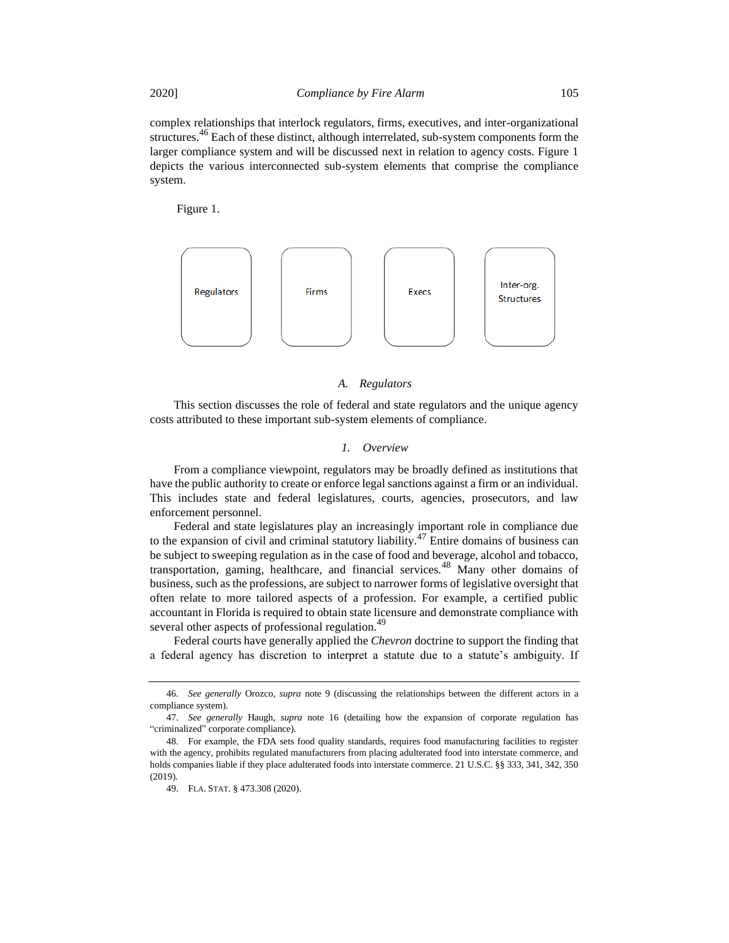complex relationships that interlock regulators, firms, executives, and inter-organizational structures.<sup>46</sup> Each of these distinct, although interrelated, sub-system components form the larger compliance system and will be discussed next in relation to agency costs. Figure 1 depicts the various interconnected sub-system elements that comprise the compliance system.

Figure 1.



#### *A. Regulators*

This section discusses the role of federal and state regulators and the unique agency costs attributed to these important sub-system elements of compliance.

#### *1. Overview*

From a compliance viewpoint, regulators may be broadly defined as institutions that have the public authority to create or enforce legal sanctions against a firm or an individual. This includes state and federal legislatures, courts, agencies, prosecutors, and law enforcement personnel.

Federal and state legislatures play an increasingly important role in compliance due to the expansion of civil and criminal statutory liability.<sup>47</sup> Entire domains of business can be subject to sweeping regulation as in the case of food and beverage, alcohol and tobacco, transportation, gaming, healthcare, and financial services.<sup>48</sup> Many other domains of business, such as the professions, are subject to narrower forms of legislative oversight that often relate to more tailored aspects of a profession. For example, a certified public accountant in Florida is required to obtain state licensure and demonstrate compliance with several other aspects of professional regulation.<sup>49</sup>

Federal courts have generally applied the *Chevron* doctrine to support the finding that a federal agency has discretion to interpret a statute due to a statute's ambiguity. If

<sup>46.</sup> *See generally* Orozco, *supra* note [9](#page-3-2) (discussing the relationships between the different actors in a compliance system).

<sup>47.</sup> *See generally* Haugh, *supra* note [16](#page-4-1) (detailing how the expansion of corporate regulation has "criminalized" corporate compliance).

<sup>48.</sup> For example, the FDA sets food quality standards, requires food manufacturing facilities to register with the agency, prohibits regulated manufacturers from placing adulterated food into interstate commerce, and holds companies liable if they place adulterated foods into interstate commerce. 21 U.S.C. §§ 333, 341, 342, 350 (2019).

<sup>49.</sup> FLA. STAT. § 473.308 (2020).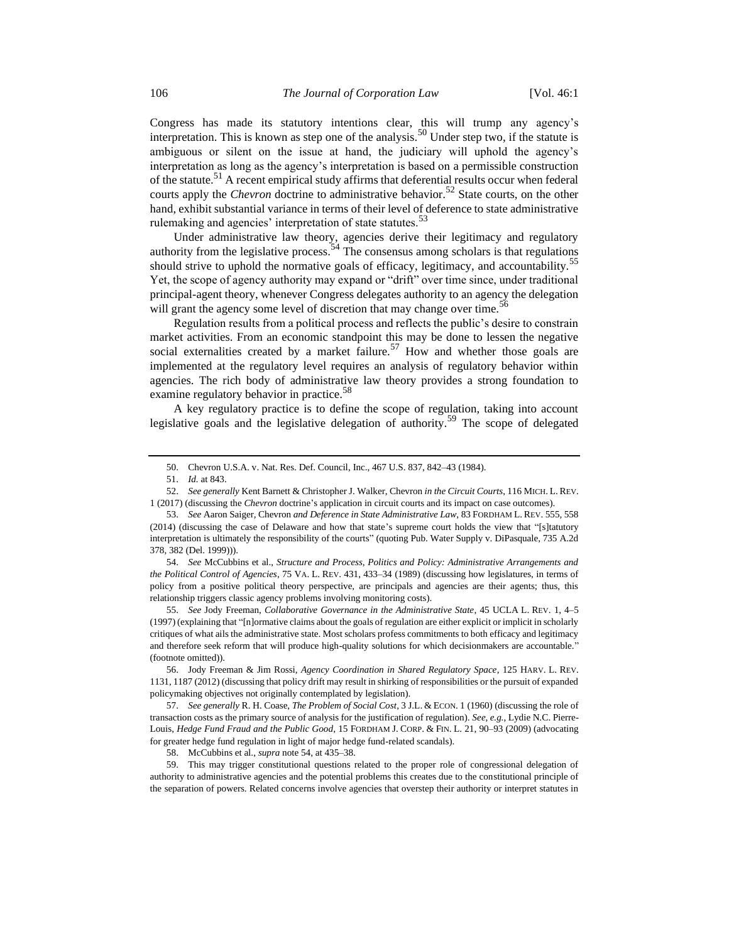Congress has made its statutory intentions clear, this will trump any agency's interpretation. This is known as step one of the analysis.<sup>50</sup> Under step two, if the statute is ambiguous or silent on the issue at hand, the judiciary will uphold the agency's interpretation as long as the agency's interpretation is based on a permissible construction of the statute.<sup>51</sup> A recent empirical study affirms that deferential results occur when federal courts apply the *Chevron* doctrine to administrative behavior.<sup>52</sup> State courts, on the other hand, exhibit substantial variance in terms of their level of deference to state administrative rulemaking and agencies' interpretation of state statutes.<sup>53</sup>

<span id="page-9-2"></span><span id="page-9-0"></span>Under administrative law theory, agencies derive their legitimacy and regulatory authority from the legislative process.<sup>54</sup> The consensus among scholars is that regulations should strive to uphold the normative goals of efficacy, legitimacy, and accountability.<sup>55</sup> Yet, the scope of agency authority may expand or "drift" over time since, under traditional principal-agent theory, whenever Congress delegates authority to an agency the delegation will grant the agency some level of discretion that may change over time.<sup>56</sup>

<span id="page-9-1"></span>Regulation results from a political process and reflects the public's desire to constrain market activities. From an economic standpoint this may be done to lessen the negative social externalities created by a market failure.<sup>57</sup> How and whether those goals are implemented at the regulatory level requires an analysis of regulatory behavior within agencies. The rich body of administrative law theory provides a strong foundation to examine regulatory behavior in practice.<sup>58</sup>

A key regulatory practice is to define the scope of regulation, taking into account legislative goals and the legislative delegation of authority.<sup>59</sup> The scope of delegated

54. *See* McCubbins et al., *Structure and Process, Politics and Policy: Administrative Arrangements and the Political Control of Agencies*, 75 VA. L. REV. 431, 433–34 (1989) (discussing how legislatures, in terms of policy from a positive political theory perspective, are principals and agencies are their agents; thus, this relationship triggers classic agency problems involving monitoring costs).

55. *See* Jody Freeman, *Collaborative Governance in the Administrative State*, 45 UCLA L. REV. 1, 4–5 (1997) (explaining that "[n]ormative claims about the goals of regulation are either explicit or implicit in scholarly critiques of what ails the administrative state. Most scholars profess commitments to both efficacy and legitimacy and therefore seek reform that will produce high-quality solutions for which decisionmakers are accountable." (footnote omitted)).

56. Jody Freeman & Jim Rossi, *Agency Coordination in Shared Regulatory Space*, 125 HARV. L. REV. 1131, 1187 (2012) (discussing that policy drift may result in shirking of responsibilities or the pursuit of expanded policymaking objectives not originally contemplated by legislation).

57. *See generally* R. H. Coase, *The Problem of Social Cost*, 3 J.L. & ECON. 1 (1960) (discussing the role of transaction costs as the primary source of analysis for the justification of regulation). *See, e.g.*, Lydie N.C. Pierre-Louis, *Hedge Fund Fraud and the Public Good*, 15 FORDHAM J. CORP. & FIN. L. 21, 90–93 (2009) (advocating for greater hedge fund regulation in light of major hedge fund-related scandals).

58. McCubbins et al., *supra* not[e 54,](#page-9-0) at 435–38.

59. This may trigger constitutional questions related to the proper role of congressional delegation of authority to administrative agencies and the potential problems this creates due to the constitutional principle of the separation of powers. Related concerns involve agencies that overstep their authority or interpret statutes in

<sup>50.</sup> Chevron U.S.A. v. Nat. Res. Def. Council, Inc., 467 U.S. 837, 842–43 (1984).

<sup>51.</sup> *Id.* at 843.

<sup>52.</sup> *See generally* Kent Barnett & Christopher J. Walker, Chevron *in the Circuit Courts*, 116 MICH. L. REV. 1 (2017) (discussing the *Chevron* doctrine's application in circuit courts and its impact on case outcomes).

<sup>53.</sup> *See* Aaron Saiger, Chevron *and Deference in State Administrative Law*, 83 FORDHAM L. REV. 555, 558 (2014) (discussing the case of Delaware and how that state's supreme court holds the view that "[s]tatutory interpretation is ultimately the responsibility of the courts" (quoting Pub. Water Supply v. DiPasquale, 735 A.2d 378, 382 (Del. 1999))).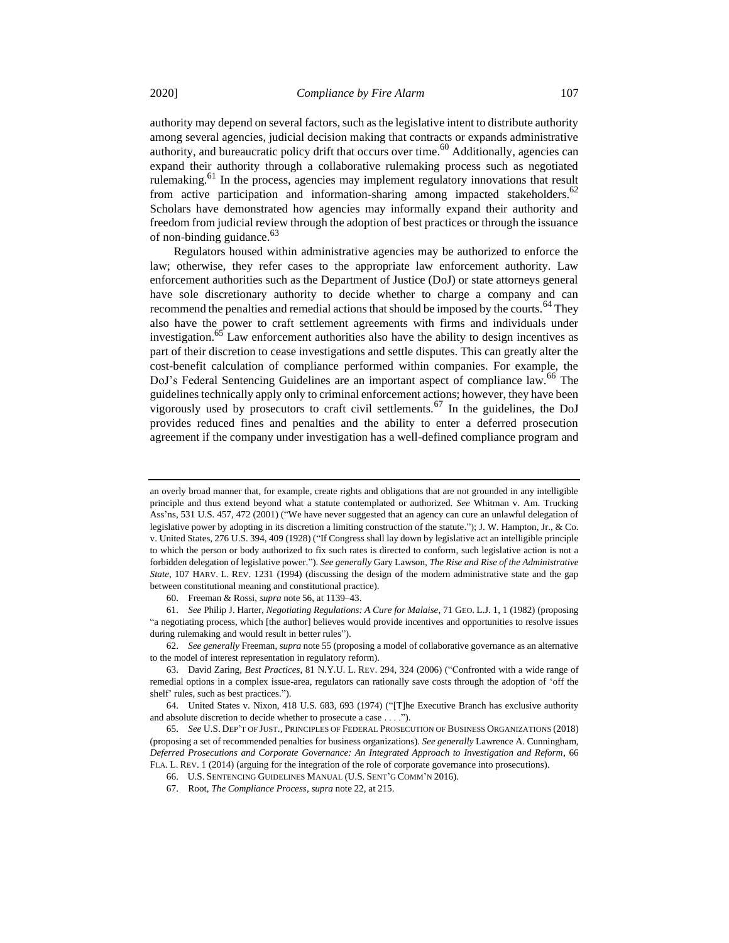authority may depend on several factors, such as the legislative intent to distribute authority among several agencies, judicial decision making that contracts or expands administrative authority, and bureaucratic policy drift that occurs over time.<sup>60</sup> Additionally, agencies can expand their authority through a collaborative rulemaking process such as negotiated rulemaking.<sup>61</sup> In the process, agencies may implement regulatory innovations that result from active participation and information-sharing among impacted stakeholders.<sup>62</sup> Scholars have demonstrated how agencies may informally expand their authority and freedom from judicial review through the adoption of best practices or through the issuance of non-binding guidance. $63$ 

<span id="page-10-0"></span>Regulators housed within administrative agencies may be authorized to enforce the law; otherwise, they refer cases to the appropriate law enforcement authority. Law enforcement authorities such as the Department of Justice (DoJ) or state attorneys general have sole discretionary authority to decide whether to charge a company and can recommend the penalties and remedial actions that should be imposed by the courts.<sup>64</sup> They also have the power to craft settlement agreements with firms and individuals under investigation.<sup>65</sup> Law enforcement authorities also have the ability to design incentives as part of their discretion to cease investigations and settle disputes. This can greatly alter the cost-benefit calculation of compliance performed within companies. For example, the DoJ's Federal Sentencing Guidelines are an important aspect of compliance law.<sup>66</sup> The guidelines technically apply only to criminal enforcement actions; however, they have been vigorously used by prosecutors to craft civil settlements.<sup>67</sup> In the guidelines, the DoJ provides reduced fines and penalties and the ability to enter a deferred prosecution agreement if the company under investigation has a well-defined compliance program and

an overly broad manner that, for example, create rights and obligations that are not grounded in any intelligible principle and thus extend beyond what a statute contemplated or authorized. *See* Whitman v. Am. Trucking Ass'ns, 531 U.S. 457, 472 (2001) ("We have never suggested that an agency can cure an unlawful delegation of legislative power by adopting in its discretion a limiting construction of the statute."); J. W. Hampton, Jr., & Co. v. United States, 276 U.S. 394, 409 (1928) ("If Congress shall lay down by legislative act an intelligible principle to which the person or body authorized to fix such rates is directed to conform, such legislative action is not a forbidden delegation of legislative power."). *See generally* Gary Lawson, *The Rise and Rise of the Administrative State*, 107 HARV. L. REV. 1231 (1994) (discussing the design of the modern administrative state and the gap between constitutional meaning and constitutional practice).

<sup>60.</sup> Freeman & Rossi, *supra* not[e 56,](#page-9-1) at 1139–43.

<sup>61.</sup> *See* Philip J. Harter, *Negotiating Regulations: A Cure for Malaise*, 71 GEO. L.J. 1, 1 (1982) (proposing "a negotiating process, which [the author] believes would provide incentives and opportunities to resolve issues during rulemaking and would result in better rules").

<sup>62.</sup> *See generally* Freeman, *supra* not[e 55](#page-9-2) (proposing a model of collaborative governance as an alternative to the model of interest representation in regulatory reform).

<sup>63.</sup> David Zaring, *Best Practices*, 81 N.Y.U. L. REV. 294, 324 (2006) ("Confronted with a wide range of remedial options in a complex issue-area, regulators can rationally save costs through the adoption of 'off the shelf' rules, such as best practices.").

<sup>64.</sup> United States v. Nixon, 418 U.S. 683, 693 (1974) ("[T]he Executive Branch has exclusive authority and absolute discretion to decide whether to prosecute a case . . . .").

<sup>65.</sup> *See* U.S. DEP'T OF JUST., PRINCIPLES OF FEDERAL PROSECUTION OF BUSINESS ORGANIZATIONS (2018) (proposing a set of recommended penalties for business organizations). *See generally* Lawrence A. Cunningham, *Deferred Prosecutions and Corporate Governance: An Integrated Approach to Investigation and Reform*, 66 FLA. L. REV. 1 (2014) (arguing for the integration of the role of corporate governance into prosecutions).

<sup>66.</sup> U.S. SENTENCING GUIDELINES MANUAL (U.S. SENT'G COMM'N 2016).

<sup>67.</sup> Root, *The Compliance Process*, *supra* not[e 22,](#page-4-0) at 215.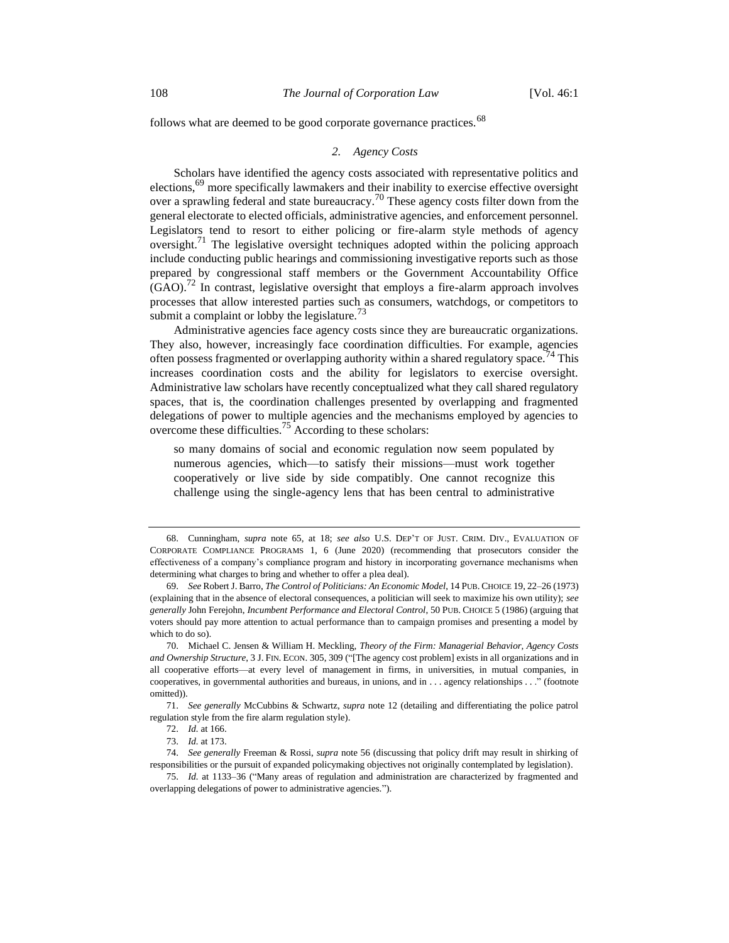follows what are deemed to be good corporate governance practices.  $68$ 

## <span id="page-11-1"></span><span id="page-11-0"></span>*2. Agency Costs*

Scholars have identified the agency costs associated with representative politics and elections,<sup>69</sup> more specifically lawmakers and their inability to exercise effective oversight over a sprawling federal and state bureaucracy.<sup>70</sup> These agency costs filter down from the general electorate to elected officials, administrative agencies, and enforcement personnel. Legislators tend to resort to either policing or fire-alarm style methods of agency oversight.<sup>71</sup> The legislative oversight techniques adopted within the policing approach include conducting public hearings and commissioning investigative reports such as those prepared by congressional staff members or the Government Accountability Office  $(GAO)$ .<sup>72</sup> In contrast, legislative oversight that employs a fire-alarm approach involves processes that allow interested parties such as consumers, watchdogs, or competitors to submit a complaint or lobby the legislature.<sup>73</sup>

Administrative agencies face agency costs since they are bureaucratic organizations. They also, however, increasingly face coordination difficulties. For example, agencies often possess fragmented or overlapping authority within a shared regulatory space.<sup>74</sup> This increases coordination costs and the ability for legislators to exercise oversight. Administrative law scholars have recently conceptualized what they call shared regulatory spaces, that is, the coordination challenges presented by overlapping and fragmented delegations of power to multiple agencies and the mechanisms employed by agencies to overcome these difficulties.<sup>75</sup> According to these scholars:

so many domains of social and economic regulation now seem populated by numerous agencies, which—to satisfy their missions—must work together cooperatively or live side by side compatibly. One cannot recognize this challenge using the single-agency lens that has been central to administrative

<sup>68.</sup> Cunningham, *supra* note [65,](#page-10-0) at 18; *see also* U.S. DEP'T OF JUST. CRIM. DIV., EVALUATION OF CORPORATE COMPLIANCE PROGRAMS 1, 6 (June 2020) (recommending that prosecutors consider the effectiveness of a company's compliance program and history in incorporating governance mechanisms when determining what charges to bring and whether to offer a plea deal).

<sup>69.</sup> *See* Robert J. Barro, *The Control of Politicians: An Economic Model*, 14 PUB. CHOICE 19, 22–26 (1973) (explaining that in the absence of electoral consequences, a politician will seek to maximize his own utility); *see generally* John Ferejohn, *Incumbent Performance and Electoral Control*, 50 PUB. CHOICE 5 (1986) (arguing that voters should pay more attention to actual performance than to campaign promises and presenting a model by which to do so).

<sup>70.</sup> Michael C. Jensen & William H. Meckling, *Theory of the Firm: Managerial Behavior, Agency Costs and Ownership Structure*, 3 J. FIN. ECON. 305, 309 ("[The agency cost problem] exists in all organizations and in all cooperative efforts—at every level of management in firms, in universities, in mutual companies, in cooperatives, in governmental authorities and bureaus, in unions, and in . . . agency relationships . . ." (footnote omitted)).

<sup>71.</sup> *See generally* McCubbins & Schwartz, *supra* not[e 12](#page-3-1) (detailing and differentiating the police patrol regulation style from the fire alarm regulation style).

<sup>72.</sup> *Id.* at 166.

<sup>73.</sup> *Id.* at 173.

<sup>74.</sup> *See generally* Freeman & Rossi, *supra* note [56](#page-9-1) (discussing that policy drift may result in shirking of responsibilities or the pursuit of expanded policymaking objectives not originally contemplated by legislation).

<sup>75.</sup> *Id.* at 1133–36 ("Many areas of regulation and administration are characterized by fragmented and overlapping delegations of power to administrative agencies.").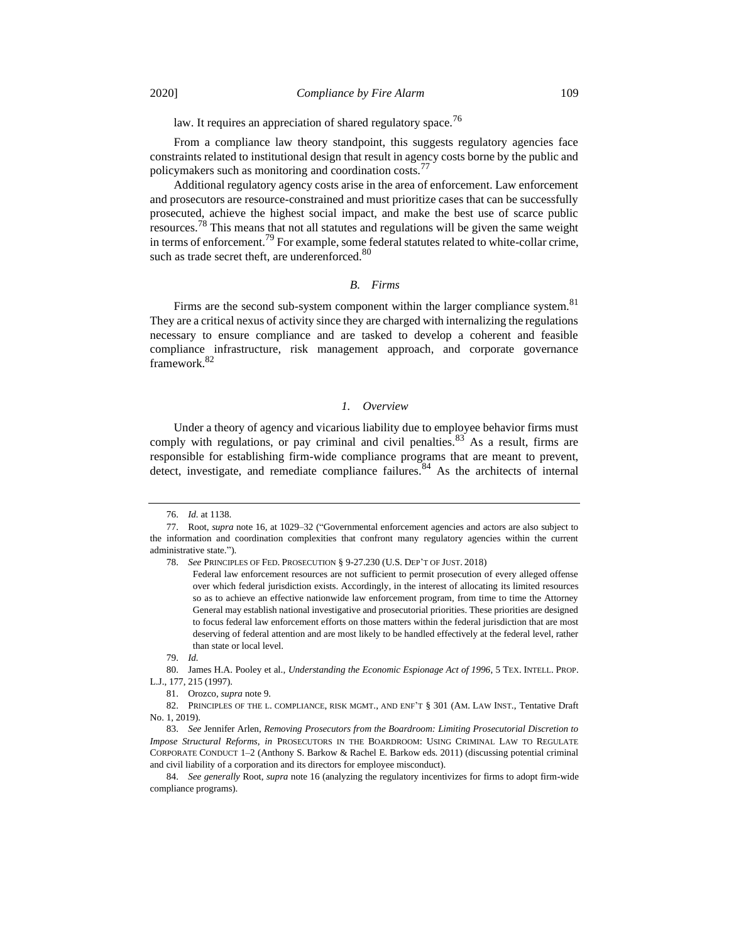law. It requires an appreciation of shared regulatory space.<sup>76</sup>

From a compliance law theory standpoint, this suggests regulatory agencies face constraints related to institutional design that result in agency costs borne by the public and policymakers such as monitoring and coordination costs.<sup>77</sup>

Additional regulatory agency costs arise in the area of enforcement. Law enforcement and prosecutors are resource-constrained and must prioritize cases that can be successfully prosecuted, achieve the highest social impact, and make the best use of scarce public resources.<sup>78</sup> This means that not all statutes and regulations will be given the same weight in terms of enforcement.<sup>79</sup> For example, some federal statutes related to white-collar crime, such as trade secret theft, are underenforced.<sup>80</sup>

#### *B. Firms*

Firms are the second sub-system component within the larger compliance system.<sup>81</sup> They are a critical nexus of activity since they are charged with internalizing the regulations necessary to ensure compliance and are tasked to develop a coherent and feasible compliance infrastructure, risk management approach, and corporate governance framework.<sup>82</sup>

## *1. Overview*

Under a theory of agency and vicarious liability due to employee behavior firms must comply with regulations, or pay criminal and civil penalties.  $83\text{ As a result, firms are}$ responsible for establishing firm-wide compliance programs that are meant to prevent, detect, investigate, and remediate compliance failures.<sup>84</sup> As the architects of internal

<sup>76.</sup> *Id.* at 1138.

<sup>77.</sup> Root, *supra* not[e 16,](#page-4-1) at 1029–32 ("Governmental enforcement agencies and actors are also subject to the information and coordination complexities that confront many regulatory agencies within the current administrative state.").

<sup>78.</sup> *See* PRINCIPLES OF FED. PROSECUTION § 9-27.230 (U.S. DEP'T OF JUST. 2018)

Federal law enforcement resources are not sufficient to permit prosecution of every alleged offense over which federal jurisdiction exists. Accordingly, in the interest of allocating its limited resources so as to achieve an effective nationwide law enforcement program, from time to time the Attorney General may establish national investigative and prosecutorial priorities. These priorities are designed to focus federal law enforcement efforts on those matters within the federal jurisdiction that are most deserving of federal attention and are most likely to be handled effectively at the federal level, rather than state or local level.

<sup>79.</sup> *Id.*

<sup>80.</sup> James H.A. Pooley et al., *Understanding the Economic Espionage Act of 1996*, 5 TEX. INTELL. PROP. L.J., 177, 215 (1997).

<sup>81.</sup> Orozco, *supra* not[e 9.](#page-3-2) 

<sup>82.</sup> PRINCIPLES OF THE L. COMPLIANCE, RISK MGMT., AND ENF'T § 301 (AM. LAW INST., Tentative Draft No. 1, 2019).

<sup>83.</sup> *See* Jennifer Arlen, *Removing Prosecutors from the Boardroom: Limiting Prosecutorial Discretion to Impose Structural Reforms*, *in* PROSECUTORS IN THE BOARDROOM: USING CRIMINAL LAW TO REGULATE CORPORATE CONDUCT 1–2 (Anthony S. Barkow & Rachel E. Barkow eds. 2011) (discussing potential criminal and civil liability of a corporation and its directors for employee misconduct).

<sup>84.</sup> *See generally* Root, *supra* not[e 16](#page-4-1) (analyzing the regulatory incentivizes for firms to adopt firm-wide compliance programs).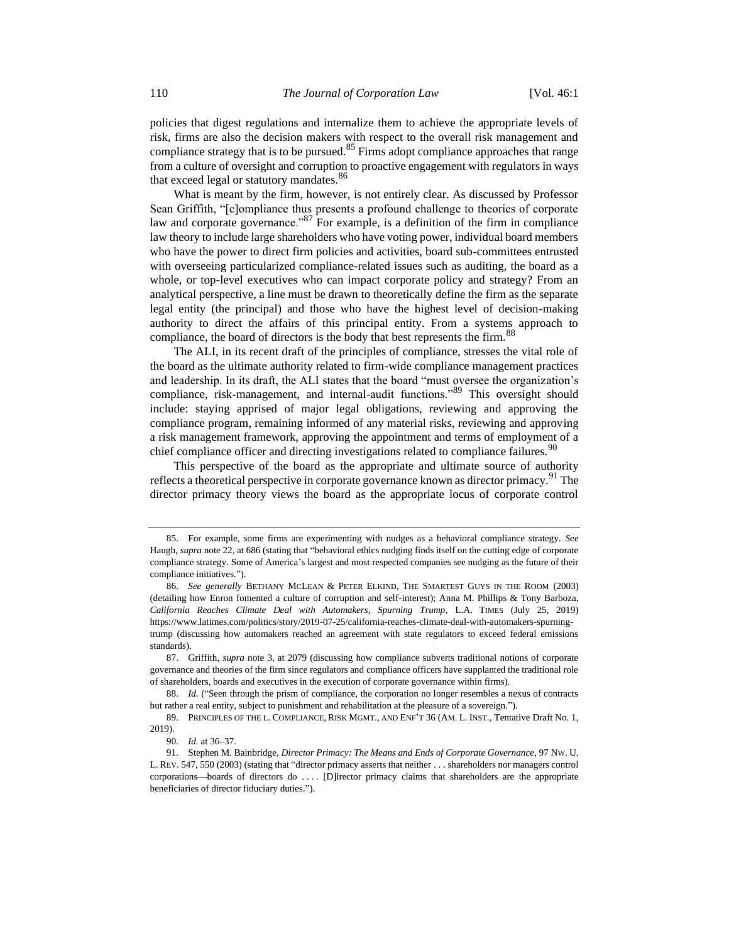policies that digest regulations and internalize them to achieve the appropriate levels of risk, firms are also the decision makers with respect to the overall risk management and compliance strategy that is to be pursued. $85$  Firms adopt compliance approaches that range from a culture of oversight and corruption to proactive engagement with regulators in ways that exceed legal or statutory mandates.<sup>86</sup>

<span id="page-13-1"></span>What is meant by the firm, however, is not entirely clear. As discussed by Professor Sean Griffith, "[c]ompliance thus presents a profound challenge to theories of corporate law and corporate governance."<sup>87</sup> For example, is a definition of the firm in compliance law theory to include large shareholders who have voting power, individual board members who have the power to direct firm policies and activities, board sub-committees entrusted with overseeing particularized compliance-related issues such as auditing, the board as a whole, or top-level executives who can impact corporate policy and strategy? From an analytical perspective, a line must be drawn to theoretically define the firm as the separate legal entity (the principal) and those who have the highest level of decision-making authority to direct the affairs of this principal entity. From a systems approach to compliance, the board of directors is the body that best represents the firm.<sup>88</sup>

The ALI, in its recent draft of the principles of compliance, stresses the vital role of the board as the ultimate authority related to firm-wide compliance management practices and leadership. In its draft, the ALI states that the board "must oversee the organization's compliance, risk-management, and internal-audit functions."<sup>89</sup> This oversight should include: staying apprised of major legal obligations, reviewing and approving the compliance program, remaining informed of any material risks, reviewing and approving a risk management framework, approving the appointment and terms of employment of a chief compliance officer and directing investigations related to compliance failures.<sup>90</sup>

<span id="page-13-0"></span>This perspective of the board as the appropriate and ultimate source of authority reflects a theoretical perspective in corporate governance known as director primacy.<sup>91</sup> The director primacy theory views the board as the appropriate locus of corporate control

<sup>85.</sup> For example, some firms are experimenting with nudges as a behavioral compliance strategy. *See* Haugh, *supra* not[e 22,](#page-4-0) at 686 (stating that "behavioral ethics nudging finds itself on the cutting edge of corporate compliance strategy. Some of America's largest and most respected companies see nudging as the future of their compliance initiatives.").

<sup>86.</sup> *See generally* BETHANY MCLEAN & PETER ELKIND, THE SMARTEST GUYS IN THE ROOM (2003) (detailing how Enron fomented a culture of corruption and self-interest); Anna M. Phillips & Tony Barboza, *California Reaches Climate Deal with Automakers, Spurning Trump*, L.A. TIMES (July 25, 2019) https://www.latimes.com/politics/story/2019-07-25/california-reaches-climate-deal-with-automakers-spurningtrump (discussing how automakers reached an agreement with state regulators to exceed federal emissions standards).

<sup>87.</sup> Griffith, *supra* not[e 3,](#page-2-1) at 2079 (discussing how compliance subverts traditional notions of corporate governance and theories of the firm since regulators and compliance officers have supplanted the traditional role of shareholders, boards and executives in the execution of corporate governance within firms).

<sup>88.</sup> *Id.* ("Seen through the prism of compliance, the corporation no longer resembles a nexus of contracts but rather a real entity, subject to punishment and rehabilitation at the pleasure of a sovereign.").

<sup>89.</sup> PRINCIPLES OF THE L. COMPLIANCE, RISK MGMT., AND ENF'T 36 (AM. L. INST., Tentative Draft No. 1, 2019).

<sup>90.</sup> *Id.* at 36–37.

<sup>91.</sup> Stephen M. Bainbridge, *Director Primacy: The Means and Ends of Corporate Governance*, 97 NW. U. L. REV. 547, 550 (2003) (stating that "director primacy asserts that neither . . . shareholders nor managers control corporations—boards of directors do . . . . [D]irector primacy claims that shareholders are the appropriate beneficiaries of director fiduciary duties.").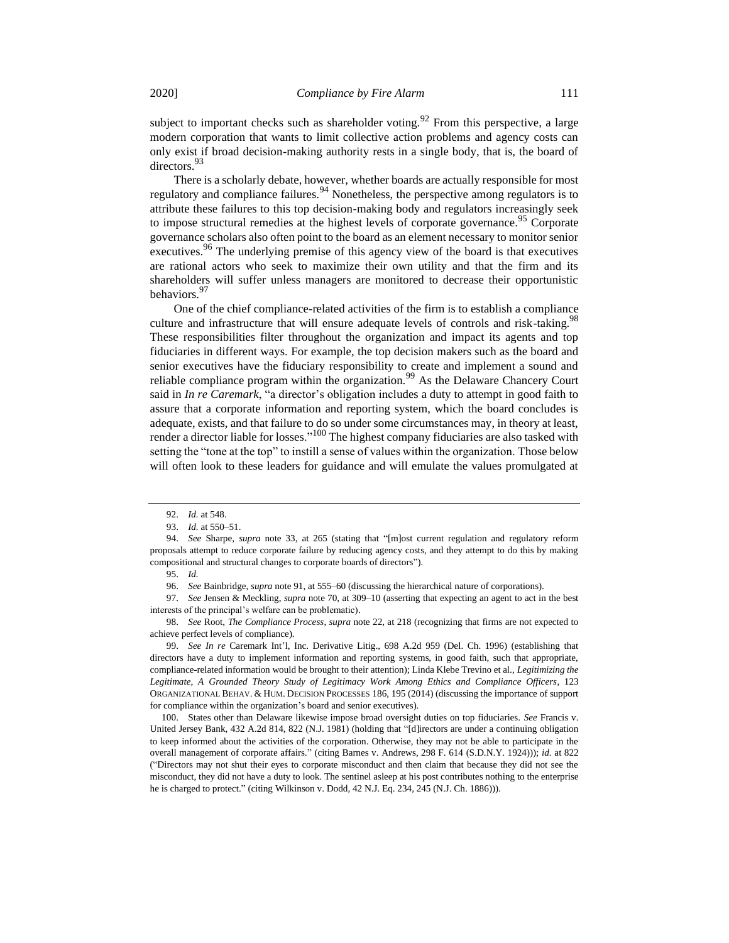subject to important checks such as shareholder voting.<sup>92</sup> From this perspective, a large modern corporation that wants to limit collective action problems and agency costs can only exist if broad decision-making authority rests in a single body, that is, the board of directors.<sup>93</sup>

There is a scholarly debate, however, whether boards are actually responsible for most regulatory and compliance failures.  $94$  Nonetheless, the perspective among regulators is to attribute these failures to this top decision-making body and regulators increasingly seek to impose structural remedies at the highest levels of corporate governance.<sup>95</sup> Corporate governance scholars also often point to the board as an element necessary to monitor senior executives.<sup>96</sup> The underlying premise of this agency view of the board is that executives are rational actors who seek to maximize their own utility and that the firm and its shareholders will suffer unless managers are monitored to decrease their opportunistic behaviors.<sup>97</sup>

One of the chief compliance-related activities of the firm is to establish a compliance culture and infrastructure that will ensure adequate levels of controls and risk-taking.<sup>98</sup> These responsibilities filter throughout the organization and impact its agents and top fiduciaries in different ways. For example, the top decision makers such as the board and senior executives have the fiduciary responsibility to create and implement a sound and reliable compliance program within the organization.<sup>99</sup> As the Delaware Chancery Court said in *In re Caremark*, "a director's obligation includes a duty to attempt in good faith to assure that a corporate information and reporting system, which the board concludes is adequate, exists, and that failure to do so under some circumstances may, in theory at least, render a director liable for losses."<sup>100</sup> The highest company fiduciaries are also tasked with setting the "tone at the top" to instill a sense of values within the organization. Those below will often look to these leaders for guidance and will emulate the values promulgated at

<sup>92.</sup> *Id.* at 548.

<sup>93.</sup> *Id.* at 550–51.

<sup>94.</sup> *See* Sharpe, *supra* note [33,](#page-6-0) at 265 (stating that "[m]ost current regulation and regulatory reform proposals attempt to reduce corporate failure by reducing agency costs, and they attempt to do this by making compositional and structural changes to corporate boards of directors").

<sup>95.</sup> *Id.*

<sup>96.</sup> *See* Bainbridge, *supra* not[e 91,](#page-13-0) at 555–60 (discussing the hierarchical nature of corporations).

<sup>97.</sup> *See* Jensen & Meckling, *supra* not[e 70,](#page-11-0) at 309–10 (asserting that expecting an agent to act in the best interests of the principal's welfare can be problematic).

<sup>98.</sup> *See* Root, *The Compliance Process*, *supra* note [22,](#page-4-0) at 218 (recognizing that firms are not expected to achieve perfect levels of compliance).

<sup>99.</sup> *See In re* Caremark Int'l, Inc. Derivative Litig., 698 A.2d 959 (Del. Ch. 1996) (establishing that directors have a duty to implement information and reporting systems, in good faith, such that appropriate, compliance-related information would be brought to their attention); Linda Klebe Trevino et al., *Legitimizing the Legitimate, A Grounded Theory Study of Legitimacy Work Among Ethics and Compliance Officers*, 123 ORGANIZATIONAL BEHAV. & HUM. DECISION PROCESSES 186, 195 (2014) (discussing the importance of support for compliance within the organization's board and senior executives).

<sup>100.</sup> States other than Delaware likewise impose broad oversight duties on top fiduciaries. *See* Francis v. United Jersey Bank, 432 A.2d 814, 822 (N.J. 1981) (holding that "[d]irectors are under a continuing obligation to keep informed about the activities of the corporation. Otherwise, they may not be able to participate in the overall management of corporate affairs." (citing Barnes v. Andrews, 298 F. 614 (S.D.N.Y. 1924))); *id.* at 822 ("Directors may not shut their eyes to corporate misconduct and then claim that because they did not see the misconduct, they did not have a duty to look. The sentinel asleep at his post contributes nothing to the enterprise he is charged to protect." (citing Wilkinson v. Dodd, 42 N.J. Eq. 234, 245 (N.J. Ch. 1886))).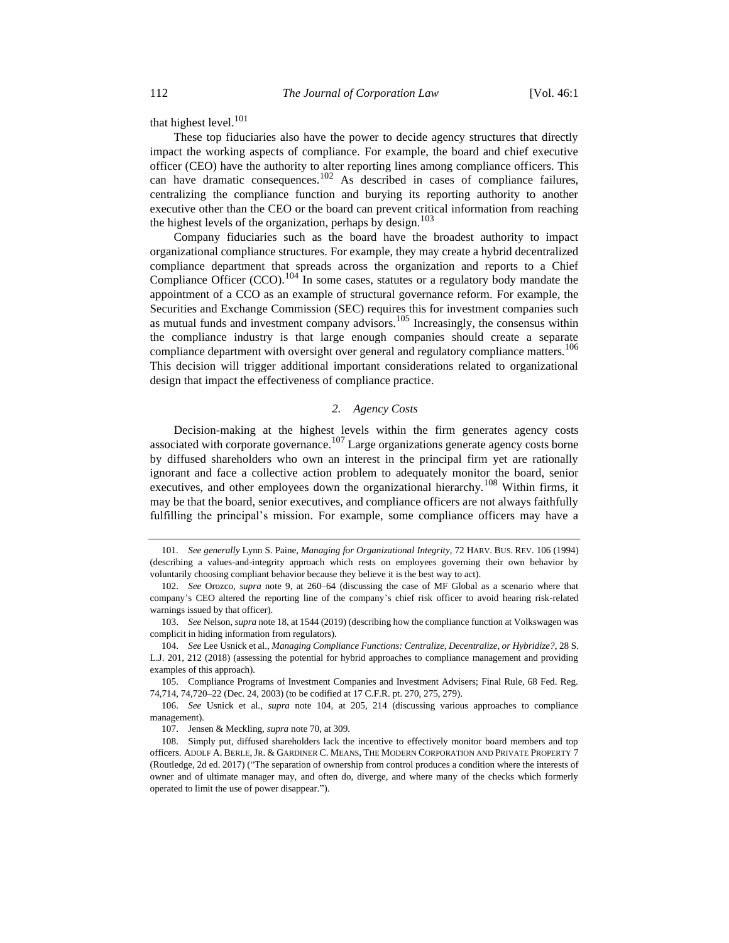that highest level.<sup>101</sup>

These top fiduciaries also have the power to decide agency structures that directly impact the working aspects of compliance. For example, the board and chief executive officer (CEO) have the authority to alter reporting lines among compliance officers. This can have dramatic consequences.<sup>102</sup> As described in cases of compliance failures, centralizing the compliance function and burying its reporting authority to another executive other than the CEO or the board can prevent critical information from reaching the highest levels of the organization, perhaps by design.<sup>103</sup>

<span id="page-15-0"></span>Company fiduciaries such as the board have the broadest authority to impact organizational compliance structures. For example, they may create a hybrid decentralized compliance department that spreads across the organization and reports to a Chief Compliance Officer  $(CCO)$ .<sup>104</sup> In some cases, statutes or a regulatory body mandate the appointment of a CCO as an example of structural governance reform. For example, the Securities and Exchange Commission (SEC) requires this for investment companies such as mutual funds and investment company advisors.<sup>105</sup> Increasingly, the consensus within the compliance industry is that large enough companies should create a separate compliance department with oversight over general and regulatory compliance matters.<sup>106</sup> This decision will trigger additional important considerations related to organizational design that impact the effectiveness of compliance practice.

## *2. Agency Costs*

Decision-making at the highest levels within the firm generates agency costs associated with corporate governance. $107$  Large organizations generate agency costs borne by diffused shareholders who own an interest in the principal firm yet are rationally ignorant and face a collective action problem to adequately monitor the board, senior executives, and other employees down the organizational hierarchy.<sup>108</sup> Within firms, it may be that the board, senior executives, and compliance officers are not always faithfully fulfilling the principal's mission. For example, some compliance officers may have a

<sup>101</sup>*. See generally* Lynn S. Paine, *Managing for Organizational Integrity*, 72 HARV. BUS. REV. 106 (1994) (describing a values-and-integrity approach which rests on employees governing their own behavior by voluntarily choosing compliant behavior because they believe it is the best way to act).

<sup>102.</sup> *See* Orozco, *supra* note [9,](#page-3-2) at 260–64 (discussing the case of MF Global as a scenario where that company's CEO altered the reporting line of the company's chief risk officer to avoid hearing risk-related warnings issued by that officer).

<sup>103.</sup> *See* Nelson, *supra* not[e 18,](#page-4-2) at 1544 (2019) (describing how the compliance function at Volkswagen was complicit in hiding information from regulators).

<sup>104.</sup> *See* Lee Usnick et al., *Managing Compliance Functions: Centralize, Decentralize, or Hybridize?*, 28 S. L.J. 201, 212 (2018) (assessing the potential for hybrid approaches to compliance management and providing examples of this approach).

<sup>105.</sup> Compliance Programs of Investment Companies and Investment Advisers; Final Rule, 68 Fed. Reg. 74,714, 74,720–22 (Dec. 24, 2003) (to be codified at 17 C.F.R. pt. 270, 275, 279).

<sup>106.</sup> *See* Usnick et al., *supra* note [104,](#page-15-0) at 205, 214 (discussing various approaches to compliance management).

<sup>107.</sup> Jensen & Meckling, *supra* not[e 70,](#page-11-0) at 309.

<sup>108.</sup> Simply put, diffused shareholders lack the incentive to effectively monitor board members and top officers. ADOLF A. BERLE, JR. & GARDINER C. MEANS, THE MODERN CORPORATION AND PRIVATE PROPERTY 7 (Routledge, 2d ed. 2017) ("The separation of ownership from control produces a condition where the interests of owner and of ultimate manager may, and often do, diverge, and where many of the checks which formerly operated to limit the use of power disappear.").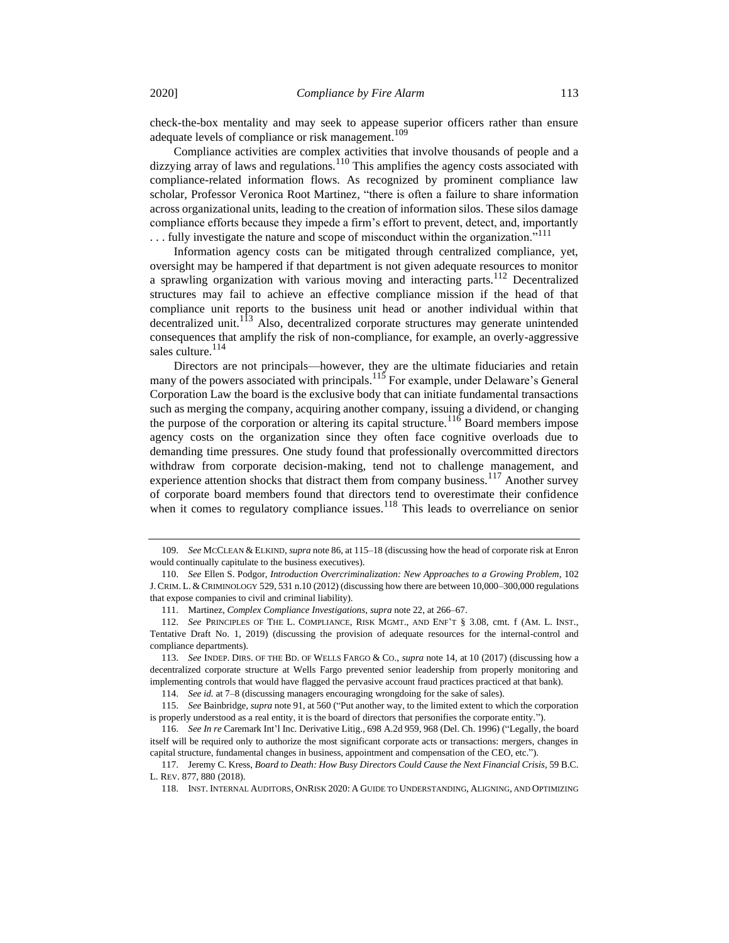check-the-box mentality and may seek to appease superior officers rather than ensure adequate levels of compliance or risk management.<sup>109</sup>

Compliance activities are complex activities that involve thousands of people and a  $\frac{d}{dz}$  dizzying array of laws and regulations.<sup>110</sup> This amplifies the agency costs associated with compliance-related information flows. As recognized by prominent compliance law scholar, Professor Veronica Root Martinez, "there is often a failure to share information across organizational units, leading to the creation of information silos. These silos damage compliance efforts because they impede a firm's effort to prevent, detect, and, importantly  $\dots$  fully investigate the nature and scope of misconduct within the organization."<sup>111</sup>

Information agency costs can be mitigated through centralized compliance, yet, oversight may be hampered if that department is not given adequate resources to monitor a sprawling organization with various moving and interacting parts.<sup>112</sup> Decentralized structures may fail to achieve an effective compliance mission if the head of that compliance unit reports to the business unit head or another individual within that decentralized unit.<sup>113</sup> Also, decentralized corporate structures may generate unintended consequences that amplify the risk of non-compliance, for example, an overly-aggressive sales culture.<sup>114</sup>

Directors are not principals—however, they are the ultimate fiduciaries and retain many of the powers associated with principals.<sup>115</sup> For example, under Delaware's General Corporation Law the board is the exclusive body that can initiate fundamental transactions such as merging the company, acquiring another company, issuing a dividend, or changing the purpose of the corporation or altering its capital structure.<sup>116</sup> Board members impose agency costs on the organization since they often face cognitive overloads due to demanding time pressures. One study found that professionally overcommitted directors withdraw from corporate decision-making, tend not to challenge management, and experience attention shocks that distract them from company business.<sup>117</sup> Another survey of corporate board members found that directors tend to overestimate their confidence when it comes to regulatory compliance issues.<sup>118</sup> This leads to overreliance on senior

114. *See id.* at 7–8 (discussing managers encouraging wrongdoing for the sake of sales).

<sup>109.</sup> *See* MCCLEAN & ELKIND, *supra* not[e 86,](#page-13-1) at 115–18 (discussing how the head of corporate risk at Enron would continually capitulate to the business executives).

<sup>110.</sup> *See* Ellen S. Podgor, *Introduction Overcriminalization: New Approaches to a Growing Problem*, 102 J. CRIM. L. & CRIMINOLOGY 529, 531 n.10 (2012) (discussing how there are between 10,000–300,000 regulations that expose companies to civil and criminal liability).

<sup>111.</sup> Martinez, *Complex Compliance Investigations*, *supra* not[e 22,](#page-4-0) at 266–67.

<sup>112.</sup> *See* PRINCIPLES OF THE L. COMPLIANCE, RISK MGMT., AND ENF'T § 3.08, cmt. f (AM. L. INST., Tentative Draft No. 1, 2019) (discussing the provision of adequate resources for the internal-control and compliance departments).

<sup>113.</sup> *See* INDEP. DIRS. OF THE BD. OF WELLS FARGO & CO., *supra* not[e 14,](#page-3-3) at 10 (2017) (discussing how a decentralized corporate structure at Wells Fargo prevented senior leadership from properly monitoring and implementing controls that would have flagged the pervasive account fraud practices practiced at that bank).

<sup>115.</sup> *See* Bainbridge, *supra* not[e 91,](#page-13-0) at 560 ("Put another way, to the limited extent to which the corporation is properly understood as a real entity, it is the board of directors that personifies the corporate entity.").

<sup>116.</sup> *See In re* Caremark Int'l Inc. Derivative Litig., 698 A.2d 959, 968 (Del. Ch. 1996) ("Legally, the board itself will be required only to authorize the most significant corporate acts or transactions: mergers, changes in capital structure, fundamental changes in business, appointment and compensation of the CEO, etc.").

<sup>117.</sup> Jeremy C. Kress, *Board to Death: How Busy Directors Could Cause the Next Financial Crisis*, 59 B.C. L. REV. 877, 880 (2018).

<sup>118.</sup> INST. INTERNAL AUDITORS, ONRISK 2020: A GUIDE TO UNDERSTANDING, ALIGNING, AND OPTIMIZING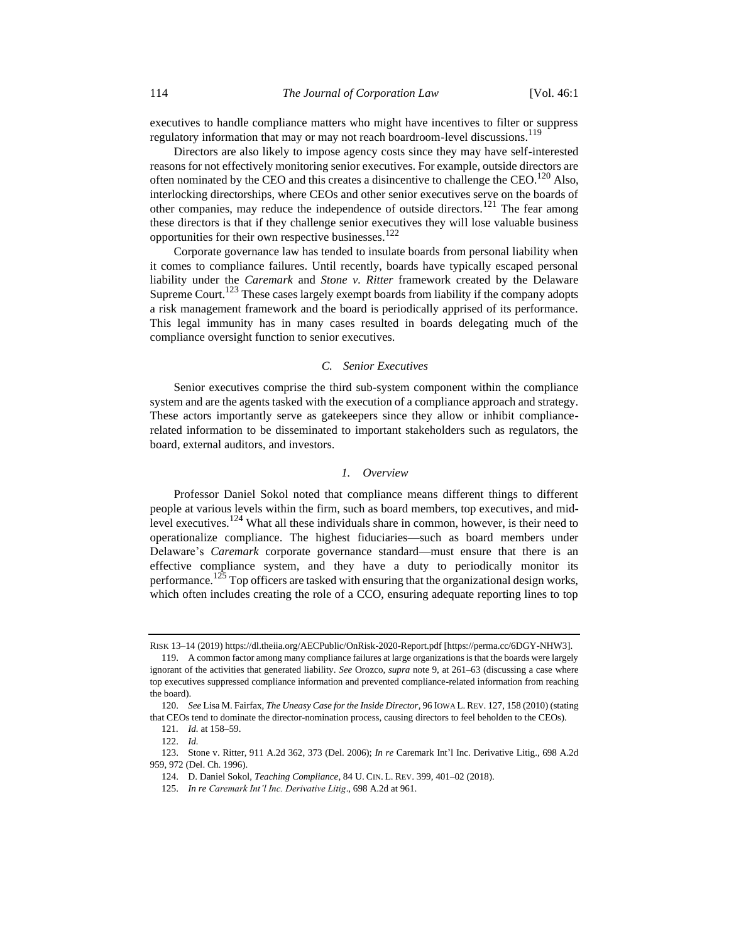executives to handle compliance matters who might have incentives to filter or suppress regulatory information that may or may not reach boardroom-level discussions.<sup>119</sup>

Directors are also likely to impose agency costs since they may have self-interested reasons for not effectively monitoring senior executives. For example, outside directors are often nominated by the CEO and this creates a disincentive to challenge the CEO.<sup>120</sup> Also, interlocking directorships, where CEOs and other senior executives serve on the boards of other companies, may reduce the independence of outside directors.<sup>121</sup> The fear among these directors is that if they challenge senior executives they will lose valuable business opportunities for their own respective businesses.<sup>122</sup>

Corporate governance law has tended to insulate boards from personal liability when it comes to compliance failures. Until recently, boards have typically escaped personal liability under the *Caremark* and *Stone v. Ritter* framework created by the Delaware Supreme Court.<sup>123</sup> These cases largely exempt boards from liability if the company adopts a risk management framework and the board is periodically apprised of its performance. This legal immunity has in many cases resulted in boards delegating much of the compliance oversight function to senior executives.

# *C. Senior Executives*

Senior executives comprise the third sub-system component within the compliance system and are the agents tasked with the execution of a compliance approach and strategy. These actors importantly serve as gatekeepers since they allow or inhibit compliancerelated information to be disseminated to important stakeholders such as regulators, the board, external auditors, and investors.

# *1. Overview*

Professor Daniel Sokol noted that compliance means different things to different people at various levels within the firm, such as board members, top executives, and midlevel executives.<sup>124</sup> What all these individuals share in common, however, is their need to operationalize compliance. The highest fiduciaries—such as board members under Delaware's *Caremark* corporate governance standard—must ensure that there is an effective compliance system, and they have a duty to periodically monitor its performance.<sup>125</sup> Top officers are tasked with ensuring that the organizational design works, which often includes creating the role of a CCO, ensuring adequate reporting lines to top

RISK 13–14 (2019) https://dl.theiia.org/AECPublic/OnRisk-2020-Report.pdf [https://perma.cc/6DGY-NHW3].

<sup>119.</sup> A common factor among many compliance failures at large organizations is that the boards were largely ignorant of the activities that generated liability. *See* Orozco, *supra* note [9,](#page-3-2) at 261–63 (discussing a case where top executives suppressed compliance information and prevented compliance-related information from reaching the board).

<sup>120.</sup> *See* Lisa M. Fairfax, *The Uneasy Case for the Inside Director*, 96 IOWA L. REV. 127, 158 (2010) (stating that CEOs tend to dominate the director-nomination process, causing directors to feel beholden to the CEOs).

<sup>121</sup>*. Id.* at 158–59.

<sup>122.</sup> *Id.*

<sup>123.</sup> Stone v. Ritter, 911 A.2d 362, 373 (Del. 2006); *In re* Caremark Int'l Inc. Derivative Litig., 698 A.2d 959, 972 (Del. Ch. 1996).

<sup>124.</sup> D. Daniel Sokol, *Teaching Compliance*, 84 U. CIN. L. REV. 399, 401–02 (2018).

<sup>125.</sup> *In re Caremark Int'l Inc. Derivative Litig*., 698 A.2d at 961.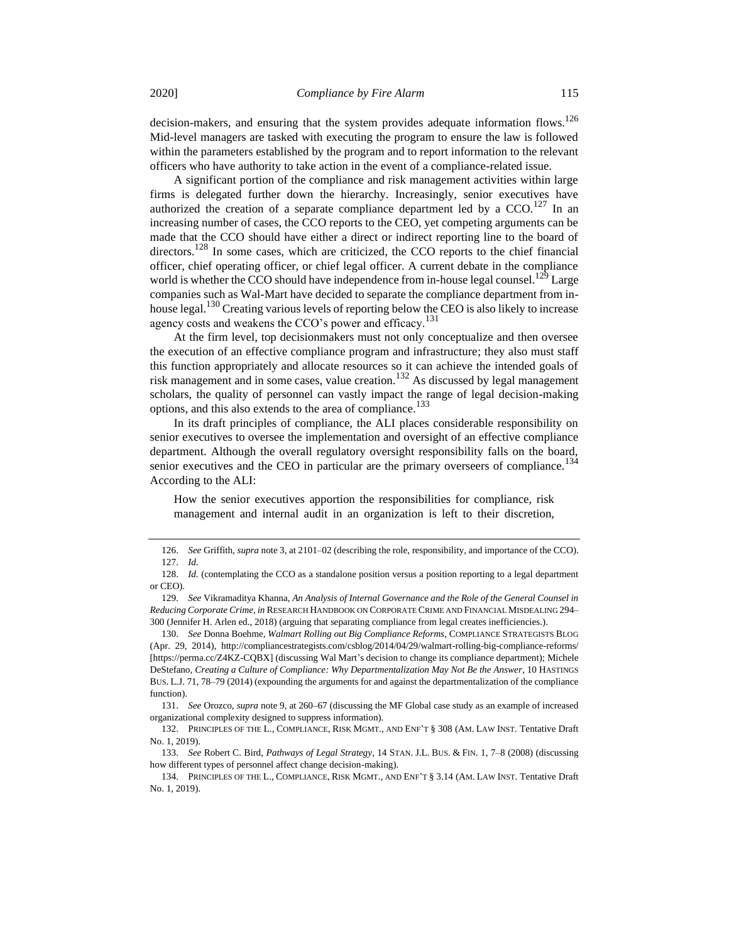decision-makers, and ensuring that the system provides adequate information flows.<sup>126</sup> Mid-level managers are tasked with executing the program to ensure the law is followed within the parameters established by the program and to report information to the relevant officers who have authority to take action in the event of a compliance-related issue.

A significant portion of the compliance and risk management activities within large firms is delegated further down the hierarchy. Increasingly, senior executives have authorized the creation of a separate compliance department led by a  $CCO$ .<sup>127</sup> In an increasing number of cases, the CCO reports to the CEO, yet competing arguments can be made that the CCO should have either a direct or indirect reporting line to the board of directors.<sup>128</sup> In some cases, which are criticized, the CCO reports to the chief financial officer, chief operating officer, or chief legal officer. A current debate in the compliance world is whether the CCO should have independence from in-house legal counsel.<sup>129</sup> Large companies such as Wal-Mart have decided to separate the compliance department from inhouse legal.<sup>130</sup> Creating various levels of reporting below the CEO is also likely to increase agency costs and weakens the CCO's power and efficacy.<sup>131</sup>

At the firm level, top decisionmakers must not only conceptualize and then oversee the execution of an effective compliance program and infrastructure; they also must staff this function appropriately and allocate resources so it can achieve the intended goals of risk management and in some cases, value creation.<sup>132</sup> As discussed by legal management scholars, the quality of personnel can vastly impact the range of legal decision-making options, and this also extends to the area of compliance.<sup>133</sup>

In its draft principles of compliance, the ALI places considerable responsibility on senior executives to oversee the implementation and oversight of an effective compliance department. Although the overall regulatory oversight responsibility falls on the board, senior executives and the CEO in particular are the primary overseers of compliance.<sup>134</sup> According to the ALI:

How the senior executives apportion the responsibilities for compliance, risk management and internal audit in an organization is left to their discretion,

<sup>126.</sup> *See* Griffith, *supra* not[e 3,](#page-2-1) at 2101–02 (describing the role, responsibility, and importance of the CCO). 127. *Id.*

<sup>128.</sup> *Id.* (contemplating the CCO as a standalone position versus a position reporting to a legal department or CEO).

<sup>129.</sup> *See* Vikramaditya Khanna, *An Analysis of Internal Governance and the Role of the General Counsel in Reducing Corporate Crime*, *in* RESEARCH HANDBOOK ON CORPORATE CRIME AND FINANCIAL MISDEALING 294– 300 (Jennifer H. Arlen ed., 2018) (arguing that separating compliance from legal creates inefficiencies.).

<sup>130.</sup> *See* Donna Boehme, *Walmart Rolling out Big Compliance Reforms*, COMPLIANCE STRATEGISTS BLOG (Apr. 29, 2014), http://compliancestrategists.com/csblog/2014/04/29/walmart-rolling-big-compliance-reforms/ [https://perma.cc/Z4KZ-CQBX] (discussing Wal Mart's decision to change its compliance department); Michele DeStefano, *Creating a Culture of Compliance: Why Departmentalization May Not Be the Answer*, 10 HASTINGS BUS. L.J. 71, 78–79 (2014) (expounding the arguments for and against the departmentalization of the compliance function).

<sup>131.</sup> *See* Orozco, *supra* not[e 9,](#page-3-2) at 260–67 (discussing the MF Global case study as an example of increased organizational complexity designed to suppress information).

<sup>132.</sup> PRINCIPLES OF THE L., COMPLIANCE, RISK MGMT., AND ENF'T § 308 (AM. LAW INST. Tentative Draft No. 1, 2019).

<sup>133.</sup> *See* Robert C. Bird, *Pathways of Legal Strategy*, 14 STAN. J.L. BUS. & FIN. 1, 7–8 (2008) (discussing how different types of personnel affect change decision-making).

<sup>134.</sup> PRINCIPLES OF THE L., COMPLIANCE, RISK MGMT., AND ENF'T § 3.14 (AM. LAW INST. Tentative Draft No. 1, 2019).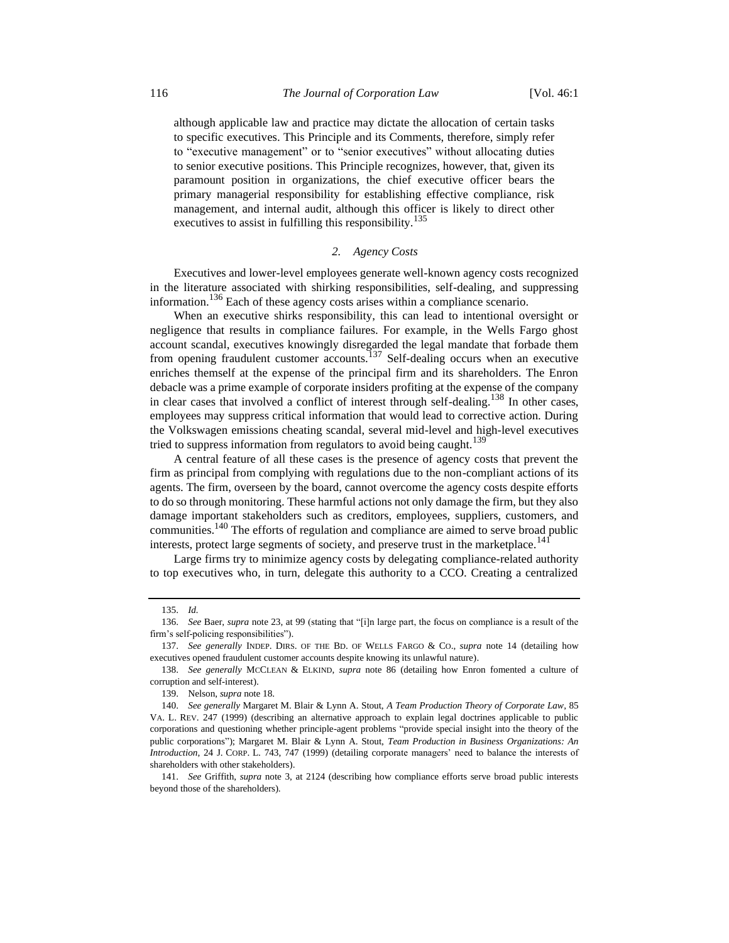although applicable law and practice may dictate the allocation of certain tasks to specific executives. This Principle and its Comments, therefore, simply refer to "executive management" or to "senior executives" without allocating duties to senior executive positions. This Principle recognizes, however, that, given its paramount position in organizations, the chief executive officer bears the primary managerial responsibility for establishing effective compliance, risk management, and internal audit, although this officer is likely to direct other executives to assist in fulfilling this responsibility.<sup>135</sup>

## *2. Agency Costs*

Executives and lower-level employees generate well-known agency costs recognized in the literature associated with shirking responsibilities, self-dealing, and suppressing information.<sup>136</sup> Each of these agency costs arises within a compliance scenario.

When an executive shirks responsibility, this can lead to intentional oversight or negligence that results in compliance failures. For example, in the Wells Fargo ghost account scandal, executives knowingly disregarded the legal mandate that forbade them from opening fraudulent customer accounts.<sup>137</sup> Self-dealing occurs when an executive enriches themself at the expense of the principal firm and its shareholders. The Enron debacle was a prime example of corporate insiders profiting at the expense of the company in clear cases that involved a conflict of interest through self-dealing.<sup>138</sup> In other cases, employees may suppress critical information that would lead to corrective action. During the Volkswagen emissions cheating scandal, several mid-level and high-level executives tried to suppress information from regulators to avoid being caught.<sup>139</sup>

A central feature of all these cases is the presence of agency costs that prevent the firm as principal from complying with regulations due to the non-compliant actions of its agents. The firm, overseen by the board, cannot overcome the agency costs despite efforts to do so through monitoring. These harmful actions not only damage the firm, but they also damage important stakeholders such as creditors, employees, suppliers, customers, and communities.<sup>140</sup> The efforts of regulation and compliance are aimed to serve broad public interests, protect large segments of society, and preserve trust in the marketplace.<sup>141</sup>

Large firms try to minimize agency costs by delegating compliance-related authority to top executives who, in turn, delegate this authority to a CCO. Creating a centralized

<sup>135.</sup> *Id.*

<sup>136.</sup> *See* Baer, *supra* not[e 23,](#page-5-0) at 99 (stating that "[i]n large part, the focus on compliance is a result of the firm's self-policing responsibilities").

<sup>137.</sup> *See generally* INDEP. DIRS. OF THE BD. OF WELLS FARGO & CO., *supra* note [14](#page-3-3) (detailing how executives opened fraudulent customer accounts despite knowing its unlawful nature).

<sup>138.</sup> *See generally* MCCLEAN & ELKIND, *supra* note [86](#page-13-1) (detailing how Enron fomented a culture of corruption and self-interest).

<sup>139.</sup> Nelson, *supra* not[e 18.](#page-4-2)

<sup>140.</sup> *See generally* Margaret M. Blair & Lynn A. Stout, *A Team Production Theory of Corporate Law*, 85 VA. L. REV. 247 (1999) (describing an alternative approach to explain legal doctrines applicable to public corporations and questioning whether principle-agent problems "provide special insight into the theory of the public corporations"); Margaret M. Blair & Lynn A. Stout, *Team Production in Business Organizations: An Introduction*, 24 J. CORP. L. 743, 747 (1999) (detailing corporate managers' need to balance the interests of shareholders with other stakeholders).

<sup>141.</sup> *See* Griffith, *supra* note [3,](#page-2-1) at 2124 (describing how compliance efforts serve broad public interests beyond those of the shareholders).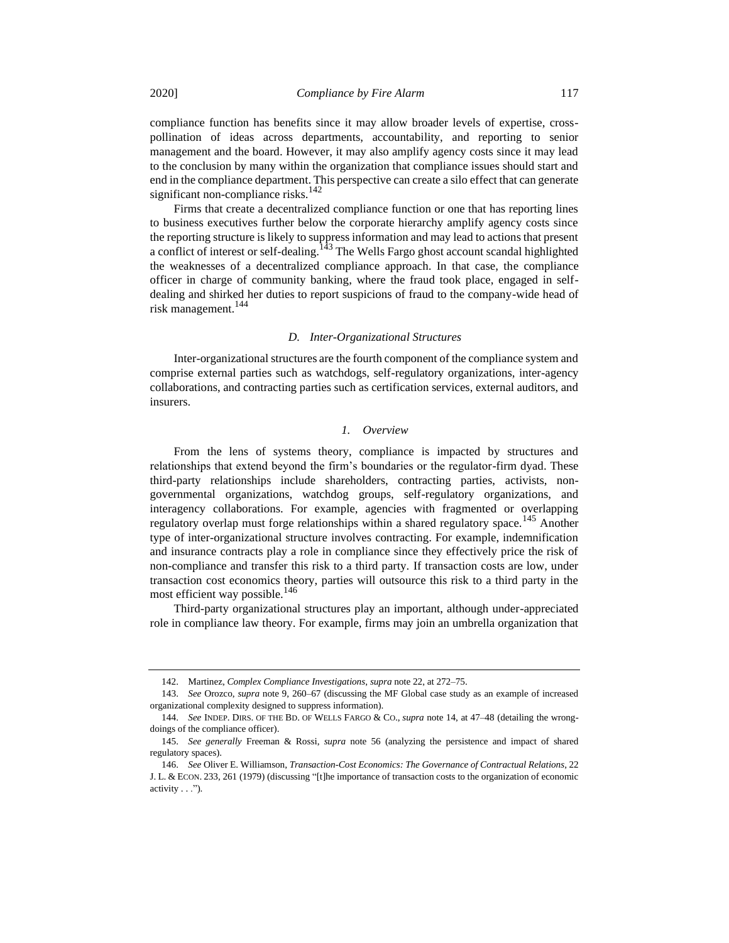compliance function has benefits since it may allow broader levels of expertise, crosspollination of ideas across departments, accountability, and reporting to senior management and the board. However, it may also amplify agency costs since it may lead to the conclusion by many within the organization that compliance issues should start and end in the compliance department. This perspective can create a silo effect that can generate significant non-compliance risks.<sup>142</sup>

Firms that create a decentralized compliance function or one that has reporting lines to business executives further below the corporate hierarchy amplify agency costs since the reporting structure is likely to suppress information and may lead to actions that present a conflict of interest or self-dealing.<sup>143</sup> The Wells Fargo ghost account scandal highlighted the weaknesses of a decentralized compliance approach. In that case, the compliance officer in charge of community banking, where the fraud took place, engaged in selfdealing and shirked her duties to report suspicions of fraud to the company-wide head of risk management.<sup>144</sup>

### *D. Inter-Organizational Structures*

Inter-organizational structures are the fourth component of the compliance system and comprise external parties such as watchdogs, self-regulatory organizations, inter-agency collaborations, and contracting parties such as certification services, external auditors, and insurers.

## *1. Overview*

From the lens of systems theory, compliance is impacted by structures and relationships that extend beyond the firm's boundaries or the regulator-firm dyad. These third-party relationships include shareholders, contracting parties, activists, nongovernmental organizations, watchdog groups, self-regulatory organizations, and interagency collaborations. For example, agencies with fragmented or overlapping regulatory overlap must forge relationships within a shared regulatory space.<sup>145</sup> Another type of inter-organizational structure involves contracting. For example, indemnification and insurance contracts play a role in compliance since they effectively price the risk of non-compliance and transfer this risk to a third party. If transaction costs are low, under transaction cost economics theory, parties will outsource this risk to a third party in the most efficient way possible.<sup>146</sup>

Third-party organizational structures play an important, although under-appreciated role in compliance law theory. For example, firms may join an umbrella organization that

<sup>142.</sup> Martinez, *Complex Compliance Investigations*, *supra* not[e 22,](#page-4-0) at 272–75.

<sup>143.</sup> *See* Orozco, *supra* note [9,](#page-3-2) 260–67 (discussing the MF Global case study as an example of increased organizational complexity designed to suppress information).

<sup>144.</sup> *See* INDEP. DIRS. OF THE BD. OF WELLS FARGO & CO., *supra* not[e 14,](#page-3-3) at 47–48 (detailing the wrongdoings of the compliance officer).

<sup>145.</sup> *See generally* Freeman & Rossi, *supra* note [56](#page-9-1) (analyzing the persistence and impact of shared regulatory spaces).

<sup>146.</sup> *See* Oliver E. Williamson, *Transaction-Cost Economics: The Governance of Contractual Relations*, 22 J. L. & ECON. 233, 261 (1979) (discussing "[t]he importance of transaction costs to the organization of economic activity . . .").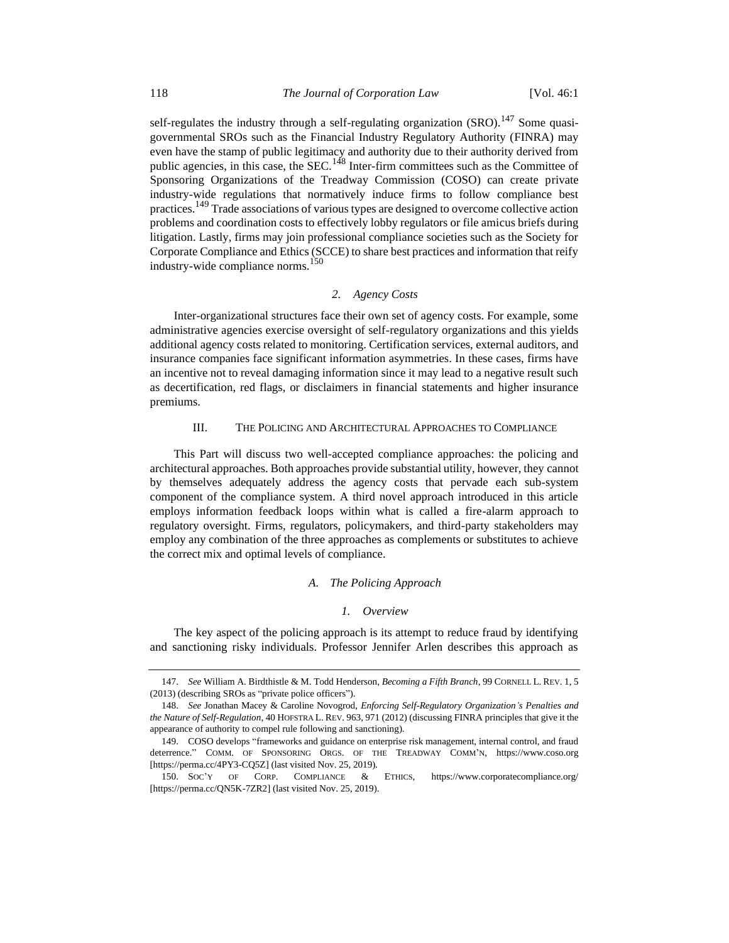self-regulates the industry through a self-regulating organization  $(SRO)$ .<sup>147</sup> Some quasigovernmental SROs such as the Financial Industry Regulatory Authority (FINRA) may even have the stamp of public legitimacy and authority due to their authority derived from public agencies, in this case, the SEC.<sup>148</sup> Inter-firm committees such as the Committee of Sponsoring Organizations of the Treadway Commission (COSO) can create private industry-wide regulations that normatively induce firms to follow compliance best practices.<sup>149</sup> Trade associations of various types are designed to overcome collective action problems and coordination costs to effectively lobby regulators or file amicus briefs during litigation. Lastly, firms may join professional compliance societies such as the Society for Corporate Compliance and Ethics (SCCE) to share best practices and information that reify industry-wide compliance norms.<sup>150</sup>

# <span id="page-21-0"></span>*2. Agency Costs*

Inter-organizational structures face their own set of agency costs. For example, some administrative agencies exercise oversight of self-regulatory organizations and this yields additional agency costs related to monitoring. Certification services, external auditors, and insurance companies face significant information asymmetries. In these cases, firms have an incentive not to reveal damaging information since it may lead to a negative result such as decertification, red flags, or disclaimers in financial statements and higher insurance premiums.

## III. THE POLICING AND ARCHITECTURAL APPROACHES TO COMPLIANCE

This Part will discuss two well-accepted compliance approaches: the policing and architectural approaches. Both approaches provide substantial utility, however, they cannot by themselves adequately address the agency costs that pervade each sub-system component of the compliance system. A third novel approach introduced in this article employs information feedback loops within what is called a fire-alarm approach to regulatory oversight. Firms, regulators, policymakers, and third-party stakeholders may employ any combination of the three approaches as complements or substitutes to achieve the correct mix and optimal levels of compliance.

#### *A. The Policing Approach*

#### *1. Overview*

The key aspect of the policing approach is its attempt to reduce fraud by identifying and sanctioning risky individuals. Professor Jennifer Arlen describes this approach as

<sup>147.</sup> *See* William A. Birdthistle & M. Todd Henderson, *Becoming a Fifth Branch*, 99 CORNELL L. REV. 1, 5 (2013) (describing SROs as "private police officers").

<sup>148.</sup> *See* Jonathan Macey & Caroline Novogrod, *Enforcing Self-Regulatory Organization's Penalties and the Nature of Self-Regulation*, 40 HOFSTRA L. REV. 963, 971 (2012) (discussing FINRA principles that give it the appearance of authority to compel rule following and sanctioning).

<sup>149.</sup> COSO develops "frameworks and guidance on enterprise risk management, internal control, and fraud deterrence." COMM. OF SPONSORING ORGS. OF THE TREADWAY COMM'N, https://www.coso.org [https://perma.cc/4PY3-CQ5Z] (last visited Nov. 25, 2019).

<sup>150.</sup> SOC'Y OF CORP. COMPLIANCE & ETHICS, https://www.corporatecompliance.org/ [https://perma.cc/QN5K-7ZR2] (last visited Nov. 25, 2019).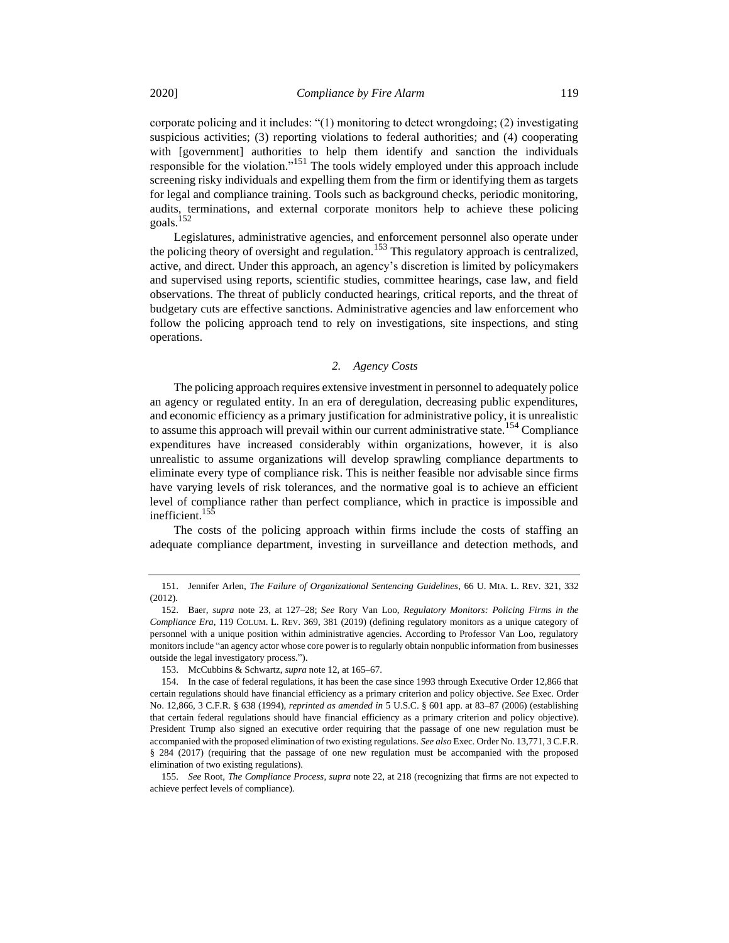corporate policing and it includes: "(1) monitoring to detect wrongdoing; (2) investigating suspicious activities; (3) reporting violations to federal authorities; and (4) cooperating with [government] authorities to help them identify and sanction the individuals responsible for the violation."<sup>151</sup> The tools widely employed under this approach include screening risky individuals and expelling them from the firm or identifying them as targets for legal and compliance training. Tools such as background checks, periodic monitoring, audits, terminations, and external corporate monitors help to achieve these policing goals.<sup>152</sup>

<span id="page-22-0"></span>Legislatures, administrative agencies, and enforcement personnel also operate under the policing theory of oversight and regulation.<sup>153</sup> This regulatory approach is centralized, active, and direct. Under this approach, an agency's discretion is limited by policymakers and supervised using reports, scientific studies, committee hearings, case law, and field observations. The threat of publicly conducted hearings, critical reports, and the threat of budgetary cuts are effective sanctions. Administrative agencies and law enforcement who follow the policing approach tend to rely on investigations, site inspections, and sting operations.

# *2. Agency Costs*

The policing approach requires extensive investment in personnel to adequately police an agency or regulated entity. In an era of deregulation, decreasing public expenditures, and economic efficiency as a primary justification for administrative policy, it is unrealistic to assume this approach will prevail within our current administrative state.<sup>154</sup> Compliance expenditures have increased considerably within organizations, however, it is also unrealistic to assume organizations will develop sprawling compliance departments to eliminate every type of compliance risk. This is neither feasible nor advisable since firms have varying levels of risk tolerances, and the normative goal is to achieve an efficient level of compliance rather than perfect compliance, which in practice is impossible and inefficient.<sup>155</sup>

The costs of the policing approach within firms include the costs of staffing an adequate compliance department, investing in surveillance and detection methods, and

<sup>151.</sup> Jennifer Arlen, *The Failure of Organizational Sentencing Guidelines*, 66 U. MIA. L. REV. 321, 332 (2012).

<sup>152.</sup> Baer, *supra* note [23,](#page-5-0) at 127–28; *See* Rory Van Loo, *Regulatory Monitors: Policing Firms in the Compliance Era*, 119 COLUM. L. REV. 369, 381 (2019) (defining regulatory monitors as a unique category of personnel with a unique position within administrative agencies. According to Professor Van Loo, regulatory monitors include "an agency actor whose core power is to regularly obtain nonpublic information from businesses outside the legal investigatory process.").

<sup>153.</sup> McCubbins & Schwartz, *supra* not[e 12,](#page-3-1) at 165–67.

<sup>154.</sup> In the case of federal regulations, it has been the case since 1993 through Executive Order 12,866 that certain regulations should have financial efficiency as a primary criterion and policy objective. *See* Exec. Order No. 12,866, 3 C.F.R. § 638 (1994), *reprinted as amended in* 5 U.S.C. § 601 app. at 83–87 (2006) (establishing that certain federal regulations should have financial efficiency as a primary criterion and policy objective). President Trump also signed an executive order requiring that the passage of one new regulation must be accompanied with the proposed elimination of two existing regulations. *See also* Exec. Order No. 13,771, 3 C.F.R. § 284 (2017) (requiring that the passage of one new regulation must be accompanied with the proposed elimination of two existing regulations).

<sup>155.</sup> *See* Root, *The Compliance Process*, *supra* note [22,](#page-4-0) at 218 (recognizing that firms are not expected to achieve perfect levels of compliance).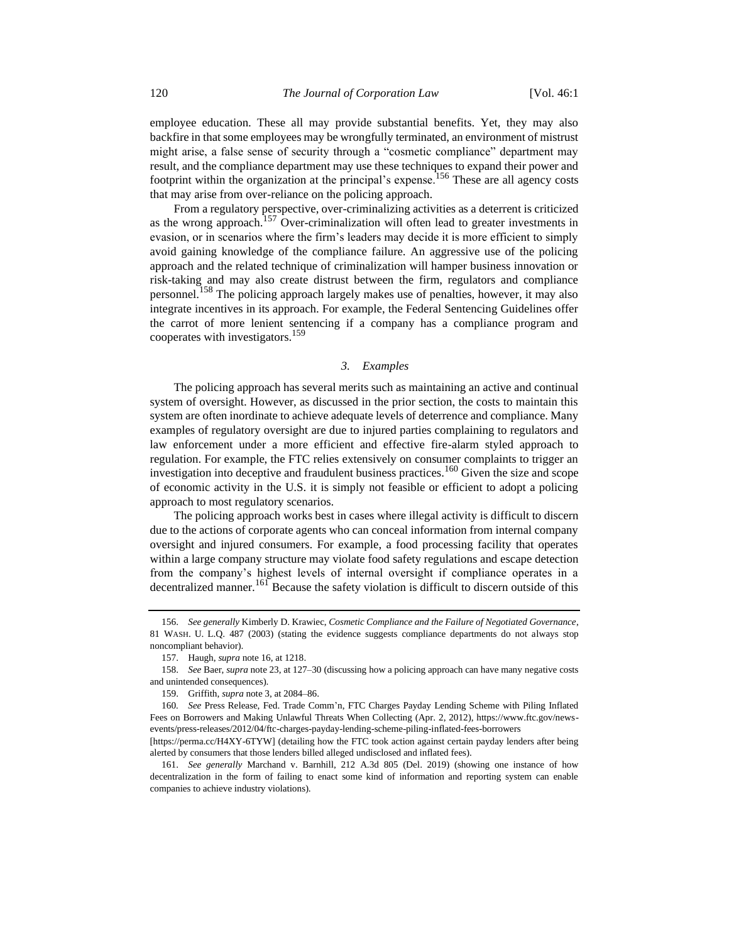employee education. These all may provide substantial benefits. Yet, they may also backfire in that some employees may be wrongfully terminated, an environment of mistrust might arise, a false sense of security through a "cosmetic compliance" department may result, and the compliance department may use these techniques to expand their power and footprint within the organization at the principal's expense.<sup>156</sup> These are all agency costs that may arise from over-reliance on the policing approach.

From a regulatory perspective, over-criminalizing activities as a deterrent is criticized as the wrong approach.<sup>157</sup> Over-criminalization will often lead to greater investments in evasion, or in scenarios where the firm's leaders may decide it is more efficient to simply avoid gaining knowledge of the compliance failure. An aggressive use of the policing approach and the related technique of criminalization will hamper business innovation or risk-taking and may also create distrust between the firm, regulators and compliance personnel.<sup>158</sup> The policing approach largely makes use of penalties, however, it may also integrate incentives in its approach. For example, the Federal Sentencing Guidelines offer the carrot of more lenient sentencing if a company has a compliance program and cooperates with investigators.<sup>159</sup>

#### <span id="page-23-0"></span>*3. Examples*

The policing approach has several merits such as maintaining an active and continual system of oversight. However, as discussed in the prior section, the costs to maintain this system are often inordinate to achieve adequate levels of deterrence and compliance. Many examples of regulatory oversight are due to injured parties complaining to regulators and law enforcement under a more efficient and effective fire-alarm styled approach to regulation. For example, the FTC relies extensively on consumer complaints to trigger an investigation into deceptive and fraudulent business practices.<sup>160</sup> Given the size and scope of economic activity in the U.S. it is simply not feasible or efficient to adopt a policing approach to most regulatory scenarios.

The policing approach works best in cases where illegal activity is difficult to discern due to the actions of corporate agents who can conceal information from internal company oversight and injured consumers. For example, a food processing facility that operates within a large company structure may violate food safety regulations and escape detection from the company's highest levels of internal oversight if compliance operates in a decentralized manner.<sup>161</sup> Because the safety violation is difficult to discern outside of this

<sup>156.</sup> *See generally* Kimberly D. Krawiec, *Cosmetic Compliance and the Failure of Negotiated Governance*, 81 WASH. U. L.Q. 487 (2003) (stating the evidence suggests compliance departments do not always stop noncompliant behavior).

<sup>157.</sup> Haugh, *supra* not[e 16,](#page-4-1) at 1218.

<sup>158.</sup> *See* Baer, *supra* not[e 23,](#page-5-0) at 127–30 (discussing how a policing approach can have many negative costs and unintended consequences).

<sup>159.</sup> Griffith, *supra* not[e 3,](#page-2-1) at 2084–86.

<sup>160</sup>*. See* Press Release, Fed. Trade Comm'n, FTC Charges Payday Lending Scheme with Piling Inflated Fees on Borrowers and Making Unlawful Threats When Collecting (Apr. 2, 2012), https://www.ftc.gov/newsevents/press-releases/2012/04/ftc-charges-payday-lending-scheme-piling-inflated-fees-borrowers

<sup>[</sup>https://perma.cc/H4XY-6TYW] (detailing how the FTC took action against certain payday lenders after being alerted by consumers that those lenders billed alleged undisclosed and inflated fees).

<sup>161.</sup> *See generally* Marchand v. Barnhill, 212 A.3d 805 (Del. 2019) (showing one instance of how decentralization in the form of failing to enact some kind of information and reporting system can enable companies to achieve industry violations).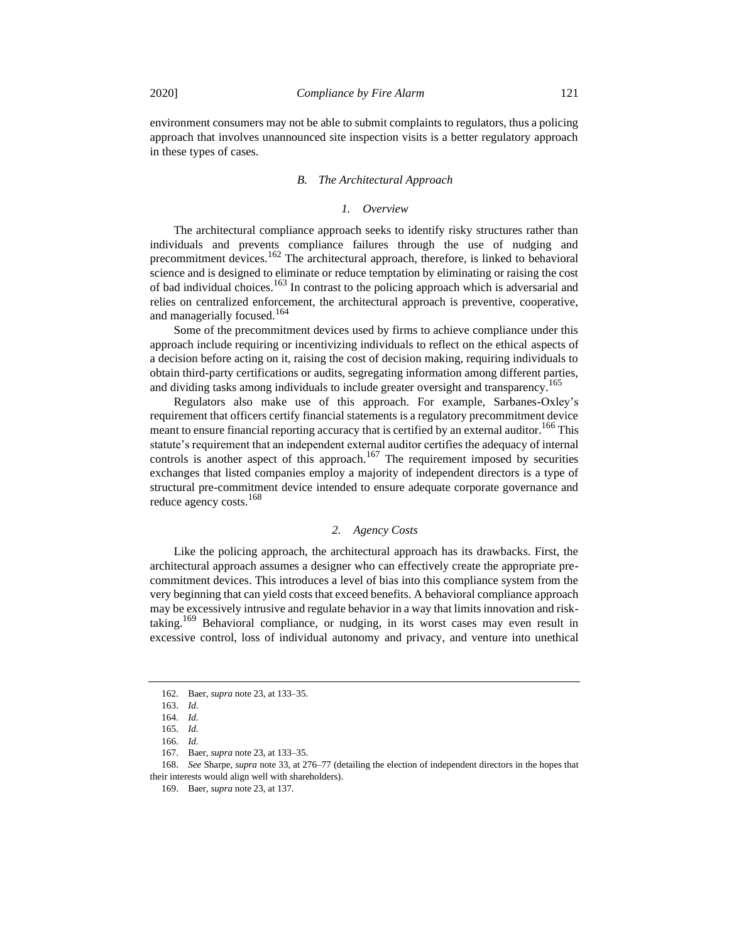environment consumers may not be able to submit complaints to regulators, thus a policing approach that involves unannounced site inspection visits is a better regulatory approach in these types of cases.

## *B. The Architectural Approach*

## *1. Overview*

The architectural compliance approach seeks to identify risky structures rather than individuals and prevents compliance failures through the use of nudging and precommitment devices.<sup>162</sup> The architectural approach, therefore, is linked to behavioral science and is designed to eliminate or reduce temptation by eliminating or raising the cost of bad individual choices.<sup>163</sup> In contrast to the policing approach which is adversarial and relies on centralized enforcement, the architectural approach is preventive, cooperative, and managerially focused.<sup>164</sup>

Some of the precommitment devices used by firms to achieve compliance under this approach include requiring or incentivizing individuals to reflect on the ethical aspects of a decision before acting on it, raising the cost of decision making, requiring individuals to obtain third-party certifications or audits, segregating information among different parties, and dividing tasks among individuals to include greater oversight and transparency.<sup>165</sup>

Regulators also make use of this approach. For example, Sarbanes-Oxley's requirement that officers certify financial statements is a regulatory precommitment device meant to ensure financial reporting accuracy that is certified by an external auditor.<sup>166</sup> This statute's requirement that an independent external auditor certifies the adequacy of internal controls is another aspect of this approach.<sup>167</sup> The requirement imposed by securities exchanges that listed companies employ a majority of independent directors is a type of structural pre-commitment device intended to ensure adequate corporate governance and reduce agency costs.<sup>168</sup>

## *2. Agency Costs*

Like the policing approach, the architectural approach has its drawbacks. First, the architectural approach assumes a designer who can effectively create the appropriate precommitment devices. This introduces a level of bias into this compliance system from the very beginning that can yield costs that exceed benefits. A behavioral compliance approach may be excessively intrusive and regulate behavior in a way that limits innovation and risktaking.<sup>169</sup> Behavioral compliance, or nudging, in its worst cases may even result in excessive control, loss of individual autonomy and privacy, and venture into unethical

<sup>162.</sup> Baer, *supra* not[e 23,](#page-5-0) at 133–35.

<sup>163.</sup> *Id.*

<sup>164.</sup> *Id.*

<sup>165.</sup> *Id.*

<sup>166.</sup> *Id.*

<sup>167.</sup> Baer, *supra* not[e 23,](#page-5-0) at 133–35.

<sup>168.</sup> *See* Sharpe, *supra* note [33,](#page-6-0) at 276–77 (detailing the election of independent directors in the hopes that their interests would align well with shareholders).

<sup>169.</sup> Baer, *supra* not[e 23,](#page-5-0) at 137.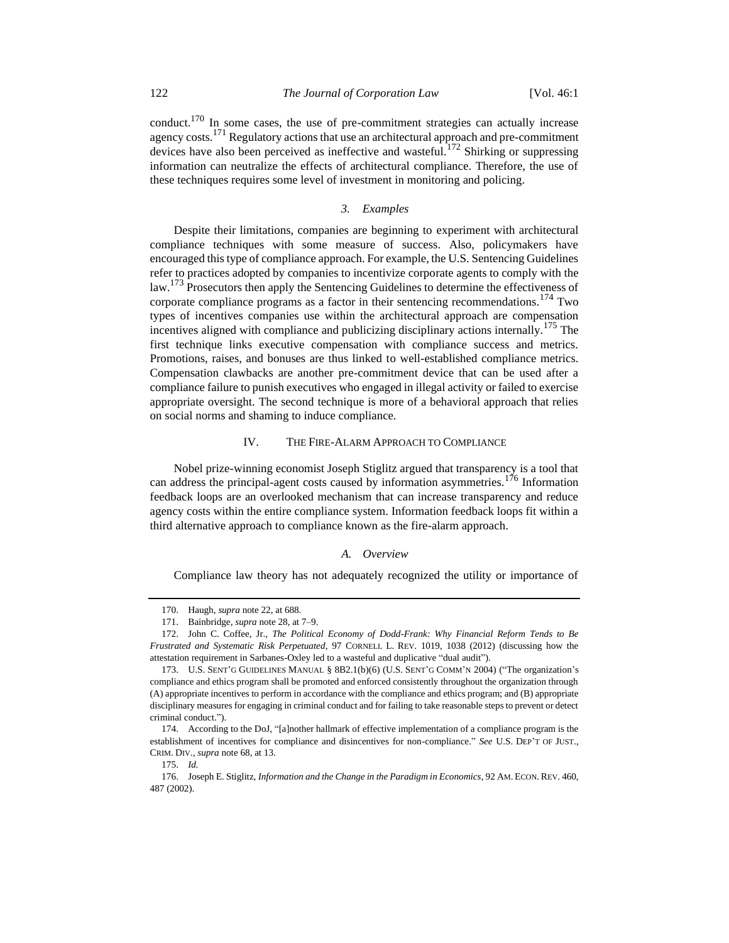conduct.<sup>170</sup> In some cases, the use of pre-commitment strategies can actually increase agency costs.<sup>171</sup> Regulatory actions that use an architectural approach and pre-commitment devices have also been perceived as ineffective and wasteful.<sup>172</sup> Shirking or suppressing information can neutralize the effects of architectural compliance. Therefore, the use of these techniques requires some level of investment in monitoring and policing.

### *3. Examples*

Despite their limitations, companies are beginning to experiment with architectural compliance techniques with some measure of success. Also, policymakers have encouraged this type of compliance approach. For example, the U.S. Sentencing Guidelines refer to practices adopted by companies to incentivize corporate agents to comply with the law.<sup>173</sup> Prosecutors then apply the Sentencing Guidelines to determine the effectiveness of corporate compliance programs as a factor in their sentencing recommendations.<sup>174</sup> Two types of incentives companies use within the architectural approach are compensation incentives aligned with compliance and publicizing disciplinary actions internally.<sup>175</sup> The first technique links executive compensation with compliance success and metrics. Promotions, raises, and bonuses are thus linked to well-established compliance metrics. Compensation clawbacks are another pre-commitment device that can be used after a compliance failure to punish executives who engaged in illegal activity or failed to exercise appropriate oversight. The second technique is more of a behavioral approach that relies on social norms and shaming to induce compliance.

#### IV. THE FIRE-ALARM APPROACH TO COMPLIANCE

Nobel prize-winning economist Joseph Stiglitz argued that transparency is a tool that can address the principal-agent costs caused by information asymmetries.<sup>176</sup> Information feedback loops are an overlooked mechanism that can increase transparency and reduce agency costs within the entire compliance system. Information feedback loops fit within a third alternative approach to compliance known as the fire-alarm approach.

#### *A. Overview*

Compliance law theory has not adequately recognized the utility or importance of

175. *Id.*

<sup>170.</sup> Haugh, *supra* not[e 22,](#page-4-0) at 688.

<sup>171.</sup> Bainbridge, *supra* not[e 28,](#page-5-1) at 7–9.

<sup>172.</sup> John C. Coffee, Jr., *The Political Economy of Dodd-Frank: Why Financial Reform Tends to Be Frustrated and Systematic Risk Perpetuated*, 97 CORNELL L. REV. 1019, 1038 (2012) (discussing how the attestation requirement in Sarbanes-Oxley led to a wasteful and duplicative "dual audit").

<sup>173.</sup> U.S. SENT'G GUIDELINES MANUAL § 8B2.1(b)(6) (U.S. SENT'G COMM'N 2004) ("The organization's compliance and ethics program shall be promoted and enforced consistently throughout the organization through (A) appropriate incentives to perform in accordance with the compliance and ethics program; and (B) appropriate disciplinary measures for engaging in criminal conduct and for failing to take reasonable steps to prevent or detect criminal conduct.").

<sup>174.</sup> According to the DoJ, "[a]nother hallmark of effective implementation of a compliance program is the establishment of incentives for compliance and disincentives for non-compliance." *See* U.S. DEP'T OF JUST., CRIM. DIV., *supra* not[e 68,](#page-11-1) at 13.

<sup>176.</sup> Joseph E. Stiglitz, *Information and the Change in the Paradigm in Economics*, 92 AM. ECON. REV. 460, 487 (2002).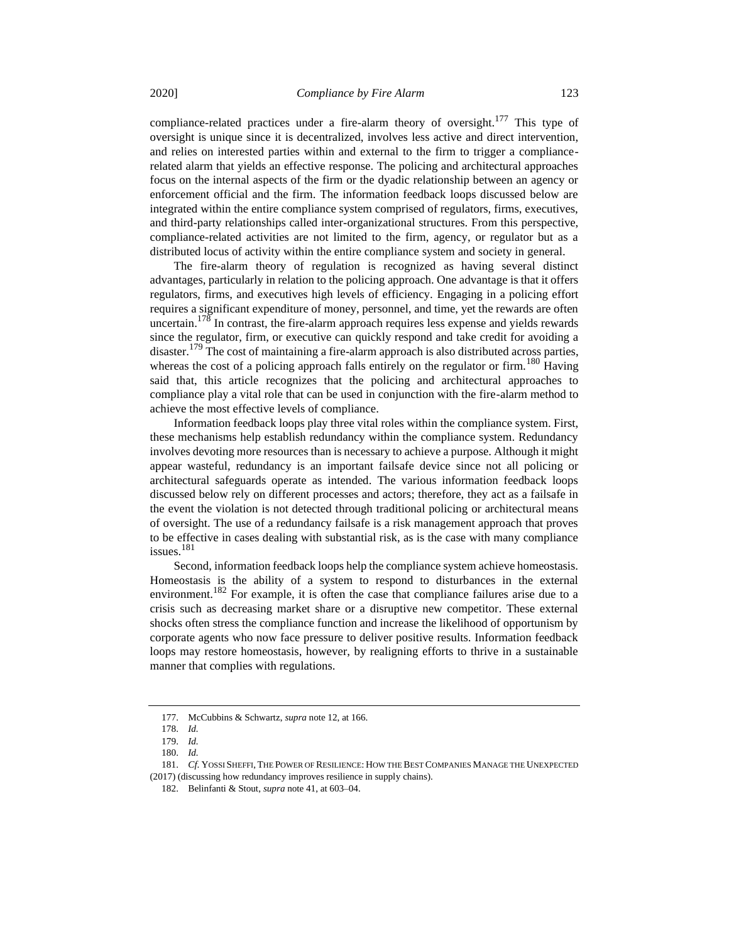compliance-related practices under a fire-alarm theory of oversight.<sup>177</sup> This type of oversight is unique since it is decentralized, involves less active and direct intervention, and relies on interested parties within and external to the firm to trigger a compliancerelated alarm that yields an effective response. The policing and architectural approaches focus on the internal aspects of the firm or the dyadic relationship between an agency or enforcement official and the firm. The information feedback loops discussed below are integrated within the entire compliance system comprised of regulators, firms, executives, and third-party relationships called inter-organizational structures. From this perspective, compliance-related activities are not limited to the firm, agency, or regulator but as a distributed locus of activity within the entire compliance system and society in general.

The fire-alarm theory of regulation is recognized as having several distinct advantages, particularly in relation to the policing approach. One advantage is that it offers regulators, firms, and executives high levels of efficiency. Engaging in a policing effort requires a significant expenditure of money, personnel, and time, yet the rewards are often uncertain.<sup>178</sup> In contrast, the fire-alarm approach requires less expense and yields rewards since the regulator, firm, or executive can quickly respond and take credit for avoiding a disaster.<sup>179</sup> The cost of maintaining a fire-alarm approach is also distributed across parties, whereas the cost of a policing approach falls entirely on the regulator or firm.<sup>180</sup> Having said that, this article recognizes that the policing and architectural approaches to compliance play a vital role that can be used in conjunction with the fire-alarm method to achieve the most effective levels of compliance.

Information feedback loops play three vital roles within the compliance system. First, these mechanisms help establish redundancy within the compliance system. Redundancy involves devoting more resources than is necessary to achieve a purpose. Although it might appear wasteful, redundancy is an important failsafe device since not all policing or architectural safeguards operate as intended. The various information feedback loops discussed below rely on different processes and actors; therefore, they act as a failsafe in the event the violation is not detected through traditional policing or architectural means of oversight. The use of a redundancy failsafe is a risk management approach that proves to be effective in cases dealing with substantial risk, as is the case with many compliance issues. $181$ 

<span id="page-26-0"></span>Second, information feedback loops help the compliance system achieve homeostasis. Homeostasis is the ability of a system to respond to disturbances in the external environment.<sup>182</sup> For example, it is often the case that compliance failures arise due to a crisis such as decreasing market share or a disruptive new competitor. These external shocks often stress the compliance function and increase the likelihood of opportunism by corporate agents who now face pressure to deliver positive results. Information feedback loops may restore homeostasis, however, by realigning efforts to thrive in a sustainable manner that complies with regulations.

<sup>177.</sup> McCubbins & Schwartz, *supra* not[e 12,](#page-3-1) at 166.

<sup>178.</sup> *Id.*

<sup>179.</sup> *Id.*

<sup>180.</sup> *Id.*

<sup>181.</sup> *Cf*. YOSSI SHEFFI, THE POWER OF RESILIENCE: HOW THE BEST COMPANIES MANAGE THE UNEXPECTED (2017) (discussing how redundancy improves resilience in supply chains).

<sup>182.</sup> Belinfanti & Stout, *supra* not[e 41,](#page-7-0) at 603–04.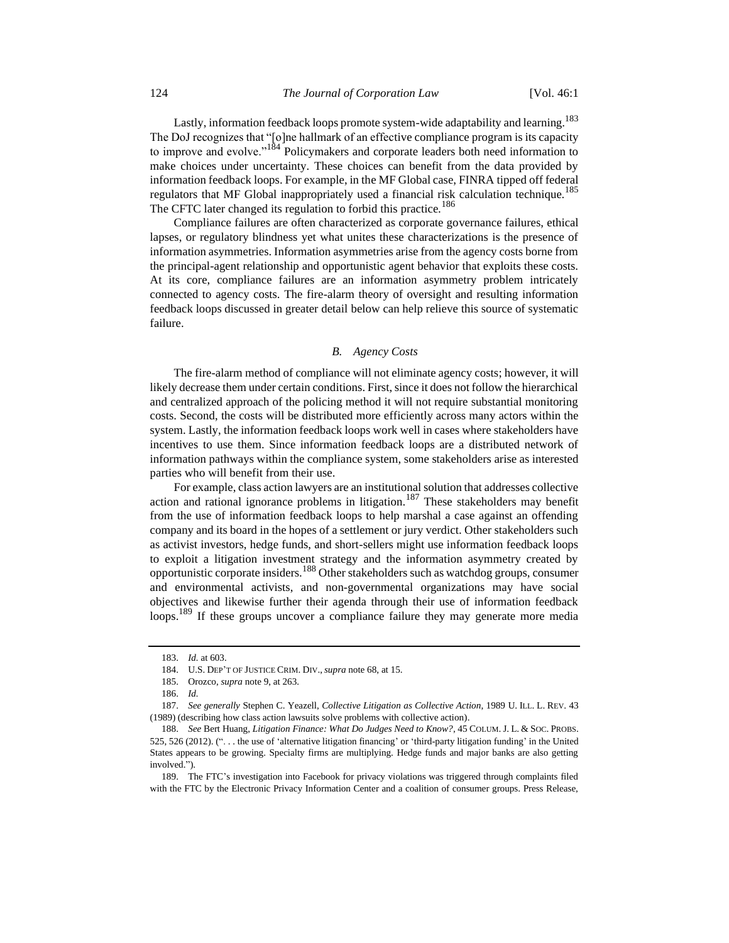Lastly, information feedback loops promote system-wide adaptability and learning.<sup>183</sup> The DoJ recognizes that "[o]ne hallmark of an effective compliance program is its capacity to improve and evolve." $1^{84}$  Policymakers and corporate leaders both need information to make choices under uncertainty. These choices can benefit from the data provided by information feedback loops. For example, in the MF Global case, FINRA tipped off federal regulators that MF Global inappropriately used a financial risk calculation technique.<sup>185</sup> The CFTC later changed its regulation to forbid this practice.<sup>186</sup>

Compliance failures are often characterized as corporate governance failures, ethical lapses, or regulatory blindness yet what unites these characterizations is the presence of information asymmetries. Information asymmetries arise from the agency costs borne from the principal-agent relationship and opportunistic agent behavior that exploits these costs. At its core, compliance failures are an information asymmetry problem intricately connected to agency costs. The fire-alarm theory of oversight and resulting information feedback loops discussed in greater detail below can help relieve this source of systematic failure.

#### *B. Agency Costs*

The fire-alarm method of compliance will not eliminate agency costs; however, it will likely decrease them under certain conditions. First, since it does not follow the hierarchical and centralized approach of the policing method it will not require substantial monitoring costs. Second, the costs will be distributed more efficiently across many actors within the system. Lastly, the information feedback loops work well in cases where stakeholders have incentives to use them. Since information feedback loops are a distributed network of information pathways within the compliance system, some stakeholders arise as interested parties who will benefit from their use.

For example, class action lawyers are an institutional solution that addresses collective action and rational ignorance problems in litigation.<sup>187</sup> These stakeholders may benefit from the use of information feedback loops to help marshal a case against an offending company and its board in the hopes of a settlement or jury verdict. Other stakeholders such as activist investors, hedge funds, and short-sellers might use information feedback loops to exploit a litigation investment strategy and the information asymmetry created by opportunistic corporate insiders.<sup>188</sup> Other stakeholders such as watchdog groups, consumer and environmental activists, and non-governmental organizations may have social objectives and likewise further their agenda through their use of information feedback loops.<sup>189</sup> If these groups uncover a compliance failure they may generate more media

<sup>183.</sup> *Id.* at 603.

<sup>184.</sup> U.S. DEP'T OF JUSTICE CRIM. DIV., *supra* not[e 68,](#page-11-1) at 15.

<sup>185.</sup> Orozco, *supra* not[e 9,](#page-3-2) at 263.

<sup>186.</sup> *Id.* 

<sup>187.</sup> *See generally* Stephen C. Yeazell, *Collective Litigation as Collective Action*, 1989 U. ILL. L. REV. 43 (1989) (describing how class action lawsuits solve problems with collective action).

<sup>188.</sup> *See* Bert Huang, *Litigation Finance: What Do Judges Need to Know?*, 45 COLUM. J. L. & SOC. PROBS. 525, 526 (2012). (". . . the use of 'alternative litigation financing' or 'third-party litigation funding' in the United States appears to be growing. Specialty firms are multiplying. Hedge funds and major banks are also getting involved.").

<sup>189.</sup> The FTC's investigation into Facebook for privacy violations was triggered through complaints filed with the FTC by the Electronic Privacy Information Center and a coalition of consumer groups. Press Release,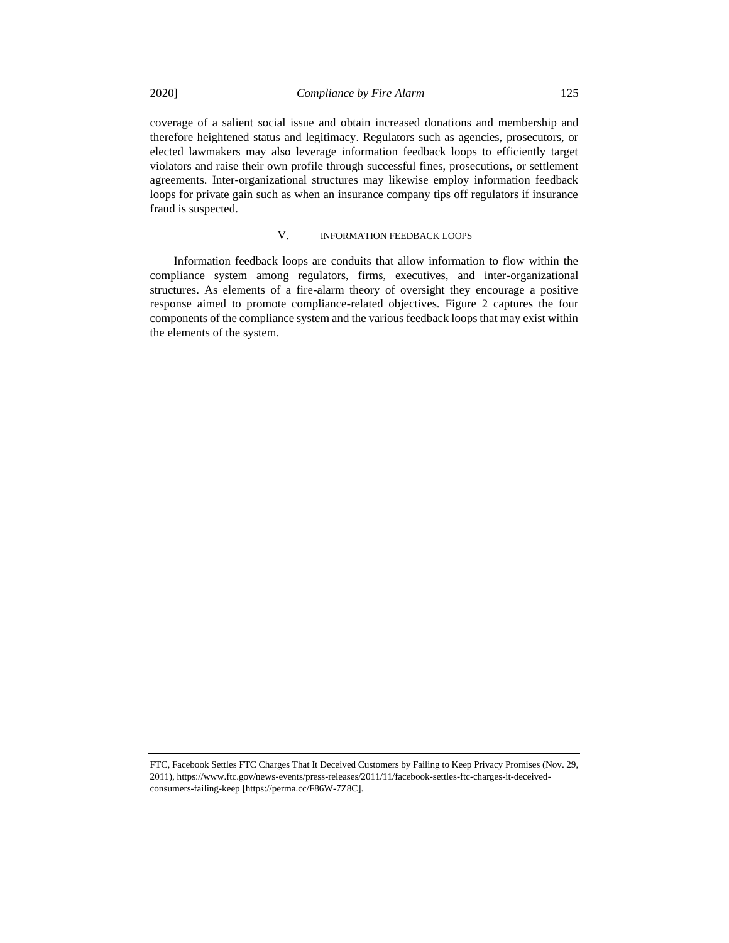coverage of a salient social issue and obtain increased donations and membership and therefore heightened status and legitimacy. Regulators such as agencies, prosecutors, or elected lawmakers may also leverage information feedback loops to efficiently target violators and raise their own profile through successful fines, prosecutions, or settlement agreements. Inter-organizational structures may likewise employ information feedback loops for private gain such as when an insurance company tips off regulators if insurance fraud is suspected.

# V. INFORMATION FEEDBACK LOOPS

Information feedback loops are conduits that allow information to flow within the compliance system among regulators, firms, executives, and inter-organizational structures. As elements of a fire-alarm theory of oversight they encourage a positive response aimed to promote compliance-related objectives. Figure 2 captures the four components of the compliance system and the various feedback loops that may exist within the elements of the system.

FTC, Facebook Settles FTC Charges That It Deceived Customers by Failing to Keep Privacy Promises (Nov. 29, 2011), https://www.ftc.gov/news-events/press-releases/2011/11/facebook-settles-ftc-charges-it-deceivedconsumers-failing-keep [https://perma.cc/F86W-7Z8C].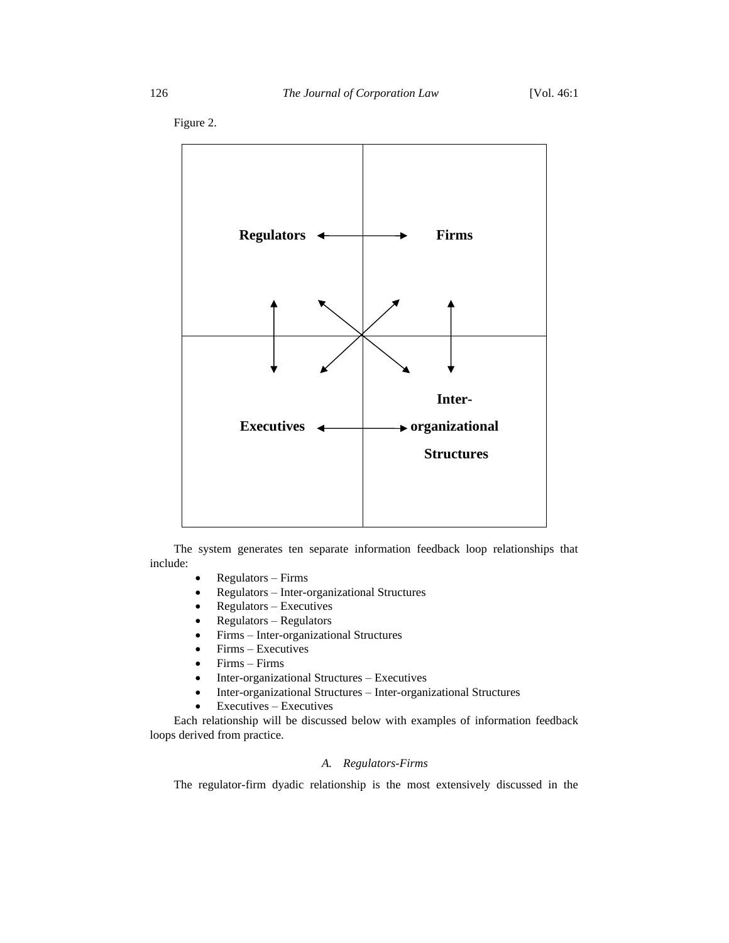

Figure 2.

The system generates ten separate information feedback loop relationships that include:

- Regulators Firms
- Regulators Inter-organizational Structures
- Regulators Executives
- Regulators Regulators
- Firms Inter-organizational Structures
- Firms Executives
- Firms Firms
- Inter-organizational Structures Executives
- Inter-organizational Structures Inter-organizational Structures
- $\bullet$  Executives Executives

Each relationship will be discussed below with examples of information feedback loops derived from practice.

# *A. Regulators-Firms*

The regulator-firm dyadic relationship is the most extensively discussed in the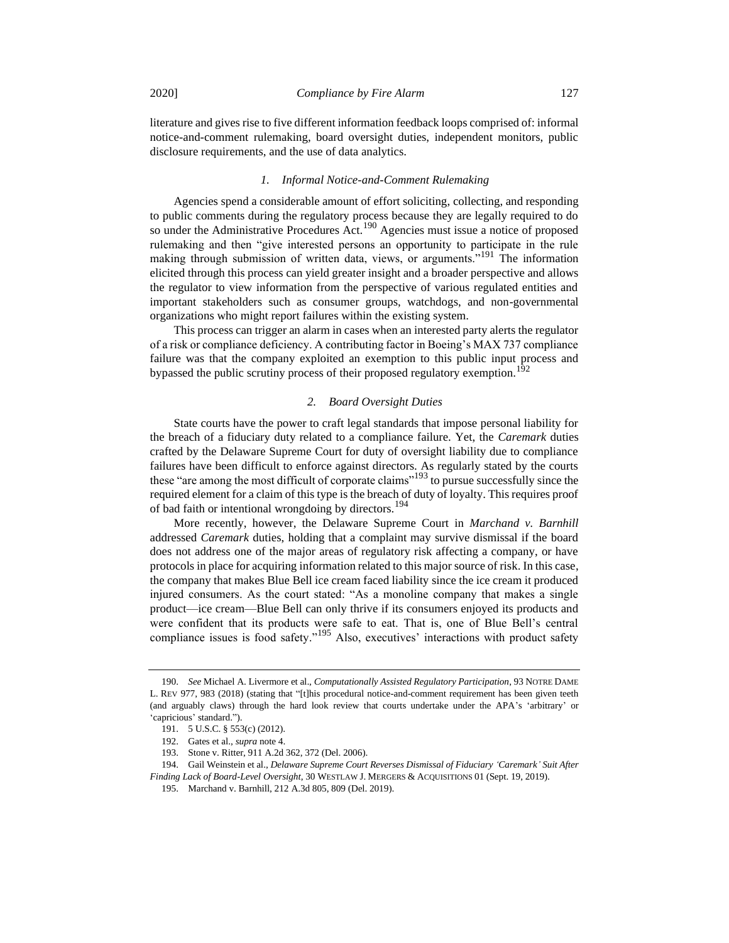literature and gives rise to five different information feedback loops comprised of: informal notice-and-comment rulemaking, board oversight duties, independent monitors, public disclosure requirements, and the use of data analytics.

## *1. Informal Notice-and-Comment Rulemaking*

Agencies spend a considerable amount of effort soliciting, collecting, and responding to public comments during the regulatory process because they are legally required to do so under the Administrative Procedures Act.<sup>190</sup> Agencies must issue a notice of proposed rulemaking and then "give interested persons an opportunity to participate in the rule making through submission of written data, views, or arguments."<sup>191</sup> The information elicited through this process can yield greater insight and a broader perspective and allows the regulator to view information from the perspective of various regulated entities and important stakeholders such as consumer groups, watchdogs, and non-governmental organizations who might report failures within the existing system.

This process can trigger an alarm in cases when an interested party alerts the regulator of a risk or compliance deficiency. A contributing factor in Boeing's MAX 737 compliance failure was that the company exploited an exemption to this public input process and bypassed the public scrutiny process of their proposed regulatory exemption.<sup>192</sup>

#### <span id="page-30-0"></span>*2. Board Oversight Duties*

State courts have the power to craft legal standards that impose personal liability for the breach of a fiduciary duty related to a compliance failure. Yet, the *Caremark* duties crafted by the Delaware Supreme Court for duty of oversight liability due to compliance failures have been difficult to enforce against directors. As regularly stated by the courts these "are among the most difficult of corporate claims"<sup>193</sup> to pursue successfully since the required element for a claim of this type is the breach of duty of loyalty. This requires proof of bad faith or intentional wrongdoing by directors.<sup>194</sup>

More recently, however, the Delaware Supreme Court in *Marchand v. Barnhill* addressed *Caremark* duties, holding that a complaint may survive dismissal if the board does not address one of the major areas of regulatory risk affecting a company, or have protocols in place for acquiring information related to this major source of risk. In this case, the company that makes Blue Bell ice cream faced liability since the ice cream it produced injured consumers. As the court stated: "As a monoline company that makes a single product—ice cream—Blue Bell can only thrive if its consumers enjoyed its products and were confident that its products were safe to eat. That is, one of Blue Bell's central compliance issues is food safety."<sup>195</sup> Also, executives' interactions with product safety

<sup>190.</sup> *See* Michael A. Livermore et al., *Computationally Assisted Regulatory Participation*, 93 NOTRE DAME L. REV 977, 983 (2018) (stating that "[t]his procedural notice-and-comment requirement has been given teeth (and arguably claws) through the hard look review that courts undertake under the APA's 'arbitrary' or 'capricious' standard.").

<sup>191.</sup> 5 U.S.C. § 553(c) (2012).

<sup>192.</sup> Gates et al., *supra* note [4.](#page-2-0)

<sup>193.</sup> Stone v. Ritter, 911 A.2d 362, 372 (Del. 2006).

<sup>194.</sup> Gail Weinstein et al., *Delaware Supreme Court Reverses Dismissal of Fiduciary 'Caremark' Suit After Finding Lack of Board-Level Oversight*, 30 WESTLAW J. MERGERS & ACQUISITIONS 01 (Sept. 19, 2019).

<sup>195.</sup> Marchand v. Barnhill, 212 A.3d 805, 809 (Del. 2019).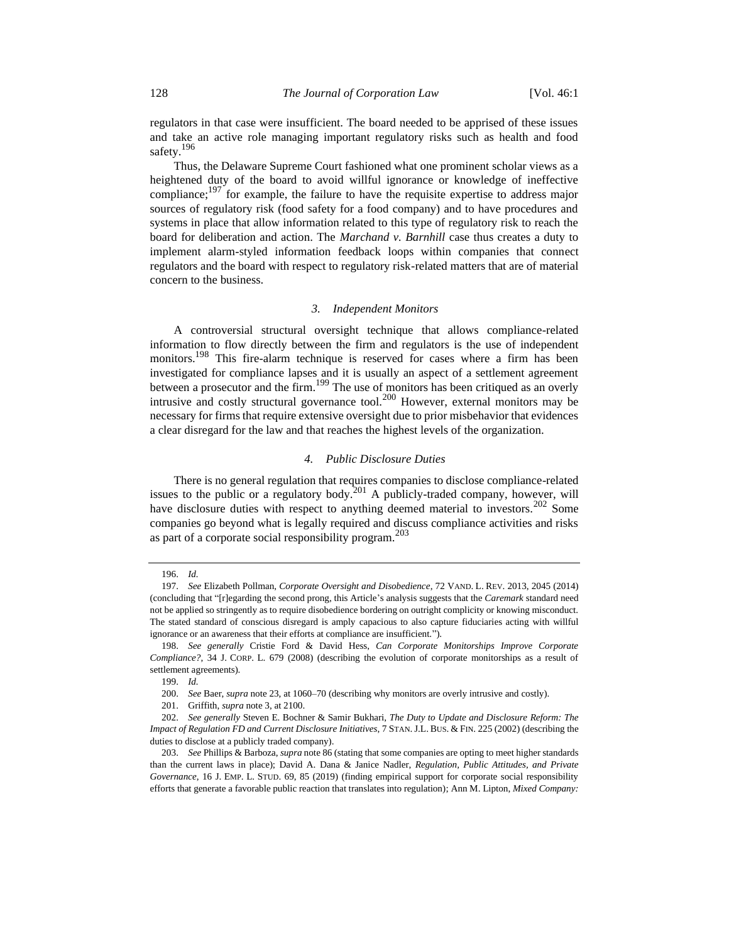regulators in that case were insufficient. The board needed to be apprised of these issues and take an active role managing important regulatory risks such as health and food safety.<sup>196</sup>

<span id="page-31-0"></span>Thus, the Delaware Supreme Court fashioned what one prominent scholar views as a heightened duty of the board to avoid willful ignorance or knowledge of ineffective compliance;  $197$  for example, the failure to have the requisite expertise to address major sources of regulatory risk (food safety for a food company) and to have procedures and systems in place that allow information related to this type of regulatory risk to reach the board for deliberation and action. The *Marchand v. Barnhill* case thus creates a duty to implement alarm-styled information feedback loops within companies that connect regulators and the board with respect to regulatory risk-related matters that are of material concern to the business.

#### *3. Independent Monitors*

A controversial structural oversight technique that allows compliance-related information to flow directly between the firm and regulators is the use of independent monitors.<sup>198</sup> This fire-alarm technique is reserved for cases where a firm has been investigated for compliance lapses and it is usually an aspect of a settlement agreement between a prosecutor and the firm.<sup>199</sup> The use of monitors has been critiqued as an overly intrusive and costly structural governance tool.<sup>200</sup> However, external monitors may be necessary for firms that require extensive oversight due to prior misbehavior that evidences a clear disregard for the law and that reaches the highest levels of the organization.

## *4. Public Disclosure Duties*

There is no general regulation that requires companies to disclose compliance-related issues to the public or a regulatory body.<sup>201</sup> A publicly-traded company, however, will have disclosure duties with respect to anything deemed material to investors.<sup>202</sup> Some companies go beyond what is legally required and discuss compliance activities and risks as part of a corporate social responsibility program.<sup>203</sup>

<sup>196.</sup> *Id.*

<sup>197.</sup> *See* Elizabeth Pollman, *Corporate Oversight and Disobedience*, 72 VAND. L. REV. 2013, 2045 (2014) (concluding that "[r]egarding the second prong, this Article's analysis suggests that the *Caremark* standard need not be applied so stringently as to require disobedience bordering on outright complicity or knowing misconduct. The stated standard of conscious disregard is amply capacious to also capture fiduciaries acting with willful ignorance or an awareness that their efforts at compliance are insufficient.").

<sup>198.</sup> *See generally* Cristie Ford & David Hess, *Can Corporate Monitorships Improve Corporate Compliance?*, 34 J. CORP. L. 679 (2008) (describing the evolution of corporate monitorships as a result of settlement agreements).

<sup>199.</sup> *Id.*

<sup>200.</sup> *See* Baer, *supra* not[e 23,](#page-5-0) at 1060–70 (describing why monitors are overly intrusive and costly).

<sup>201.</sup> Griffith, *supra* not[e 3,](#page-2-1) at 2100.

<sup>202.</sup> *See generally* Steven E. Bochner & Samir Bukhari, *The Duty to Update and Disclosure Reform: The Impact of Regulation FD and Current Disclosure Initiatives*, 7 STAN. J.L. BUS. & FIN. 225 (2002) (describing the duties to disclose at a publicly traded company).

<sup>203.</sup> *See* Phillips & Barboza, *supra* not[e 86](#page-13-1) (stating that some companies are opting to meet higher standards than the current laws in place); David A. Dana & Janice Nadler, *Regulation, Public Attitudes, and Private Governance*, 16 J. EMP. L. STUD. 69, 85 (2019) (finding empirical support for corporate social responsibility efforts that generate a favorable public reaction that translates into regulation); Ann M. Lipton, *Mixed Company:*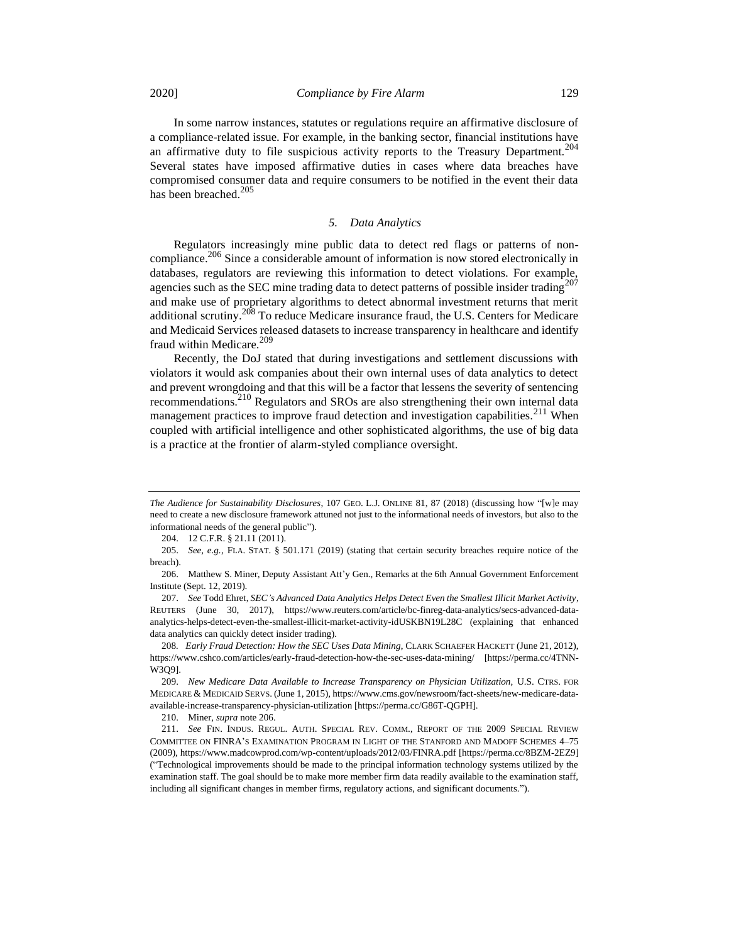In some narrow instances, statutes or regulations require an affirmative disclosure of a compliance-related issue. For example, in the banking sector, financial institutions have an affirmative duty to file suspicious activity reports to the Treasury Department.<sup>204</sup> Several states have imposed affirmative duties in cases where data breaches have compromised consumer data and require consumers to be notified in the event their data has been breached.<sup>205</sup>

## <span id="page-32-1"></span>*5. Data Analytics*

<span id="page-32-0"></span>Regulators increasingly mine public data to detect red flags or patterns of noncompliance.<sup>206</sup> Since a considerable amount of information is now stored electronically in databases, regulators are reviewing this information to detect violations. For example, agencies such as the SEC mine trading data to detect patterns of possible insider trading $207$ and make use of proprietary algorithms to detect abnormal investment returns that merit additional scrutiny.<sup>208</sup> To reduce Medicare insurance fraud, the U.S. Centers for Medicare and Medicaid Services released datasets to increase transparency in healthcare and identify fraud within Medicare.<sup>209</sup>

<span id="page-32-2"></span>Recently, the DoJ stated that during investigations and settlement discussions with violators it would ask companies about their own internal uses of data analytics to detect and prevent wrongdoing and that this will be a factor that lessens the severity of sentencing recommendations.<sup>210</sup> Regulators and SROs are also strengthening their own internal data management practices to improve fraud detection and investigation capabilities.<sup>211</sup> When coupled with artificial intelligence and other sophisticated algorithms, the use of big data is a practice at the frontier of alarm-styled compliance oversight.

204. 12 C.F.R. § 21.11 (2011).

*The Audience for Sustainability Disclosures*, 107 GEO. L.J. ONLINE 81, 87 (2018) (discussing how "[w]e may need to create a new disclosure framework attuned not just to the informational needs of investors, but also to the informational needs of the general public").

<sup>205.</sup> *See, e.g.*, FLA. STAT. § 501.171 (2019) (stating that certain security breaches require notice of the breach).

<sup>206.</sup> Matthew S. Miner, Deputy Assistant Att'y Gen., Remarks at the 6th Annual Government Enforcement Institute (Sept. 12, 2019).

<sup>207.</sup> *See* Todd Ehret, *SEC's Advanced Data Analytics Helps Detect Even the Smallest Illicit Market Activity*, REUTERS (June 30, 2017), https://www.reuters.com/article/bc-finreg-data-analytics/secs-advanced-dataanalytics-helps-detect-even-the-smallest-illicit-market-activity-idUSKBN19L28C (explaining that enhanced data analytics can quickly detect insider trading).

<sup>208</sup>*. Early Fraud Detection: How the SEC Uses Data Mining*, CLARK SCHAEFER HACKETT (June 21, 2012), https://www.cshco.com/articles/early-fraud-detection-how-the-sec-uses-data-mining/ [https://perma.cc/4TNN-W3Q9].

<sup>209.</sup> New Medicare Data Available to Increase Transparency on Physician Utilization, U.S. CTRS. FOR MEDICARE & MEDICAID SERVS. (June 1, 2015), https://www.cms.gov/newsroom/fact-sheets/new-medicare-dataavailable-increase-transparency-physician-utilization [https://perma.cc/G86T-QGPH].

<sup>210.</sup> Miner, *supra* not[e 206.](#page-32-0)

<sup>211.</sup> *See* FIN. INDUS. REGUL. AUTH. SPECIAL REV. COMM., REPORT OF THE 2009 SPECIAL REVIEW COMMITTEE ON FINRA'S EXAMINATION PROGRAM IN LIGHT OF THE STANFORD AND MADOFF SCHEMES 4–75 (2009), https://www.madcowprod.com/wp-content/uploads/2012/03/FINRA.pdf [https://perma.cc/8BZM-2EZ9] ("Technological improvements should be made to the principal information technology systems utilized by the examination staff. The goal should be to make more member firm data readily available to the examination staff, including all significant changes in member firms, regulatory actions, and significant documents.").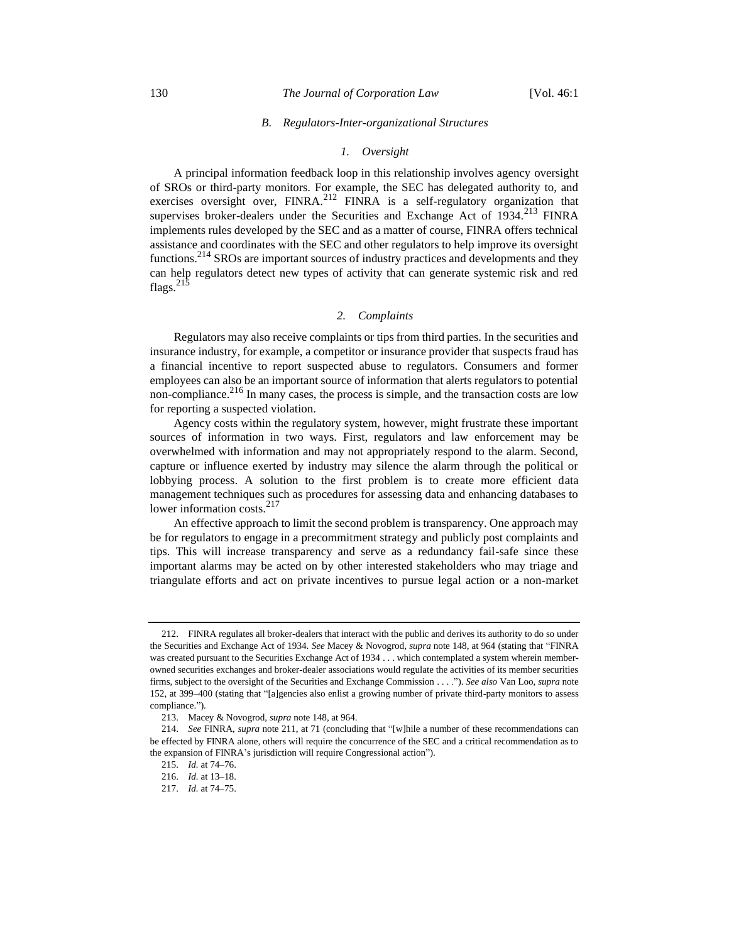#### 130 *The Journal of Corporation Law* [Vol. 46:1

#### *B. Regulators-Inter-organizational Structures*

#### *1. Oversight*

A principal information feedback loop in this relationship involves agency oversight of SROs or third-party monitors. For example, the SEC has delegated authority to, and exercises oversight over,  $FINRA$ <sup>212</sup> FINRA is a self-regulatory organization that supervises broker-dealers under the Securities and Exchange Act of  $1934.<sup>213</sup>$  FINRA implements rules developed by the SEC and as a matter of course, FINRA offers technical assistance and coordinates with the SEC and other regulators to help improve its oversight functions.<sup>214</sup> SROs are important sources of industry practices and developments and they can help regulators detect new types of activity that can generate systemic risk and red flags. $^{215}$ 

### *2. Complaints*

Regulators may also receive complaints or tips from third parties. In the securities and insurance industry, for example, a competitor or insurance provider that suspects fraud has a financial incentive to report suspected abuse to regulators. Consumers and former employees can also be an important source of information that alerts regulators to potential non-compliance.<sup>216</sup> In many cases, the process is simple, and the transaction costs are low for reporting a suspected violation.

Agency costs within the regulatory system, however, might frustrate these important sources of information in two ways. First, regulators and law enforcement may be overwhelmed with information and may not appropriately respond to the alarm. Second, capture or influence exerted by industry may silence the alarm through the political or lobbying process. A solution to the first problem is to create more efficient data management techniques such as procedures for assessing data and enhancing databases to lower information costs.<sup>217</sup>

An effective approach to limit the second problem is transparency. One approach may be for regulators to engage in a precommitment strategy and publicly post complaints and tips. This will increase transparency and serve as a redundancy fail-safe since these important alarms may be acted on by other interested stakeholders who may triage and triangulate efforts and act on private incentives to pursue legal action or a non-market

<sup>212.</sup> FINRA regulates all broker-dealers that interact with the public and derives its authority to do so under the Securities and Exchange Act of 1934. *See* Macey & Novogrod, *supra* not[e 148,](#page-21-0) at 964 (stating that "FINRA was created pursuant to the Securities Exchange Act of 1934 . . . which contemplated a system wherein memberowned securities exchanges and broker-dealer associations would regulate the activities of its member securities firms, subject to the oversight of the Securities and Exchange Commission . . . ."). *See also* Van Loo, *supra* note [152,](#page-22-0) at 399–400 (stating that "[a]gencies also enlist a growing number of private third-party monitors to assess compliance.").

<sup>213.</sup> Macey & Novogrod, *supra* not[e 148,](#page-21-0) at 964.

<sup>214.</sup> *See* FINRA, *supra* not[e 211,](#page-32-1) at 71 (concluding that "[w]hile a number of these recommendations can be effected by FINRA alone, others will require the concurrence of the SEC and a critical recommendation as to the expansion of FINRA's jurisdiction will require Congressional action").

<sup>215.</sup> *Id.* at 74–76.

<sup>216.</sup> *Id.* at 13–18.

<sup>217.</sup> *Id.* at 74–75.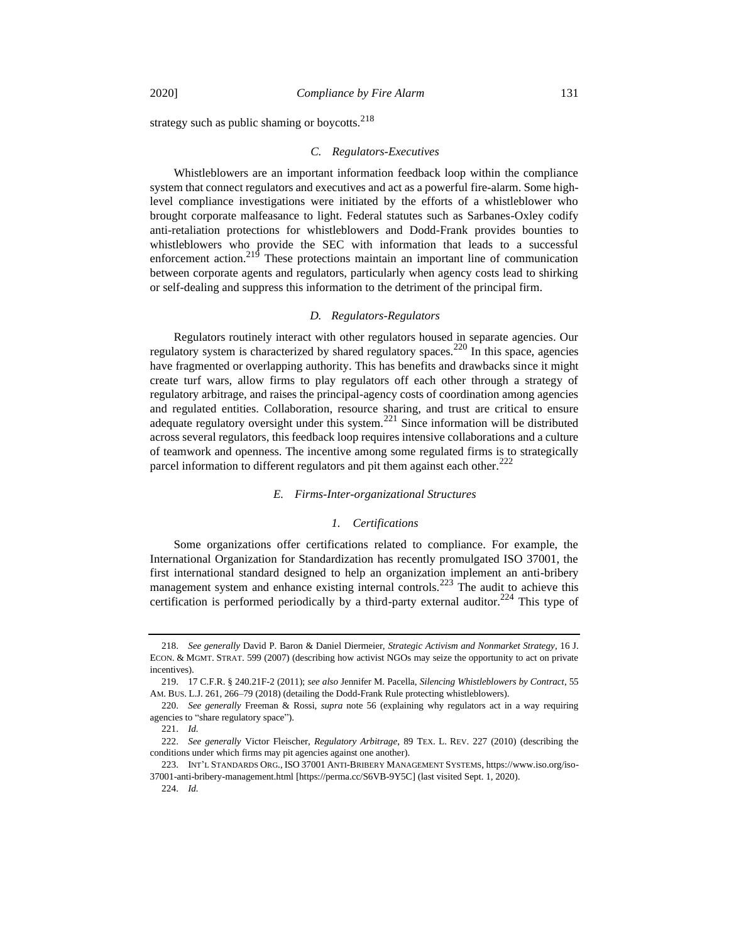strategy such as public shaming or boycotts. $218$ 

## *C. Regulators-Executives*

Whistleblowers are an important information feedback loop within the compliance system that connect regulators and executives and act as a powerful fire-alarm. Some highlevel compliance investigations were initiated by the efforts of a whistleblower who brought corporate malfeasance to light. Federal statutes such as Sarbanes-Oxley codify anti-retaliation protections for whistleblowers and Dodd-Frank provides bounties to whistleblowers who provide the SEC with information that leads to a successful enforcement action.<sup>219</sup> These protections maintain an important line of communication between corporate agents and regulators, particularly when agency costs lead to shirking or self-dealing and suppress this information to the detriment of the principal firm.

#### <span id="page-34-1"></span>*D. Regulators-Regulators*

Regulators routinely interact with other regulators housed in separate agencies. Our regulatory system is characterized by shared regulatory spaces.<sup>220</sup> In this space, agencies have fragmented or overlapping authority. This has benefits and drawbacks since it might create turf wars, allow firms to play regulators off each other through a strategy of regulatory arbitrage, and raises the principal-agency costs of coordination among agencies and regulated entities. Collaboration, resource sharing, and trust are critical to ensure adequate regulatory oversight under this system.<sup>221</sup> Since information will be distributed across several regulators, this feedback loop requires intensive collaborations and a culture of teamwork and openness. The incentive among some regulated firms is to strategically parcel information to different regulators and pit them against each other. $222$ 

## *E. Firms-Inter-organizational Structures*

## <span id="page-34-0"></span>*1. Certifications*

Some organizations offer certifications related to compliance. For example, the International Organization for Standardization has recently promulgated ISO 37001, the first international standard designed to help an organization implement an anti-bribery management system and enhance existing internal controls.<sup>223</sup> The audit to achieve this certification is performed periodically by a third-party external auditor.<sup>224</sup> This type of

<sup>218.</sup> *See generally* David P. Baron & Daniel Diermeier, *Strategic Activism and Nonmarket Strategy*, 16 J. ECON. & MGMT. STRAT. 599 (2007) (describing how activist NGOs may seize the opportunity to act on private incentives).

<sup>219.</sup> 17 C.F.R. § 240.21F-2 (2011); *see also* Jennifer M. Pacella, *Silencing Whistleblowers by Contract*, 55 AM. BUS. L.J. 261, 266–79 (2018) (detailing the Dodd-Frank Rule protecting whistleblowers).

<sup>220.</sup> *See generally* Freeman & Rossi, *supra* note [56](#page-9-1) (explaining why regulators act in a way requiring agencies to "share regulatory space").

<sup>221.</sup> *Id.*

<sup>222.</sup> *See generally* Victor Fleischer, *Regulatory Arbitrage*, 89 TEX. L. REV. 227 (2010) (describing the conditions under which firms may pit agencies against one another).

<sup>223.</sup> INT'L STANDARDS ORG., ISO 37001 ANTI-BRIBERY MANAGEMENT SYSTEMS, https://www.iso.org/iso-37001-anti-bribery-management.html [https://perma.cc/S6VB-9Y5C] (last visited Sept. 1, 2020).

<sup>224.</sup> *Id.*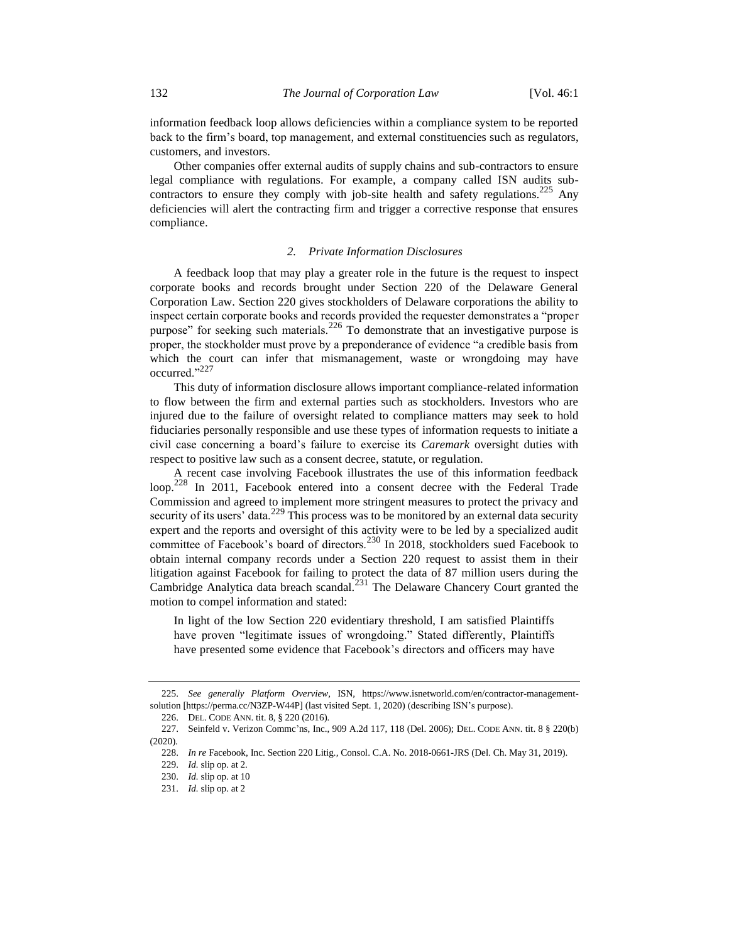information feedback loop allows deficiencies within a compliance system to be reported back to the firm's board, top management, and external constituencies such as regulators, customers, and investors.

Other companies offer external audits of supply chains and sub-contractors to ensure legal compliance with regulations. For example, a company called ISN audits subcontractors to ensure they comply with job-site health and safety regulations.<sup>225</sup> Any deficiencies will alert the contracting firm and trigger a corrective response that ensures compliance.

#### *2. Private Information Disclosures*

A feedback loop that may play a greater role in the future is the request to inspect corporate books and records brought under Section 220 of the Delaware General Corporation Law. Section 220 gives stockholders of Delaware corporations the ability to inspect certain corporate books and records provided the requester demonstrates a "proper purpose" for seeking such materials.<sup>226</sup> To demonstrate that an investigative purpose is proper, the stockholder must prove by a preponderance of evidence "a credible basis from which the court can infer that mismanagement, waste or wrongdoing may have occurred."<sup>227</sup>

This duty of information disclosure allows important compliance-related information to flow between the firm and external parties such as stockholders. Investors who are injured due to the failure of oversight related to compliance matters may seek to hold fiduciaries personally responsible and use these types of information requests to initiate a civil case concerning a board's failure to exercise its *Caremark* oversight duties with respect to positive law such as a consent decree, statute, or regulation.

A recent case involving Facebook illustrates the use of this information feedback loop.<sup>228</sup> In 2011, Facebook entered into a consent decree with the Federal Trade Commission and agreed to implement more stringent measures to protect the privacy and security of its users' data.<sup>229</sup> This process was to be monitored by an external data security expert and the reports and oversight of this activity were to be led by a specialized audit committee of Facebook's board of directors.<sup>230</sup> In 2018, stockholders sued Facebook to obtain internal company records under a Section 220 request to assist them in their litigation against Facebook for failing to protect the data of 87 million users during the Cambridge Analytica data breach scandal.<sup>231</sup> The Delaware Chancery Court granted the motion to compel information and stated:

In light of the low Section 220 evidentiary threshold, I am satisfied Plaintiffs have proven "legitimate issues of wrongdoing." Stated differently, Plaintiffs have presented some evidence that Facebook's directors and officers may have

<sup>225.</sup> *See generally Platform Overview,* ISN, https://www.isnetworld.com/en/contractor-managementsolution [https://perma.cc/N3ZP-W44P] (last visited Sept. 1, 2020) (describing ISN's purpose).

<sup>226.</sup> DEL. CODE ANN. tit. 8, § 220 (2016).

<sup>227.</sup> Seinfeld v. Verizon Commc'ns, Inc., 909 A.2d 117, 118 (Del. 2006); DEL. CODE ANN. tit. 8 § 220(b) (2020).

<sup>228.</sup> *In re* Facebook, Inc. Section 220 Litig*.,* Consol. C.A. No. 2018-0661-JRS (Del. Ch. May 31, 2019).

<sup>229.</sup> *Id.* slip op. at 2.

<sup>230.</sup> *Id.* slip op. at 10

<sup>231.</sup> *Id.* slip op. at 2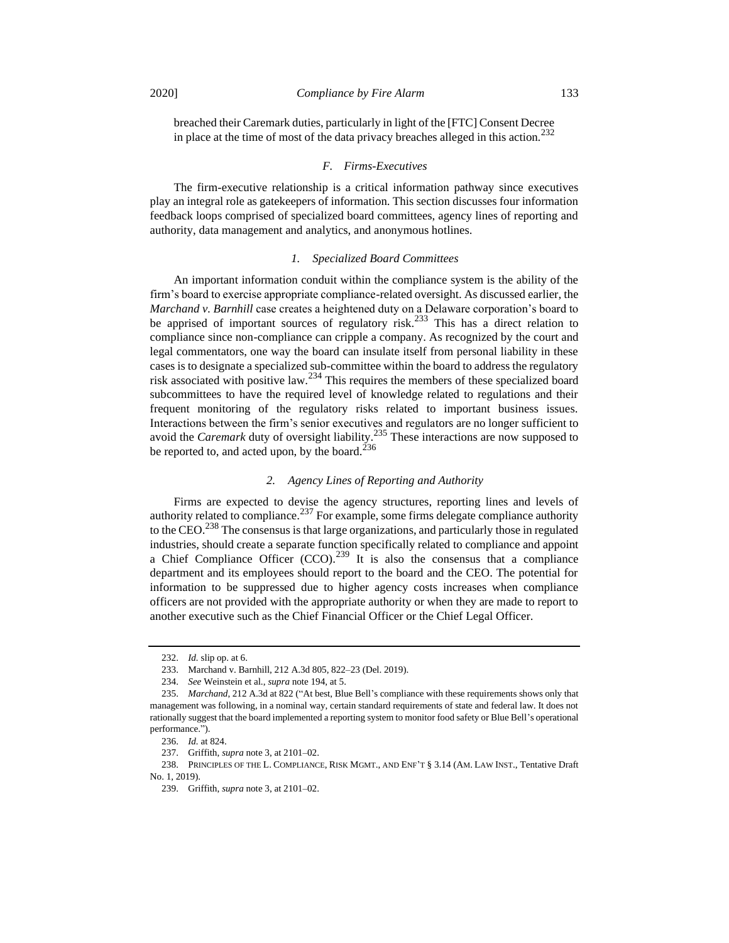breached their Caremark duties, particularly in light of the [FTC] Consent Decree in place at the time of most of the data privacy breaches alleged in this action.<sup>232</sup>

#### *F. Firms-Executives*

The firm-executive relationship is a critical information pathway since executives play an integral role as gatekeepers of information. This section discusses four information feedback loops comprised of specialized board committees, agency lines of reporting and authority, data management and analytics, and anonymous hotlines.

#### *1. Specialized Board Committees*

An important information conduit within the compliance system is the ability of the firm's board to exercise appropriate compliance-related oversight. As discussed earlier, the *Marchand v. Barnhill* case creates a heightened duty on a Delaware corporation's board to be apprised of important sources of regulatory risk.<sup>233</sup> This has a direct relation to compliance since non-compliance can cripple a company. As recognized by the court and legal commentators, one way the board can insulate itself from personal liability in these cases is to designate a specialized sub-committee within the board to address the regulatory risk associated with positive law.<sup>234</sup> This requires the members of these specialized board subcommittees to have the required level of knowledge related to regulations and their frequent monitoring of the regulatory risks related to important business issues. Interactions between the firm's senior executives and regulators are no longer sufficient to avoid the *Caremark* duty of oversight liability.<sup>235</sup> These interactions are now supposed to be reported to, and acted upon, by the board.<sup>236</sup>

#### *2. Agency Lines of Reporting and Authority*

Firms are expected to devise the agency structures, reporting lines and levels of authority related to compliance.<sup>237</sup> For example, some firms delegate compliance authority to the CEO.<sup>238</sup> The consensus is that large organizations, and particularly those in regulated industries, should create a separate function specifically related to compliance and appoint a Chief Compliance Officer  $(CCO)$ .<sup>239</sup> It is also the consensus that a compliance department and its employees should report to the board and the CEO. The potential for information to be suppressed due to higher agency costs increases when compliance officers are not provided with the appropriate authority or when they are made to report to another executive such as the Chief Financial Officer or the Chief Legal Officer.

<sup>232.</sup> *Id.* slip op. at 6.

<sup>233.</sup> Marchand v. Barnhill, 212 A.3d 805, 822–23 (Del. 2019).

<sup>234.</sup> *See* Weinstein et al., *supra* not[e 194,](#page-30-0) at 5.

<sup>235.</sup> *Marchand*, 212 A.3d at 822 ("At best, Blue Bell's compliance with these requirements shows only that management was following, in a nominal way, certain standard requirements of state and federal law. It does not rationally suggest that the board implemented a reporting system to monitor food safety or Blue Bell's operational performance.").

<sup>236.</sup> *Id.* at 824.

<sup>237.</sup> Griffith, *supra* not[e 3,](#page-2-1) at 2101–02.

<sup>238.</sup> PRINCIPLES OF THE L. COMPLIANCE, RISK MGMT., AND ENF'T § 3.14 (AM. LAW INST., Tentative Draft No. 1, 2019).

<sup>239.</sup> Griffith, *supra* not[e 3,](#page-2-1) at 2101–02.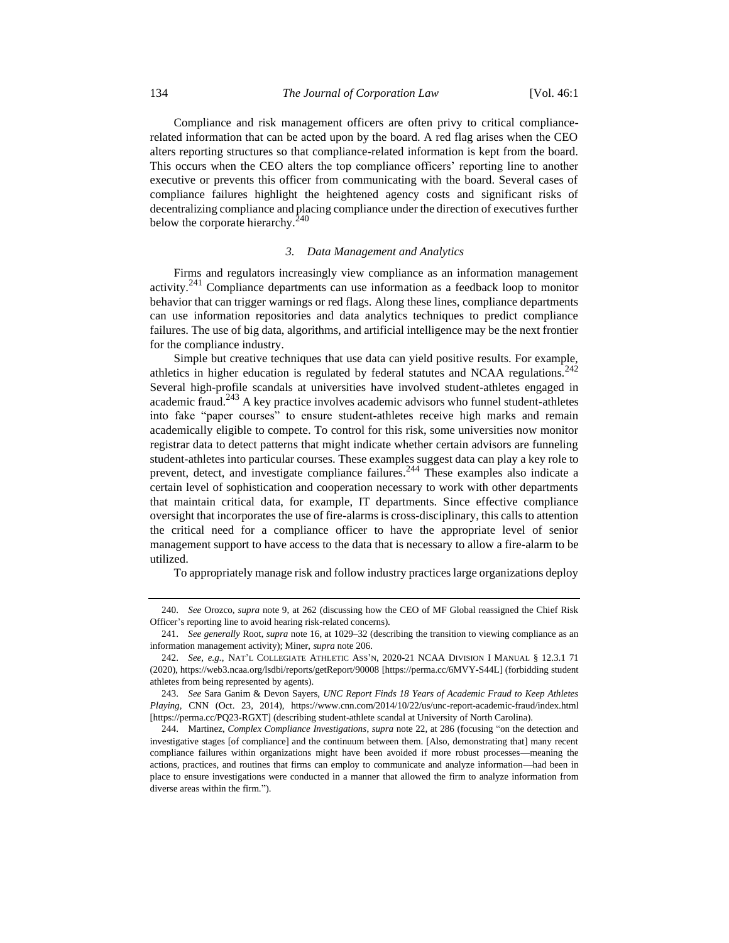Compliance and risk management officers are often privy to critical compliancerelated information that can be acted upon by the board. A red flag arises when the CEO alters reporting structures so that compliance-related information is kept from the board. This occurs when the CEO alters the top compliance officers' reporting line to another executive or prevents this officer from communicating with the board. Several cases of compliance failures highlight the heightened agency costs and significant risks of decentralizing compliance and placing compliance under the direction of executives further below the corporate hierarchy.<sup>240</sup>

#### *3. Data Management and Analytics*

Firms and regulators increasingly view compliance as an information management activity.<sup>241</sup> Compliance departments can use information as a feedback loop to monitor behavior that can trigger warnings or red flags. Along these lines, compliance departments can use information repositories and data analytics techniques to predict compliance failures. The use of big data, algorithms, and artificial intelligence may be the next frontier for the compliance industry.

Simple but creative techniques that use data can yield positive results. For example, athletics in higher education is regulated by federal statutes and NCAA regulations.<sup>242</sup> Several high-profile scandals at universities have involved student-athletes engaged in academic fraud.<sup>243</sup> A key practice involves academic advisors who funnel student-athletes into fake "paper courses" to ensure student-athletes receive high marks and remain academically eligible to compete. To control for this risk, some universities now monitor registrar data to detect patterns that might indicate whether certain advisors are funneling student-athletes into particular courses. These examples suggest data can play a key role to prevent, detect, and investigate compliance failures.<sup>244</sup> These examples also indicate a certain level of sophistication and cooperation necessary to work with other departments that maintain critical data, for example, IT departments. Since effective compliance oversight that incorporates the use of fire-alarms is cross-disciplinary, this calls to attention the critical need for a compliance officer to have the appropriate level of senior management support to have access to the data that is necessary to allow a fire-alarm to be utilized.

To appropriately manage risk and follow industry practices large organizations deploy

<sup>240.</sup> *See* Orozco, *supra* note [9,](#page-3-2) at 262 (discussing how the CEO of MF Global reassigned the Chief Risk Officer's reporting line to avoid hearing risk-related concerns).

<sup>241.</sup> *See generally* Root, *supra* not[e 16,](#page-4-1) at 1029–32 (describing the transition to viewing compliance as an information management activity); Miner, *supra* not[e 206.](#page-32-0)

<sup>242.</sup> *See, e.g.*, NAT'L COLLEGIATE ATHLETIC ASS'N, 2020-21 NCAA DIVISION I MANUAL § 12.3.1 71 (2020), https://web3.ncaa.org/lsdbi/reports/getReport/90008 [https://perma.cc/6MVY-S44L] (forbidding student athletes from being represented by agents).

<sup>243.</sup> *See* Sara Ganim & Devon Sayers, *UNC Report Finds 18 Years of Academic Fraud to Keep Athletes Playing*, CNN (Oct. 23, 2014), https://www.cnn.com/2014/10/22/us/unc-report-academic-fraud/index.html [https://perma.cc/PQ23-RGXT] (describing student-athlete scandal at University of North Carolina).

<sup>244.</sup> Martinez, *Complex Compliance Investigations*, *supra* note [22,](#page-4-0) at 286 (focusing "on the detection and investigative stages [of compliance] and the continuum between them. [Also, demonstrating that] many recent compliance failures within organizations might have been avoided if more robust processes—meaning the actions, practices, and routines that firms can employ to communicate and analyze information—had been in place to ensure investigations were conducted in a manner that allowed the firm to analyze information from diverse areas within the firm.").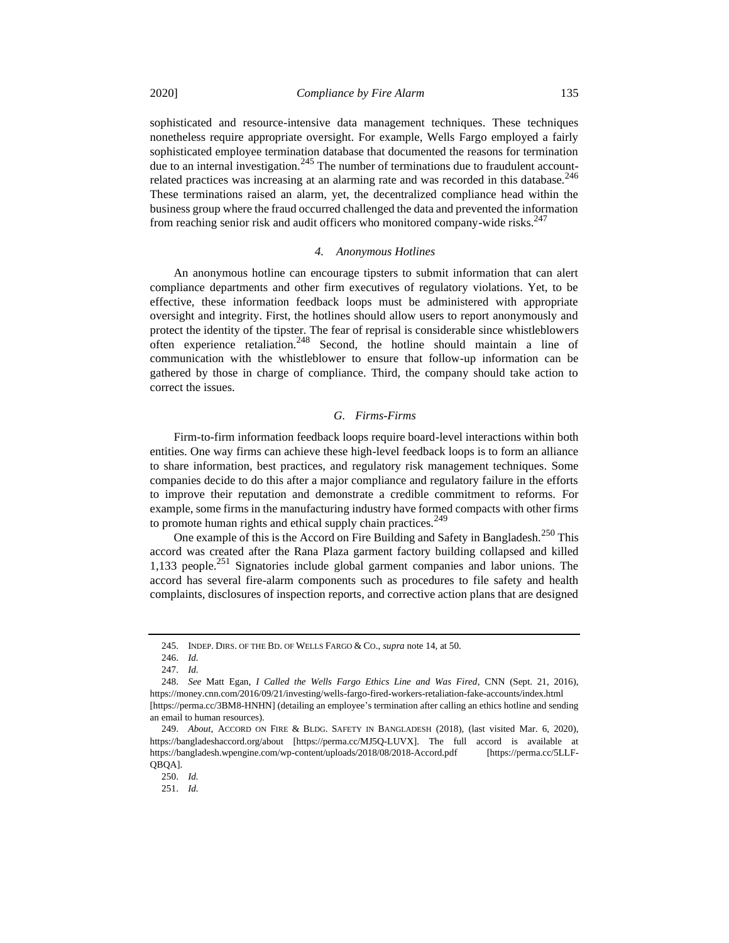sophisticated and resource-intensive data management techniques. These techniques nonetheless require appropriate oversight. For example, Wells Fargo employed a fairly sophisticated employee termination database that documented the reasons for termination due to an internal investigation.<sup>245</sup> The number of terminations due to fraudulent accountrelated practices was increasing at an alarming rate and was recorded in this database. $246$ These terminations raised an alarm, yet, the decentralized compliance head within the business group where the fraud occurred challenged the data and prevented the information from reaching senior risk and audit officers who monitored company-wide risks. $247$ 

#### *4. Anonymous Hotlines*

An anonymous hotline can encourage tipsters to submit information that can alert compliance departments and other firm executives of regulatory violations. Yet, to be effective, these information feedback loops must be administered with appropriate oversight and integrity. First, the hotlines should allow users to report anonymously and protect the identity of the tipster. The fear of reprisal is considerable since whistleblowers often experience retaliation.<sup>248</sup> Second, the hotline should maintain a line of communication with the whistleblower to ensure that follow-up information can be gathered by those in charge of compliance. Third, the company should take action to correct the issues.

# *G. Firms-Firms*

Firm-to-firm information feedback loops require board-level interactions within both entities. One way firms can achieve these high-level feedback loops is to form an alliance to share information, best practices, and regulatory risk management techniques. Some companies decide to do this after a major compliance and regulatory failure in the efforts to improve their reputation and demonstrate a credible commitment to reforms. For example, some firms in the manufacturing industry have formed compacts with other firms to promote human rights and ethical supply chain practices.<sup>249</sup>

One example of this is the Accord on Fire Building and Safety in Bangladesh.<sup>250</sup> This accord was created after the Rana Plaza garment factory building collapsed and killed 1,133 people.<sup>251</sup> Signatories include global garment companies and labor unions. The accord has several fire-alarm components such as procedures to file safety and health complaints, disclosures of inspection reports, and corrective action plans that are designed

<sup>245.</sup> INDEP. DIRS. OF THE BD. OF WELLS FARGO & CO., *supra* not[e 14,](#page-3-3) at 50.

<sup>246.</sup> *Id.*

<sup>247.</sup> *Id.*

<sup>248.</sup> *See* Matt Egan, *I Called the Wells Fargo Ethics Line and Was Fired*, CNN (Sept. 21, 2016), https://money.cnn.com/2016/09/21/investing/wells-fargo-fired-workers-retaliation-fake-accounts/index.html [https://perma.cc/3BM8-HNHN] (detailing an employee's termination after calling an ethics hotline and sending an email to human resources).

<sup>249.</sup> *About*, ACCORD ON FIRE & BLDG. SAFETY IN BANGLADESH (2018), (last visited Mar. 6, 2020), https://bangladeshaccord.org/about [https://perma.cc/MJ5Q-LUVX]. The full accord is available at https://bangladesh.wpengine.com/wp-content/uploads/2018/08/2018-Accord.pdf [https://perma.cc/5LLF-QBQA].

<sup>250.</sup> *Id.*

<sup>251.</sup> *Id.*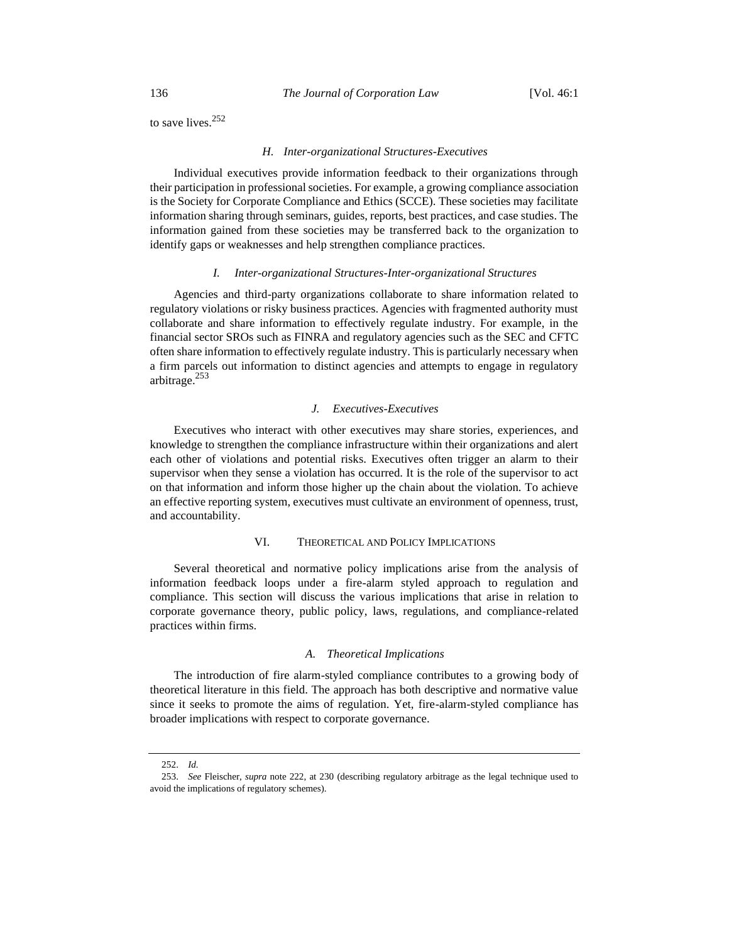to save lives.<sup>252</sup>

#### *H. Inter-organizational Structures-Executives*

Individual executives provide information feedback to their organizations through their participation in professional societies. For example, a growing compliance association is the Society for Corporate Compliance and Ethics (SCCE). These societies may facilitate information sharing through seminars, guides, reports, best practices, and case studies. The information gained from these societies may be transferred back to the organization to identify gaps or weaknesses and help strengthen compliance practices.

#### *I. Inter-organizational Structures-Inter-organizational Structures*

Agencies and third-party organizations collaborate to share information related to regulatory violations or risky business practices. Agencies with fragmented authority must collaborate and share information to effectively regulate industry. For example, in the financial sector SROs such as FINRA and regulatory agencies such as the SEC and CFTC often share information to effectively regulate industry. This is particularly necessary when a firm parcels out information to distinct agencies and attempts to engage in regulatory arbitrage. $253$ 

#### *J. Executives-Executives*

Executives who interact with other executives may share stories, experiences, and knowledge to strengthen the compliance infrastructure within their organizations and alert each other of violations and potential risks. Executives often trigger an alarm to their supervisor when they sense a violation has occurred. It is the role of the supervisor to act on that information and inform those higher up the chain about the violation. To achieve an effective reporting system, executives must cultivate an environment of openness, trust, and accountability.

# VI. THEORETICAL AND POLICY IMPLICATIONS

Several theoretical and normative policy implications arise from the analysis of information feedback loops under a fire-alarm styled approach to regulation and compliance. This section will discuss the various implications that arise in relation to corporate governance theory, public policy, laws, regulations, and compliance-related practices within firms.

# *A. Theoretical Implications*

The introduction of fire alarm-styled compliance contributes to a growing body of theoretical literature in this field. The approach has both descriptive and normative value since it seeks to promote the aims of regulation. Yet, fire-alarm-styled compliance has broader implications with respect to corporate governance.

<sup>252.</sup> *Id.*

<sup>253.</sup> *See* Fleischer, *supra* note [222,](#page-34-0) at 230 (describing regulatory arbitrage as the legal technique used to avoid the implications of regulatory schemes).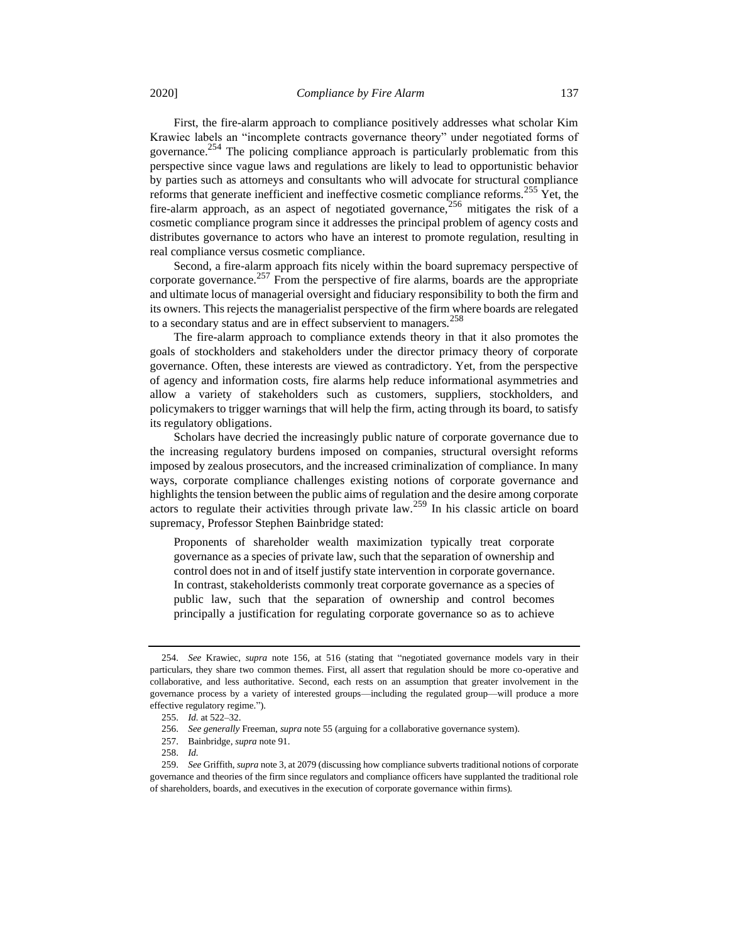First, the fire-alarm approach to compliance positively addresses what scholar Kim Krawiec labels an "incomplete contracts governance theory" under negotiated forms of governance.<sup>254</sup> The policing compliance approach is particularly problematic from this perspective since vague laws and regulations are likely to lead to opportunistic behavior by parties such as attorneys and consultants who will advocate for structural compliance reforms that generate inefficient and ineffective cosmetic compliance reforms.<sup>255</sup> Yet, the fire-alarm approach, as an aspect of negotiated governance,  $256$  mitigates the risk of a cosmetic compliance program since it addresses the principal problem of agency costs and distributes governance to actors who have an interest to promote regulation, resulting in real compliance versus cosmetic compliance.

Second, a fire-alarm approach fits nicely within the board supremacy perspective of corporate governance.<sup>257</sup> From the perspective of fire alarms, boards are the appropriate and ultimate locus of managerial oversight and fiduciary responsibility to both the firm and its owners. This rejects the managerialist perspective of the firm where boards are relegated to a secondary status and are in effect subservient to managers.<sup>258</sup>

The fire-alarm approach to compliance extends theory in that it also promotes the goals of stockholders and stakeholders under the director primacy theory of corporate governance. Often, these interests are viewed as contradictory. Yet, from the perspective of agency and information costs, fire alarms help reduce informational asymmetries and allow a variety of stakeholders such as customers, suppliers, stockholders, and policymakers to trigger warnings that will help the firm, acting through its board, to satisfy its regulatory obligations.

Scholars have decried the increasingly public nature of corporate governance due to the increasing regulatory burdens imposed on companies, structural oversight reforms imposed by zealous prosecutors, and the increased criminalization of compliance. In many ways, corporate compliance challenges existing notions of corporate governance and highlights the tension between the public aims of regulation and the desire among corporate actors to regulate their activities through private law.<sup>259</sup> In his classic article on board supremacy, Professor Stephen Bainbridge stated:

Proponents of shareholder wealth maximization typically treat corporate governance as a species of private law, such that the separation of ownership and control does not in and of itself justify state intervention in corporate governance. In contrast, stakeholderists commonly treat corporate governance as a species of public law, such that the separation of ownership and control becomes principally a justification for regulating corporate governance so as to achieve

<sup>254.</sup> *See* Krawiec, *supra* note [156,](#page-23-0) at 516 (stating that "negotiated governance models vary in their particulars, they share two common themes. First, all assert that regulation should be more co-operative and collaborative, and less authoritative. Second, each rests on an assumption that greater involvement in the governance process by a variety of interested groups—including the regulated group—will produce a more effective regulatory regime.").

<sup>255.</sup> *Id.* at 522–32.

<sup>256.</sup> *See generally* Freeman, *supra* not[e 55](#page-9-2) (arguing for a collaborative governance system).

<sup>257.</sup> Bainbridge, *supra* not[e 91.](#page-13-0)

<sup>258.</sup> *Id.*

<sup>259.</sup> *See* Griffith, *supra* not[e 3,](#page-2-1) at 2079 (discussing how compliance subverts traditional notions of corporate governance and theories of the firm since regulators and compliance officers have supplanted the traditional role of shareholders, boards, and executives in the execution of corporate governance within firms).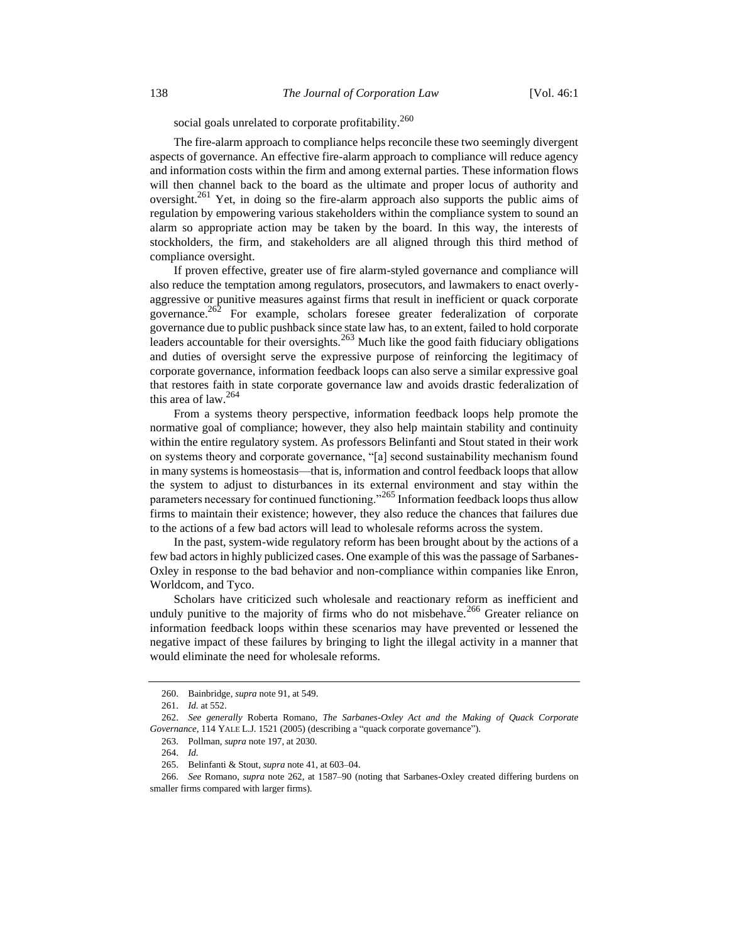social goals unrelated to corporate profitability.<sup>260</sup>

The fire-alarm approach to compliance helps reconcile these two seemingly divergent aspects of governance. An effective fire-alarm approach to compliance will reduce agency and information costs within the firm and among external parties. These information flows will then channel back to the board as the ultimate and proper locus of authority and oversight.<sup>261</sup> Yet, in doing so the fire-alarm approach also supports the public aims of regulation by empowering various stakeholders within the compliance system to sound an alarm so appropriate action may be taken by the board. In this way, the interests of stockholders, the firm, and stakeholders are all aligned through this third method of compliance oversight.

<span id="page-41-0"></span>If proven effective, greater use of fire alarm-styled governance and compliance will also reduce the temptation among regulators, prosecutors, and lawmakers to enact overlyaggressive or punitive measures against firms that result in inefficient or quack corporate governance.<sup>262</sup> For example, scholars foresee greater federalization of corporate governance due to public pushback since state law has, to an extent, failed to hold corporate leaders accountable for their oversights.<sup>263</sup> Much like the good faith fiduciary obligations and duties of oversight serve the expressive purpose of reinforcing the legitimacy of corporate governance, information feedback loops can also serve a similar expressive goal that restores faith in state corporate governance law and avoids drastic federalization of this area of law. $264$ 

From a systems theory perspective, information feedback loops help promote the normative goal of compliance; however, they also help maintain stability and continuity within the entire regulatory system. As professors Belinfanti and Stout stated in their work on systems theory and corporate governance, "[a] second sustainability mechanism found in many systems is homeostasis—that is, information and control feedback loops that allow the system to adjust to disturbances in its external environment and stay within the parameters necessary for continued functioning."<sup>265</sup> Information feedback loops thus allow firms to maintain their existence; however, they also reduce the chances that failures due to the actions of a few bad actors will lead to wholesale reforms across the system.

In the past, system-wide regulatory reform has been brought about by the actions of a few bad actors in highly publicized cases. One example of this was the passage of Sarbanes-Oxley in response to the bad behavior and non-compliance within companies like Enron, Worldcom, and Tyco.

Scholars have criticized such wholesale and reactionary reform as inefficient and unduly punitive to the majority of firms who do not misbehave.<sup>266</sup> Greater reliance on information feedback loops within these scenarios may have prevented or lessened the negative impact of these failures by bringing to light the illegal activity in a manner that would eliminate the need for wholesale reforms.

<sup>260.</sup> Bainbridge, *supra* not[e 91,](#page-13-0) at 549.

<sup>261.</sup> *Id.* at 552.

<sup>262.</sup> *See generally* Roberta Romano, *The Sarbanes-Oxley Act and the Making of Quack Corporate Governance*, 114 YALE L.J. 1521 (2005) (describing a "quack corporate governance").

<sup>263.</sup> Pollman, *supra* not[e 197,](#page-31-0) at 2030.

<sup>264.</sup> *Id.*

<sup>265.</sup> Belinfanti & Stout, *supra* not[e 41,](#page-7-0) at 603–04.

<sup>266.</sup> *See* Romano, *supra* note [262,](#page-41-0) at 1587–90 (noting that Sarbanes-Oxley created differing burdens on smaller firms compared with larger firms).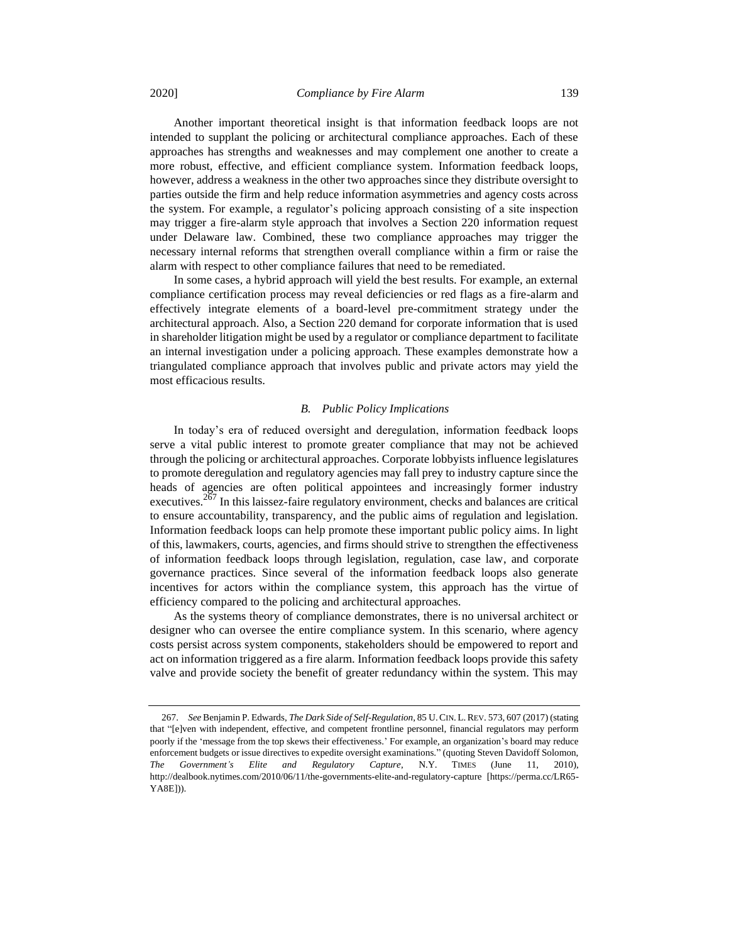Another important theoretical insight is that information feedback loops are not intended to supplant the policing or architectural compliance approaches. Each of these approaches has strengths and weaknesses and may complement one another to create a more robust, effective, and efficient compliance system. Information feedback loops, however, address a weakness in the other two approaches since they distribute oversight to parties outside the firm and help reduce information asymmetries and agency costs across the system. For example, a regulator's policing approach consisting of a site inspection may trigger a fire-alarm style approach that involves a Section 220 information request under Delaware law. Combined, these two compliance approaches may trigger the necessary internal reforms that strengthen overall compliance within a firm or raise the alarm with respect to other compliance failures that need to be remediated.

In some cases, a hybrid approach will yield the best results. For example, an external compliance certification process may reveal deficiencies or red flags as a fire-alarm and effectively integrate elements of a board-level pre-commitment strategy under the architectural approach. Also, a Section 220 demand for corporate information that is used in shareholder litigation might be used by a regulator or compliance department to facilitate an internal investigation under a policing approach. These examples demonstrate how a triangulated compliance approach that involves public and private actors may yield the most efficacious results.

## *B. Public Policy Implications*

In today's era of reduced oversight and deregulation, information feedback loops serve a vital public interest to promote greater compliance that may not be achieved through the policing or architectural approaches. Corporate lobbyists influence legislatures to promote deregulation and regulatory agencies may fall prey to industry capture since the heads of agencies are often political appointees and increasingly former industry executives.<sup>267</sup> In this laissez-faire regulatory environment, checks and balances are critical to ensure accountability, transparency, and the public aims of regulation and legislation. Information feedback loops can help promote these important public policy aims. In light of this, lawmakers, courts, agencies, and firms should strive to strengthen the effectiveness of information feedback loops through legislation, regulation, case law, and corporate governance practices. Since several of the information feedback loops also generate incentives for actors within the compliance system, this approach has the virtue of efficiency compared to the policing and architectural approaches.

As the systems theory of compliance demonstrates, there is no universal architect or designer who can oversee the entire compliance system. In this scenario, where agency costs persist across system components, stakeholders should be empowered to report and act on information triggered as a fire alarm. Information feedback loops provide this safety valve and provide society the benefit of greater redundancy within the system. This may

<sup>267.</sup> *See* Benjamin P. Edwards, *The Dark Side of Self-Regulation*, 85 U.CIN. L.REV. 573, 607 (2017) (stating that "[e]ven with independent, effective, and competent frontline personnel, financial regulators may perform poorly if the 'message from the top skews their effectiveness.' For example, an organization's board may reduce enforcement budgets or issue directives to expedite oversight examinations." (quoting Steven Davidoff Solomon, *The Government's Elite and Regulatory Capture*, N.Y. TIMES (June 11, 2010), http://dealbook.nytimes.com/2010/06/11/the-governments-elite-and-regulatory-capture [https://perma.cc/LR65- YA8E])).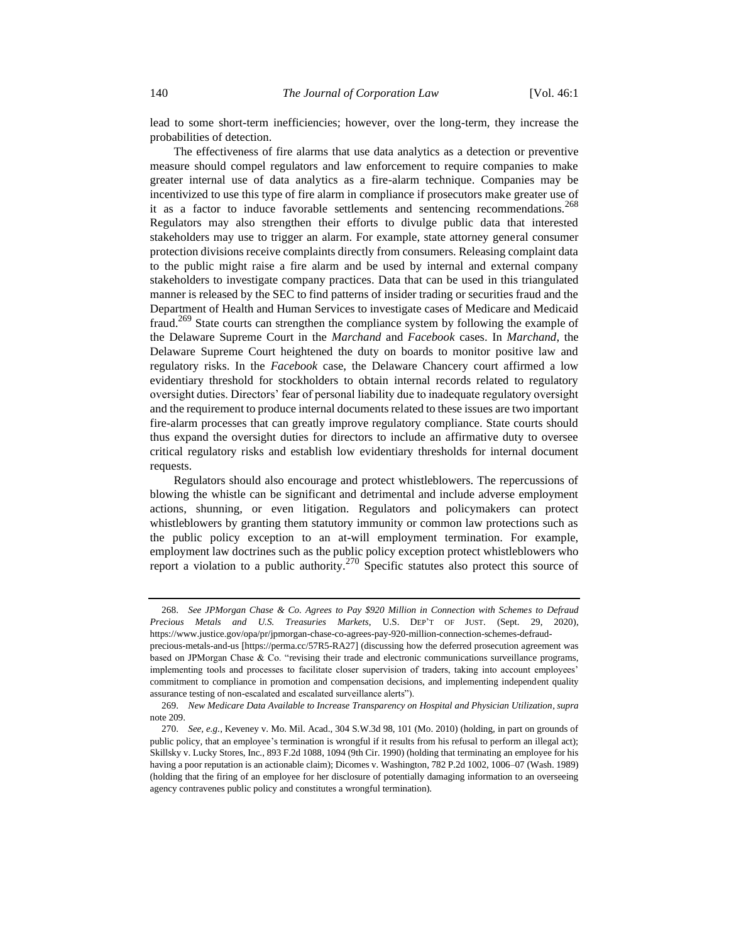lead to some short-term inefficiencies; however, over the long-term, they increase the probabilities of detection.

The effectiveness of fire alarms that use data analytics as a detection or preventive measure should compel regulators and law enforcement to require companies to make greater internal use of data analytics as a fire-alarm technique. Companies may be incentivized to use this type of fire alarm in compliance if prosecutors make greater use of it as a factor to induce favorable settlements and sentencing recommendations.<sup>268</sup> Regulators may also strengthen their efforts to divulge public data that interested stakeholders may use to trigger an alarm. For example, state attorney general consumer protection divisions receive complaints directly from consumers. Releasing complaint data to the public might raise a fire alarm and be used by internal and external company stakeholders to investigate company practices. Data that can be used in this triangulated manner is released by the SEC to find patterns of insider trading or securities fraud and the Department of Health and Human Services to investigate cases of Medicare and Medicaid fraud.<sup>269</sup> State courts can strengthen the compliance system by following the example of the Delaware Supreme Court in the *Marchand* and *Facebook* cases. In *Marchand*, the Delaware Supreme Court heightened the duty on boards to monitor positive law and regulatory risks. In the *Facebook* case, the Delaware Chancery court affirmed a low evidentiary threshold for stockholders to obtain internal records related to regulatory oversight duties. Directors' fear of personal liability due to inadequate regulatory oversight and the requirement to produce internal documents related to these issues are two important fire-alarm processes that can greatly improve regulatory compliance. State courts should thus expand the oversight duties for directors to include an affirmative duty to oversee critical regulatory risks and establish low evidentiary thresholds for internal document requests.

Regulators should also encourage and protect whistleblowers. The repercussions of blowing the whistle can be significant and detrimental and include adverse employment actions, shunning, or even litigation. Regulators and policymakers can protect whistleblowers by granting them statutory immunity or common law protections such as the public policy exception to an at-will employment termination. For example, employment law doctrines such as the public policy exception protect whistleblowers who report a violation to a public authority.<sup>270</sup> Specific statutes also protect this source of

<sup>268.</sup> *See JPMorgan Chase & Co. Agrees to Pay \$920 Million in Connection with Schemes to Defraud Precious Metals and U.S. Treasuries Markets*, U.S. DEP'T OF JUST. (Sept. 29, 2020), https://www.justice.gov/opa/pr/jpmorgan-chase-co-agrees-pay-920-million-connection-schemes-defraud-

precious-metals-and-us [https://perma.cc/57R5-RA27] (discussing how the deferred prosecution agreement was based on JPMorgan Chase & Co. "revising their trade and electronic communications surveillance programs, implementing tools and processes to facilitate closer supervision of traders, taking into account employees' commitment to compliance in promotion and compensation decisions, and implementing independent quality assurance testing of non-escalated and escalated surveillance alerts").

<sup>269.</sup> *New Medicare Data Available to Increase Transparency on Hospital and Physician Utilization*, *supra* note [209.](#page-32-2)

<sup>270.</sup> *See, e.g.*, Keveney v. Mo. Mil. Acad., 304 S.W.3d 98, 101 (Mo. 2010) (holding, in part on grounds of public policy, that an employee's termination is wrongful if it results from his refusal to perform an illegal act); Skillsky v. Lucky Stores, Inc., 893 F.2d 1088, 1094 (9th Cir. 1990) (holding that terminating an employee for his having a poor reputation is an actionable claim); Dicomes v. Washington, 782 P.2d 1002, 1006–07 (Wash. 1989) (holding that the firing of an employee for her disclosure of potentially damaging information to an overseeing agency contravenes public policy and constitutes a wrongful termination).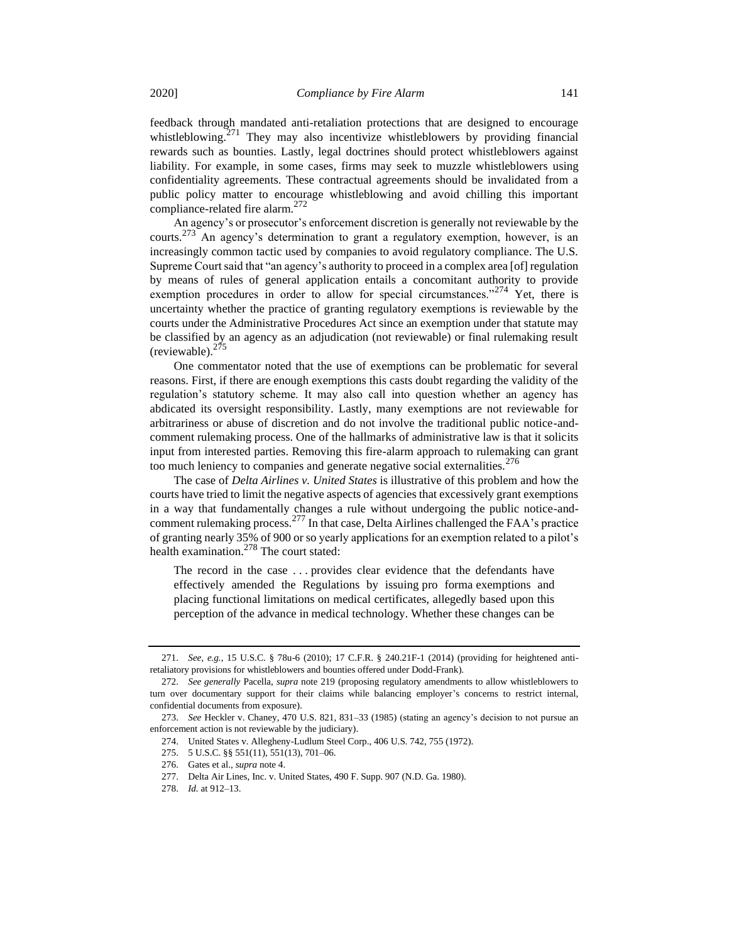feedback through mandated anti-retaliation protections that are designed to encourage whistleblowing.<sup>271</sup> They may also incentivize whistleblowers by providing financial rewards such as bounties. Lastly, legal doctrines should protect whistleblowers against liability. For example, in some cases, firms may seek to muzzle whistleblowers using confidentiality agreements. These contractual agreements should be invalidated from a public policy matter to encourage whistleblowing and avoid chilling this important compliance-related fire alarm.<sup>272</sup>

An agency's or prosecutor's enforcement discretion is generally not reviewable by the courts.<sup>273</sup> An agency's determination to grant a regulatory exemption, however, is an increasingly common tactic used by companies to avoid regulatory compliance. The U.S. Supreme Court said that "an agency's authority to proceed in a complex area [of] regulation by means of rules of general application entails a concomitant authority to provide exemption procedures in order to allow for special circumstances."<sup>274</sup> Yet, there is uncertainty whether the practice of granting regulatory exemptions is reviewable by the courts under the Administrative Procedures Act since an exemption under that statute may be classified by an agency as an adjudication (not reviewable) or final rulemaking result (reviewable). $275$ 

One commentator noted that the use of exemptions can be problematic for several reasons. First, if there are enough exemptions this casts doubt regarding the validity of the regulation's statutory scheme. It may also call into question whether an agency has abdicated its oversight responsibility. Lastly, many exemptions are not reviewable for arbitrariness or abuse of discretion and do not involve the traditional public notice-andcomment rulemaking process. One of the hallmarks of administrative law is that it solicits input from interested parties. Removing this fire-alarm approach to rulemaking can grant too much leniency to companies and generate negative social externalities.<sup>276</sup>

The case of *Delta Airlines v. United States* is illustrative of this problem and how the courts have tried to limit the negative aspects of agencies that excessively grant exemptions in a way that fundamentally changes a rule without undergoing the public notice-andcomment rulemaking process.<sup>277</sup> In that case, Delta Airlines challenged the FAA's practice of granting nearly 35% of 900 or so yearly applications for an exemption related to a pilot's health examination.<sup>278</sup> The court stated:

The record in the case . . . provides clear evidence that the defendants have effectively amended the Regulations by issuing pro forma exemptions and placing functional limitations on medical certificates, allegedly based upon this perception of the advance in medical technology. Whether these changes can be

<sup>271.</sup> *See, e.g.*, 15 U.S.C. § 78u-6 (2010); 17 C.F.R. § 240.21F-1 (2014) (providing for heightened antiretaliatory provisions for whistleblowers and bounties offered under Dodd-Frank).

<sup>272.</sup> *See generally* Pacella, *supra* note [219](#page-34-1) (proposing regulatory amendments to allow whistleblowers to turn over documentary support for their claims while balancing employer's concerns to restrict internal, confidential documents from exposure).

<sup>273.</sup> *See* Heckler v. Chaney, 470 U.S. 821, 831–33 (1985) (stating an agency's decision to not pursue an enforcement action is not reviewable by the judiciary).

<sup>274.</sup> United States v. Allegheny-Ludlum Steel Corp., 406 U.S. 742, 755 (1972).

<sup>275.</sup> 5 U.S.C. §§ 551(11), 551(13), 701–06.

<sup>276.</sup> Gates et al., *supra* note [4.](#page-2-0)

<sup>277.</sup> Delta Air Lines, Inc. v. United States, 490 F. Supp. 907 (N.D. Ga. 1980).

<sup>278.</sup> *Id.* at 912–13.